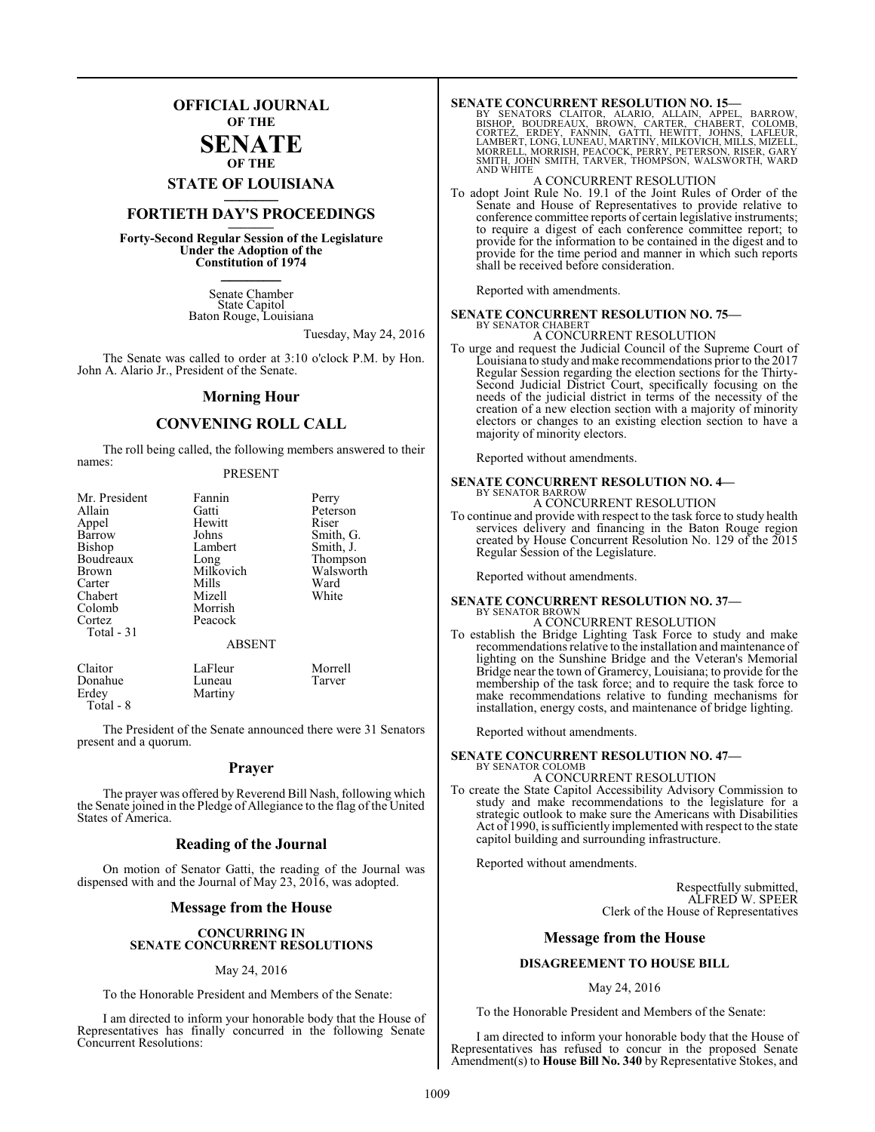## **OFFICIAL JOURNAL OF THE**

#### **SENATE OF THE**

# **STATE OF LOUISIANA \_\_\_\_\_\_\_**

## **FORTIETH DAY'S PROCEEDINGS \_\_\_\_\_\_\_**

**Forty-Second Regular Session of the Legislature Under the Adoption of the Constitution of 1974 \_\_\_\_\_\_\_**

> Senate Chamber State Capitol Baton Rouge, Louisiana

> > Tuesday, May 24, 2016

The Senate was called to order at 3:10 o'clock P.M. by Hon. John A. Alario Jr., President of the Senate.

#### **Morning Hour**

#### **CONVENING ROLL CALL**

The roll being called, the following members answered to their names:

#### PRESENT

| Mr. President | Fannin        | Perry     |
|---------------|---------------|-----------|
| Allain        | Gatti         | Peterson  |
| Appel         | Hewitt        | Riser     |
| Barrow        | Johns         | Smith, G. |
| Bishop        | Lambert       | Smith, J. |
| Boudreaux     | Long          | Thompson  |
| <b>Brown</b>  | Milkovich     | Walsworth |
| Carter        | Mills         | Ward      |
| Chabert       | Mizell        | White     |
| Colomb        | Morrish       |           |
| Cortez        | Peacock       |           |
| Total - 31    |               |           |
|               | <b>ABSENT</b> |           |
| Claitor       | LaFleur       | Morrell   |
| Donahue       | Luneau        | Tarver    |

Erdey Martiny Total - 8

The President of the Senate announced there were 31 Senators present and a quorum.

#### **Prayer**

The prayer was offered by Reverend Bill Nash, following which the Senate joined in the Pledge of Allegiance to the flag of the United States of America.

#### **Reading of the Journal**

On motion of Senator Gatti, the reading of the Journal was dispensed with and the Journal of May 23, 2016, was adopted.

#### **Message from the House**

#### **CONCURRING IN SENATE CONCURRENT RESOLUTIONS**

#### May 24, 2016

To the Honorable President and Members of the Senate:

I am directed to inform your honorable body that the House of Representatives has finally concurred in the following Senate Concurrent Resolutions:

SENATE CONCURRENT RESOLUTION NO. 15—<br>BY SENATORS CLAITOR, ALARIO, ALLAIN, APPEL, BARROW,<br>BISHOP, BOUDREAUX, BROWN, CARTER, CHABERT, COLOMB,<br>CORTEZ, ERDEY, FANNIN, GATTI, HEWITT, JOHNS, LAFLEUR,<br>LAMBERT, LONG, LUNEAU, MARTI AND WHITE

#### A CONCURRENT RESOLUTION

To adopt Joint Rule No. 19.1 of the Joint Rules of Order of the Senate and House of Representatives to provide relative to conference committee reports of certain legislative instruments; to require a digest of each conference committee report; to provide for the information to be contained in the digest and to provide for the time period and manner in which such reports shall be received before consideration.

Reported with amendments.

# **SENATE CONCURRENT RESOLUTION NO. 75—**

# BY SENATOR CHABERT A CONCURRENT RESOLUTION

To urge and request the Judicial Council of the Supreme Court of Louisiana to study and make recommendations prior to the 2017 Regular Session regarding the election sections for the Thirty-Second Judicial District Court, specifically focusing on the needs of the judicial district in terms of the necessity of the creation of a new election section with a majority of minority electors or changes to an existing election section to have a majority of minority electors.

Reported without amendments.

## **SENATE CONCURRENT RESOLUTION NO. 4—** BY SENATOR BARROW A CONCURRENT RESOLUTION

To continue and provide with respect to the task force to study health services delivery and financing in the Baton Rouge region created by House Concurrent Resolution No. 129 of the 2015 Regular Session of the Legislature.

Reported without amendments.

#### **SENATE CONCURRENT RESOLUTION NO. 37—** BY SENATOR BROWN

A CONCURRENT RESOLUTION

To establish the Bridge Lighting Task Force to study and make recommendations relative to the installation and maintenance of lighting on the Sunshine Bridge and the Veteran's Memorial Bridge near the town of Gramercy, Louisiana; to provide for the membership of the task force; and to require the task force to make recommendations relative to funding mechanisms for installation, energy costs, and maintenance of bridge lighting.

Reported without amendments.

#### **SENATE CONCURRENT RESOLUTION NO. 47—** BY SENATOR COLOMB

#### A CONCURRENT RESOLUTION

To create the State Capitol Accessibility Advisory Commission to study and make recommendations to the legislature for a strategic outlook to make sure the Americans with Disabilities Act of 1990, is sufficiently implemented with respect to the state capitol building and surrounding infrastructure.

Reported without amendments.

Respectfully submitted, ALFRED W. SPEER Clerk of the House of Representatives

#### **Message from the House**

#### **DISAGREEMENT TO HOUSE BILL**

#### May 24, 2016

To the Honorable President and Members of the Senate:

I am directed to inform your honorable body that the House of Representatives has refused to concur in the proposed Senate Amendment(s) to **House Bill No. 340** by Representative Stokes, and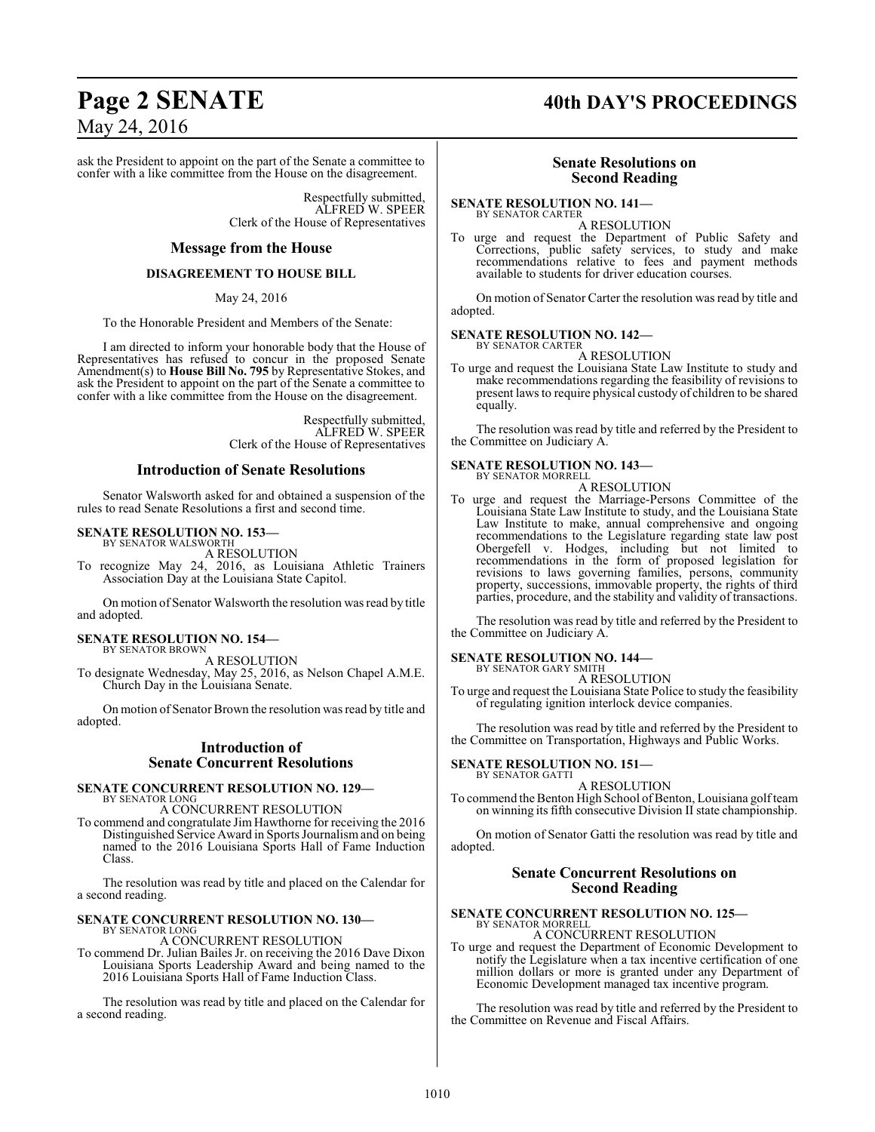# **Page 2 SENATE 40th DAY'S PROCEEDINGS**

ask the President to appoint on the part of the Senate a committee to confer with a like committee from the House on the disagreement.

> Respectfully submitted, ALFRED W. SPEER Clerk of the House of Representatives

#### **Message from the House**

#### **DISAGREEMENT TO HOUSE BILL**

May 24, 2016

To the Honorable President and Members of the Senate:

I am directed to inform your honorable body that the House of Representatives has refused to concur in the proposed Senate Amendment(s) to **House Bill No. 795** by Representative Stokes, and ask the President to appoint on the part of the Senate a committee to confer with a like committee from the House on the disagreement.

> Respectfully submitted, ALFRED W. SPEER Clerk of the House of Representatives

#### **Introduction of Senate Resolutions**

Senator Walsworth asked for and obtained a suspension of the rules to read Senate Resolutions a first and second time.

#### **SENATE RESOLUTION NO. 153—** BY SENATOR WALSWORTH

A RESOLUTION

To recognize May 24, 2016, as Louisiana Athletic Trainers Association Day at the Louisiana State Capitol.

On motion of Senator Walsworth the resolution was read by title and adopted.

# **SENATE RESOLUTION NO. 154—** BY SENATOR BROWN

A RESOLUTION

To designate Wednesday, May 25, 2016, as Nelson Chapel A.M.E. Church Day in the Louisiana Senate.

On motion of Senator Brown the resolution was read by title and adopted.

#### **Introduction of Senate Concurrent Resolutions**

#### **SENATE CONCURRENT RESOLUTION NO. 129—** BY SENATOR LONG

A CONCURRENT RESOLUTION

To commend and congratulate Jim Hawthorne for receiving the 2016 Distinguished Service Award in Sports Journalismand on being named to the 2016 Louisiana Sports Hall of Fame Induction Class.

The resolution was read by title and placed on the Calendar for a second reading.

#### **SENATE CONCURRENT RESOLUTION NO. 130—** BY SENATOR LONG

A CONCURRENT RESOLUTION

To commend Dr. Julian Bailes Jr. on receiving the 2016 Dave Dixon Louisiana Sports Leadership Award and being named to the 2016 Louisiana Sports Hall of Fame Induction Class.

The resolution was read by title and placed on the Calendar for a second reading.

#### **Senate Resolutions on Second Reading**

**SENATE RESOLUTION NO. 141—** BY SENATOR CARTER

A RESOLUTION

To urge and request the Department of Public Safety and Corrections, public safety services, to study and make recommendations relative to fees and payment methods available to students for driver education courses.

On motion of Senator Carter the resolution was read by title and adopted.

#### **SENATE RESOLUTION NO. 142—** BY SENATOR CARTER

A RESOLUTION

To urge and request the Louisiana State Law Institute to study and make recommendations regarding the feasibility of revisions to present laws to require physical custody of children to be shared equally.

The resolution was read by title and referred by the President to the Committee on Judiciary A.

#### **SENATE RESOLUTION NO. 143—** BY SENATOR MORRELL

A RESOLUTION

To urge and request the Marriage-Persons Committee of the Louisiana State Law Institute to study, and the Louisiana State Law Institute to make, annual comprehensive and ongoing recommendations to the Legislature regarding state law post Obergefell v. Hodges, including but not limited to recommendations in the form of proposed legislation for revisions to laws governing families, persons, community property, successions, immovable property, the rights of third parties, procedure, and the stability and validity of transactions.

The resolution was read by title and referred by the President to the Committee on Judiciary A.

# **SENATE RESOLUTION NO. 144—** BY SENATOR GARY SMITH

A RESOLUTION

To urge and request the Louisiana State Police to study the feasibility of regulating ignition interlock device companies.

The resolution was read by title and referred by the President to the Committee on Transportation, Highways and Public Works.

#### **SENATE RESOLUTION NO. 151—** BY SENATOR GATTI

A RESOLUTION

To commend the Benton High School of Benton, Louisiana golfteam on winning its fifth consecutive Division II state championship.

On motion of Senator Gatti the resolution was read by title and adopted.

#### **Senate Concurrent Resolutions on Second Reading**

#### **SENATE CONCURRENT RESOLUTION NO. 125—** BY SENATOR MORRELL

A CONCURRENT RESOLUTION To urge and request the Department of Economic Development to notify the Legislature when a tax incentive certification of one

million dollars or more is granted under any Department of Economic Development managed tax incentive program.

The resolution was read by title and referred by the President to the Committee on Revenue and Fiscal Affairs.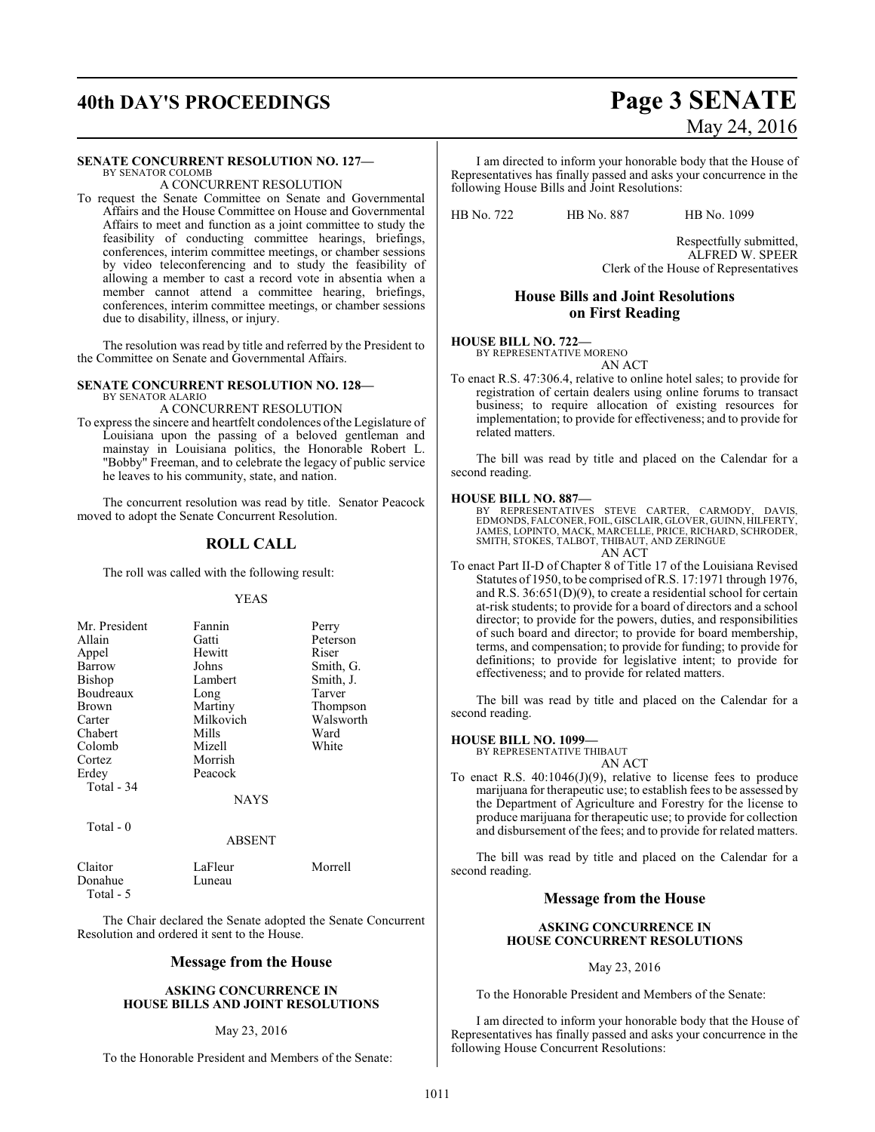# **40th DAY'S PROCEEDINGS Page 3 SENATE**

# May 24, 2016

#### **SENATE CONCURRENT RESOLUTION NO. 127—** BY SENATOR COLOMB

A CONCURRENT RESOLUTION

To request the Senate Committee on Senate and Governmental Affairs and the House Committee on House and Governmental Affairs to meet and function as a joint committee to study the feasibility of conducting committee hearings, briefings, conferences, interim committee meetings, or chamber sessions by video teleconferencing and to study the feasibility of allowing a member to cast a record vote in absentia when a member cannot attend a committee hearing, briefings, conferences, interim committee meetings, or chamber sessions due to disability, illness, or injury.

The resolution was read by title and referred by the President to the Committee on Senate and Governmental Affairs.

#### **SENATE CONCURRENT RESOLUTION NO. 128—** BY SENATOR ALARIO A CONCURRENT RESOLUTION

To express the sincere and heartfelt condolences ofthe Legislature of Louisiana upon the passing of a beloved gentleman and mainstay in Louisiana politics, the Honorable Robert L. "Bobby" Freeman, and to celebrate the legacy of public service he leaves to his community, state, and nation.

The concurrent resolution was read by title. Senator Peacock moved to adopt the Senate Concurrent Resolution.

## **ROLL CALL**

The roll was called with the following result:

#### YEAS

| Mr. President | Fannin      | Perry     |
|---------------|-------------|-----------|
| Allain        | Gatti       | Peterson  |
| Appel         | Hewitt      | Riser     |
| Barrow        | Johns       | Smith, G. |
| Bishop        | Lambert     | Smith, J. |
| Boudreaux     | Long        | Tarver    |
| <b>Brown</b>  | Martiny     | Thompson  |
| Carter        | Milkovich   | Walsworth |
| Chabert       | Mills       | Ward      |
| Colomb        | Mizell      | White     |
| Cortez        | Morrish     |           |
| Erdey         | Peacock     |           |
| Total - 34    |             |           |
|               | <b>NAYS</b> |           |
|               |             |           |

## Total - 0

ABSENT

| Claitor    | LaFleur | Morrell |
|------------|---------|---------|
| Donahue    | Luneau  |         |
| Total $-5$ |         |         |

The Chair declared the Senate adopted the Senate Concurrent Resolution and ordered it sent to the House.

## **Message from the House**

#### **ASKING CONCURRENCE IN HOUSE BILLS AND JOINT RESOLUTIONS**

#### May 23, 2016

To the Honorable President and Members of the Senate:

I am directed to inform your honorable body that the House of Representatives has finally passed and asks your concurrence in the following House Bills and Joint Resolutions:

HB No. 722 HB No. 887 HB No. 1099

Respectfully submitted, ALFRED W. SPEER Clerk of the House of Representatives

## **House Bills and Joint Resolutions on First Reading**

#### **HOUSE BILL NO. 722—**

BY REPRESENTATIVE MORENO AN ACT

To enact R.S. 47:306.4, relative to online hotel sales; to provide for registration of certain dealers using online forums to transact business; to require allocation of existing resources for implementation; to provide for effectiveness; and to provide for related matters.

The bill was read by title and placed on the Calendar for a second reading.

#### **HOUSE BILL NO. 887—**

BY REPRESENTATIVES STEVE CARTER, CARMODY, DAVIS, EDMONDS, FALCONER, FOIL, GISCLAIR, GLOVER, GUINN, HILFERTY, JAMES, LOPINTO, MACK, MARCELLE, PRICE, RICHARD, SCHRODER, SMITH, STOKES, TALBOT, THIBAUT, AND ZERINGUE AN ACT

To enact Part II-D of Chapter 8 of Title 17 of the Louisiana Revised Statutes of 1950, to be comprised ofR.S. 17:1971 through 1976, and R.S. 36:651(D)(9), to create a residential school for certain at-risk students; to provide for a board of directors and a school director; to provide for the powers, duties, and responsibilities of such board and director; to provide for board membership, terms, and compensation; to provide for funding; to provide for definitions; to provide for legislative intent; to provide for effectiveness; and to provide for related matters.

The bill was read by title and placed on the Calendar for a second reading.

#### **HOUSE BILL NO. 1099—**

BY REPRESENTATIVE THIBAUT AN ACT

To enact R.S. 40:1046(J)(9), relative to license fees to produce marijuana for therapeutic use; to establish fees to be assessed by the Department of Agriculture and Forestry for the license to produce marijuana for therapeutic use; to provide for collection and disbursement of the fees; and to provide for related matters.

The bill was read by title and placed on the Calendar for a second reading.

#### **Message from the House**

#### **ASKING CONCURRENCE IN HOUSE CONCURRENT RESOLUTIONS**

#### May 23, 2016

To the Honorable President and Members of the Senate:

I am directed to inform your honorable body that the House of Representatives has finally passed and asks your concurrence in the following House Concurrent Resolutions: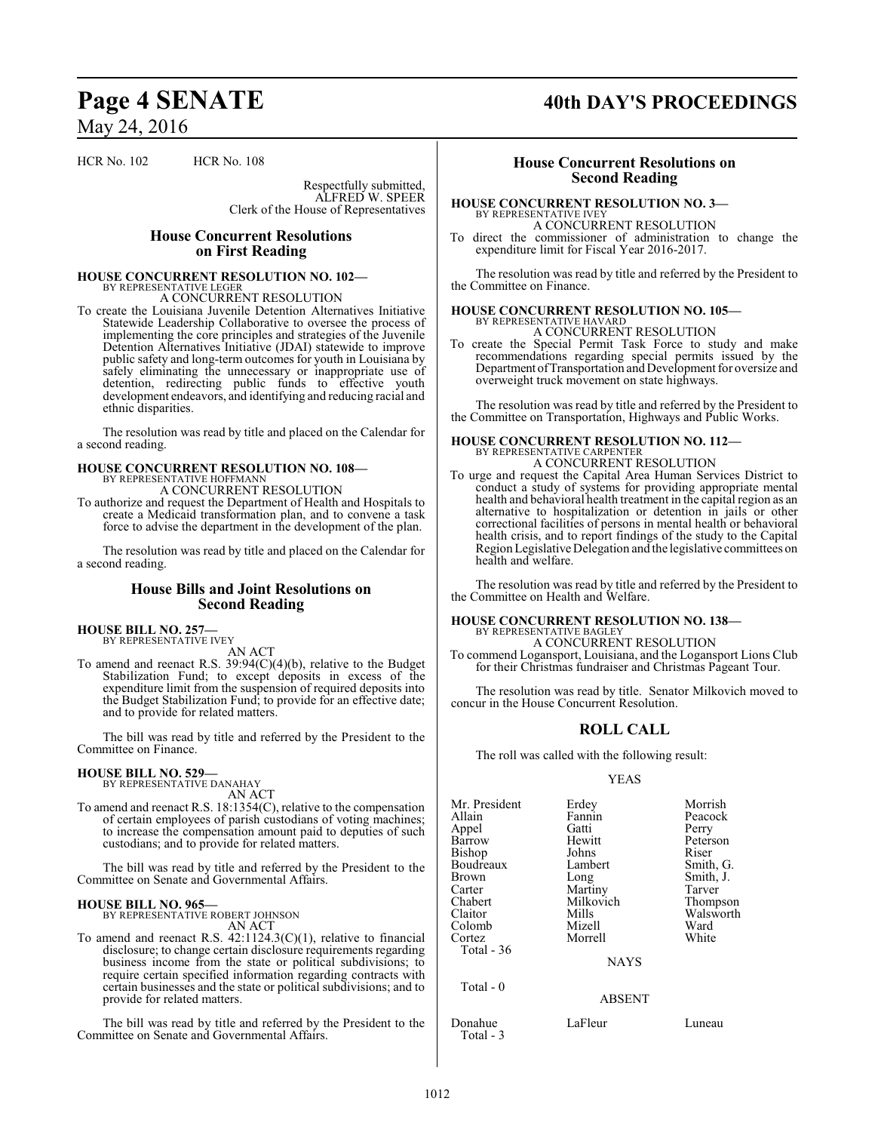HCR No. 102 HCR No. 108

Respectfully submitted, ALFRED W. SPEER Clerk of the House of Representatives

#### **House Concurrent Resolutions on First Reading**

#### **HOUSE CONCURRENT RESOLUTION NO. 102—** BY REPRESENTATIVE LEGER

A CONCURRENT RESOLUTION

To create the Louisiana Juvenile Detention Alternatives Initiative Statewide Leadership Collaborative to oversee the process of implementing the core principles and strategies of the Juvenile Detention Alternatives Initiative (JDAI) statewide to improve public safety and long-term outcomes for youth in Louisiana by safely eliminating the unnecessary or inappropriate use of detention, redirecting public funds to effective youth development endeavors, and identifying and reducing racial and ethnic disparities.

The resolution was read by title and placed on the Calendar for a second reading.

#### **HOUSE CONCURRENT RESOLUTION NO. 108—** BY REPRESENTATIVE HOFFMANN

A CONCURRENT RESOLUTION

To authorize and request the Department of Health and Hospitals to create a Medicaid transformation plan, and to convene a task force to advise the department in the development of the plan.

The resolution was read by title and placed on the Calendar for a second reading.

#### **House Bills and Joint Resolutions on Second Reading**

#### **HOUSE BILL NO. 257—** BY REPRESENTATIVE IVEY

AN ACT

To amend and reenact R.S. 39:94(C)(4)(b), relative to the Budget Stabilization Fund; to except deposits in excess of the expenditure limit from the suspension of required deposits into the Budget Stabilization Fund; to provide for an effective date; and to provide for related matters.

The bill was read by title and referred by the President to the Committee on Finance.

#### **HOUSE BILL NO. 529—**

BY REPRESENTATIVE DANAHAY AN ACT

To amend and reenact R.S. 18:1354(C), relative to the compensation of certain employees of parish custodians of voting machines; to increase the compensation amount paid to deputies of such custodians; and to provide for related matters.

The bill was read by title and referred by the President to the Committee on Senate and Governmental Affairs.

#### **HOUSE BILL NO. 965—**

BY REPRESENTATIVE ROBERT JOHNSON AN ACT

To amend and reenact R.S. 42:1124.3(C)(1), relative to financial disclosure; to change certain disclosure requirements regarding business income from the state or political subdivisions; to require certain specified information regarding contracts with certain businesses and the state or political subdivisions; and to provide for related matters.

The bill was read by title and referred by the President to the Committee on Senate and Governmental Affairs.

# Page 4 **SENATE** 40th DAY'S PROCEEDINGS

### **House Concurrent Resolutions on Second Reading**

#### **HOUSE CONCURRENT RESOLUTION NO. 3—** BY REPRESENTATIVE IVEY

A CONCURRENT RESOLUTION

To direct the commissioner of administration to change the expenditure limit for Fiscal Year 2016-2017.

The resolution was read by title and referred by the President to the Committee on Finance.

#### **HOUSE CONCURRENT RESOLUTION NO. 105—** BY REPRESENTATIVE HAVARD

A CONCURRENT RESOLUTION

To create the Special Permit Task Force to study and make recommendations regarding special permits issued by the Department ofTransportation and Development for oversize and overweight truck movement on state highways.

The resolution was read by title and referred by the President to the Committee on Transportation, Highways and Public Works.

## **HOUSE CONCURRENT RESOLUTION NO. 112—** BY REPRESENTATIVE CARPENTER A CONCURRENT RESOLUTION

To urge and request the Capital Area Human Services District to conduct a study of systems for providing appropriate mental health and behavioral health treatment in the capital region as an alternative to hospitalization or detention in jails or other correctional facilities of persons in mental health or behavioral health crisis, and to report findings of the study to the Capital Region Legislative Delegation and the legislative committees on health and welfare.

The resolution was read by title and referred by the President to the Committee on Health and Welfare.

#### **HOUSE CONCURRENT RESOLUTION NO. 138—** BY REPRESENTATIVE BAGLEY

A CONCURRENT RESOLUTION

To commend Logansport, Louisiana, and the Logansport Lions Club for their Christmas fundraiser and Christmas Pageant Tour.

The resolution was read by title. Senator Milkovich moved to concur in the House Concurrent Resolution.

#### **ROLL CALL**

The roll was called with the following result:

#### YEAS

| Mr. President | Erdey         | Morrish   |
|---------------|---------------|-----------|
| Allain        | Fannin        | Peacock   |
| Appel         | Gatti         | Perry     |
| Barrow        | Hewitt        | Peterson  |
| Bishop        | Johns         | Riser     |
| Boudreaux     | Lambert       | Smith, G. |
| Brown         | Long          | Smith, J. |
| Carter        | Martiny       | Tarver    |
| Chabert       | Milkovich     | Thompson  |
| Claitor       | Mills         | Walsworth |
| Colomb        | Mizell        | Ward      |
| Cortez        | Morrell       | White     |
| Total - 36    |               |           |
|               | <b>NAYS</b>   |           |
| Total $-0$    |               |           |
|               | <b>ABSENT</b> |           |
| Donahue       | LaFleur       | Luneau    |

Total - 3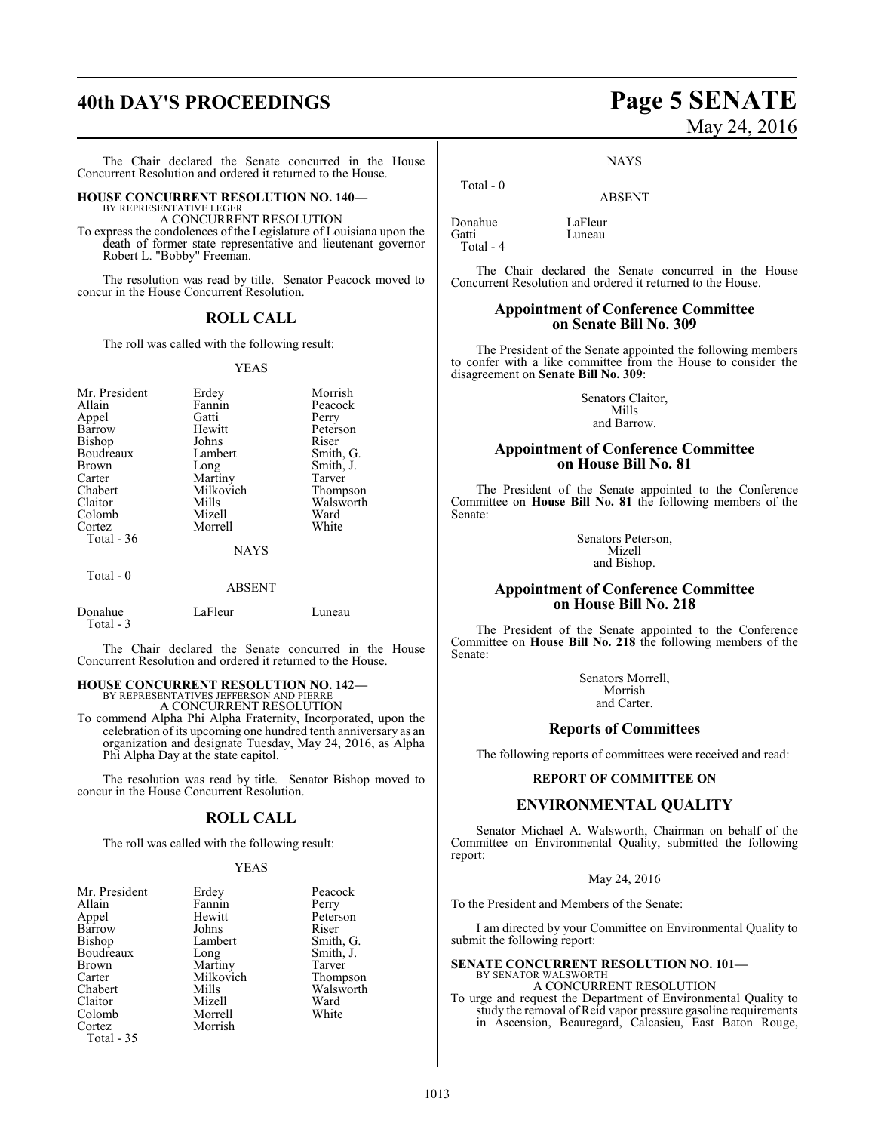# **40th DAY'S PROCEEDINGS Page 5 SENATE**

The Chair declared the Senate concurred in the House Concurrent Resolution and ordered it returned to the House.

#### **HOUSE CONCURRENT RESOLUTION NO. 140—** BY REPRESENTATIVE LEGER

A CONCURRENT RESOLUTION

To express the condolences of the Legislature of Louisiana upon the death of former state representative and lieutenant governor Robert L. "Bobby" Freeman.

The resolution was read by title. Senator Peacock moved to concur in the House Concurrent Resolution.

#### **ROLL CALL**

The roll was called with the following result:

#### YEAS

| Mr. President | Erdey       | Morrish   |
|---------------|-------------|-----------|
| Allain        | Fannin      | Peacock   |
| Appel         | Gatti       | Perry     |
| Barrow        | Hewitt      | Peterson  |
| Bishop        | Johns       | Riser     |
| Boudreaux     | Lambert     | Smith, G. |
| <b>Brown</b>  | Long        | Smith, J. |
| Carter        | Martiny     | Tarver    |
| Chabert       | Milkovich   | Thompson  |
| Claitor       | Mills       | Walsworth |
| Colomb        | Mizell      | Ward      |
| Cortez        | Morrell     | White     |
| Total - 36    |             |           |
|               | <b>NAYS</b> |           |
| Total - 0     |             |           |

#### ABSENT

| Donahue   | LaFleur | Luneau |
|-----------|---------|--------|
| Total - 3 |         |        |
|           |         |        |

The Chair declared the Senate concurred in the House Concurrent Resolution and ordered it returned to the House.

# **HOUSE CONCURRENT RESOLUTION NO. 142—** BY REPRESENTATIVES JEFFERSON AND PIERRE

A CONCURRENT RESOLUTION

To commend Alpha Phi Alpha Fraternity, Incorporated, upon the celebration of its upcoming one hundred tenth anniversary as an organization and designate Tuesday, May 24, 2016, as Alpha Phi Alpha Day at the state capitol.

The resolution was read by title. Senator Bishop moved to concur in the House Concurrent Resolution.

#### **ROLL CALL**

The roll was called with the following result:

#### YEAS

| Mr. President | Erdey     | Peacock   |
|---------------|-----------|-----------|
| Allain        | Fannin    | Perry     |
| Appel         | Hewitt    | Peterson  |
| Barrow        | Johns     | Riser     |
| Bishop        | Lambert   | Smith, G. |
| Boudreaux     | Long      | Smith, J. |
| <b>Brown</b>  | Martiny   | Tarver    |
| Carter        | Milkovich | Thompson  |
| Chabert       | Mills     | Walsworth |
| Claitor       | Mizell    | Ward      |
| Colomb        | Morrell   | White     |
| Cortez        | Morrish   |           |
| Total - 35    |           |           |

# May 24, 2016

**NAYS** 

ABSENT

Donahue LaFleur Total - 4

Total - 0

Luneau

The Chair declared the Senate concurred in the House Concurrent Resolution and ordered it returned to the House.

#### **Appointment of Conference Committee on Senate Bill No. 309**

The President of the Senate appointed the following members to confer with a like committee from the House to consider the disagreement on **Senate Bill No. 309**:

> Senators Claitor, Mills and Barrow.

#### **Appointment of Conference Committee on House Bill No. 81**

The President of the Senate appointed to the Conference Committee on **House Bill No. 81** the following members of the Senate:

> Senators Peterson, Mizell and Bishop.

#### **Appointment of Conference Committee on House Bill No. 218**

The President of the Senate appointed to the Conference Committee on **House Bill No. 218** the following members of the Senate:

> Senators Morrell, Morrish and Carter.

#### **Reports of Committees**

The following reports of committees were received and read:

#### **REPORT OF COMMITTEE ON**

#### **ENVIRONMENTAL QUALITY**

Senator Michael A. Walsworth, Chairman on behalf of the Committee on Environmental Quality, submitted the following report:

#### May 24, 2016

To the President and Members of the Senate:

I am directed by your Committee on Environmental Quality to submit the following report:

## **SENATE CONCURRENT RESOLUTION NO. 101—** BY SENATOR WALSWORTH A CONCURRENT RESOLUTION

To urge and request the Department of Environmental Quality to study the removal of Reid vapor pressure gasoline requirements in Ascension, Beauregard, Calcasieu, East Baton Rouge,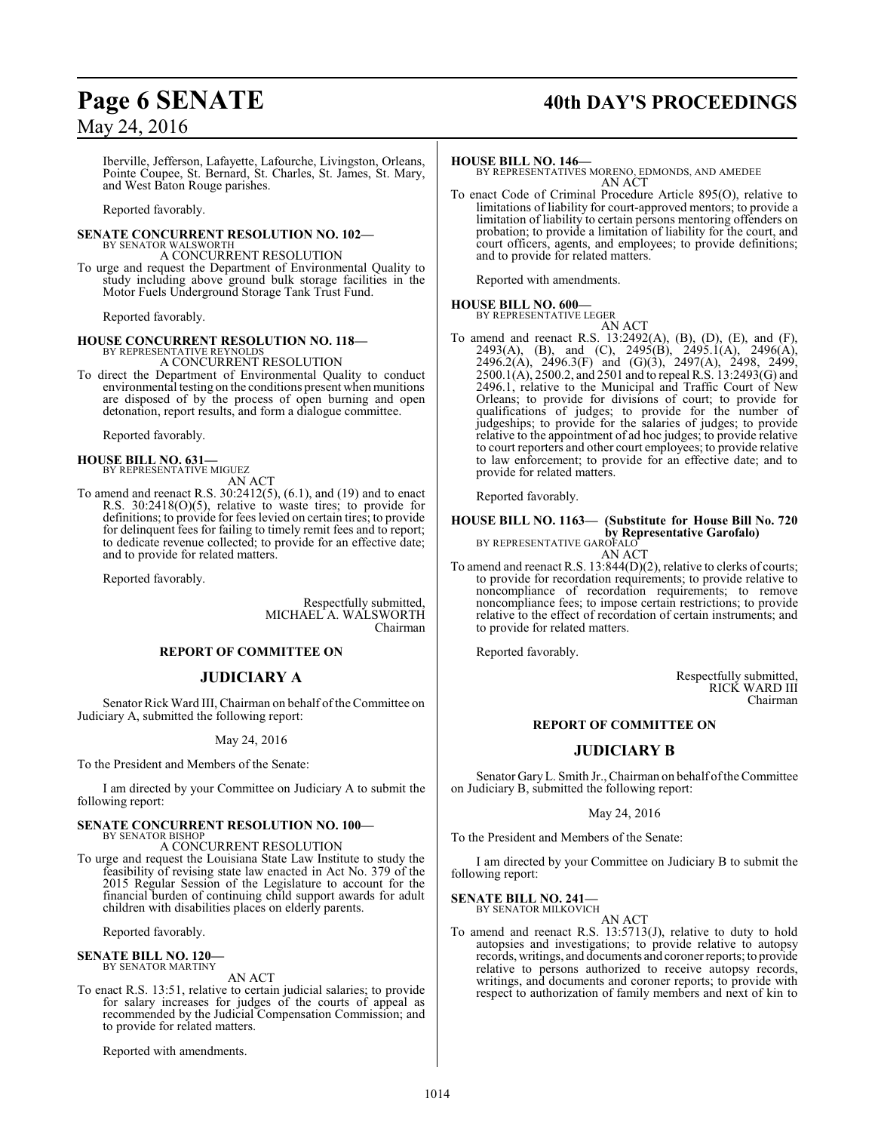# **Page 6 SENATE 40th DAY'S PROCEEDINGS**

## May 24, 2016

Iberville, Jefferson, Lafayette, Lafourche, Livingston, Orleans, Pointe Coupee, St. Bernard, St. Charles, St. James, St. Mary, and West Baton Rouge parishes.

Reported favorably.

#### **SENATE CONCURRENT RESOLUTION NO. 102—** BY SENATOR WALSWORTH

A CONCURRENT RESOLUTION

To urge and request the Department of Environmental Quality to study including above ground bulk storage facilities in the Motor Fuels Underground Storage Tank Trust Fund.

Reported favorably.

# **HOUSE CONCURRENT RESOLUTION NO. 118—** BY REPRESENTATIVE REYNOLDS

A CONCURRENT RESOLUTION

To direct the Department of Environmental Quality to conduct environmental testing on the conditions present when munitions are disposed of by the process of open burning and open detonation, report results, and form a dialogue committee.

Reported favorably.

**HOUSE BILL NO. 631—** BY REPRESENTATIVE MIGUEZ AN ACT

To amend and reenact R.S. 30:2412(5), (6.1), and (19) and to enact R.S. 30:2418(O)(5), relative to waste tires; to provide for definitions; to provide for fees levied on certain tires; to provide for delinquent fees for failing to timely remit fees and to report; to dedicate revenue collected; to provide for an effective date; and to provide for related matters.

Reported favorably.

Respectfully submitted, MICHAEL A. WALSWORTH Chairman

#### **REPORT OF COMMITTEE ON**

#### **JUDICIARY A**

Senator Rick Ward III, Chairman on behalf of the Committee on Judiciary A, submitted the following report:

#### May 24, 2016

To the President and Members of the Senate:

I am directed by your Committee on Judiciary A to submit the following report:

#### **SENATE CONCURRENT RESOLUTION NO. 100—**

BY SENATOR BISHOP A CONCURRENT RESOLUTION

To urge and request the Louisiana State Law Institute to study the feasibility of revising state law enacted in Act No. 379 of the 2015 Regular Session of the Legislature to account for the financial burden of continuing child support awards for adult children with disabilities places on elderly parents.

Reported favorably.

## **SENATE BILL NO. 120—** BY SENATOR MARTINY

AN ACT

To enact R.S. 13:51, relative to certain judicial salaries; to provide for salary increases for judges of the courts of appeal as recommended by the Judicial Compensation Commission; and to provide for related matters.

Reported with amendments.

#### **HOUSE BILL NO. 146—**

BY REPRESENTATIVES MORENO, EDMONDS, AND AMEDEE AN ACT

To enact Code of Criminal Procedure Article 895(O), relative to limitations of liability for court-approved mentors; to provide a limitation of liability to certain persons mentoring offenders on probation; to provide a limitation of liability for the court, and court officers, agents, and employees; to provide definitions; and to provide for related matters.

Reported with amendments.

### **HOUSE BILL NO. 600—**

BY REPRESENTATIVE LEGER AN ACT

To amend and reenact R.S. 13:2492(A), (B), (D), (E), and (F), 2493(A), (B), and (C), 2495(B), 2495.1(A), 2496(A), 2496.2(A), 2496.3(F) and (G)(3), 2497(A), 2498, 2499, 2500.1(A), 2500.2, and 2501 and to repeal R.S. 13:2493(G) and 2496.1, relative to the Municipal and Traffic Court of New Orleans; to provide for divisions of court; to provide for qualifications of judges; to provide for the number of judgeships; to provide for the salaries of judges; to provide relative to the appointment of ad hoc judges; to provide relative to court reporters and other court employees; to provide relative to law enforcement; to provide for an effective date; and to provide for related matters.

Reported favorably.

## **HOUSE BILL NO. 1163— (Substitute for House Bill No. 720 by Representative Garofalo)**<br>BY REPRESENTATIVE GAROFALO

AN ACT

To amend and reenact R.S. 13:844(D)(2), relative to clerks of courts; to provide for recordation requirements; to provide relative to noncompliance of recordation requirements; to remove noncompliance fees; to impose certain restrictions; to provide relative to the effect of recordation of certain instruments; and to provide for related matters.

Reported favorably.

Respectfully submitted, RICK WARD III Chairman

#### **REPORT OF COMMITTEE ON**

#### **JUDICIARY B**

Senator GaryL. Smith Jr., Chairman on behalf ofthe Committee on Judiciary B, submitted the following report:

#### May 24, 2016

To the President and Members of the Senate:

I am directed by your Committee on Judiciary B to submit the following report:

**SENATE BILL NO. 241—** BY SENATOR MILKOVICH

AN ACT

To amend and reenact R.S. 13:5713(J), relative to duty to hold autopsies and investigations; to provide relative to autopsy records, writings, and documents and coroner reports; to provide relative to persons authorized to receive autopsy records, writings, and documents and coroner reports; to provide with respect to authorization of family members and next of kin to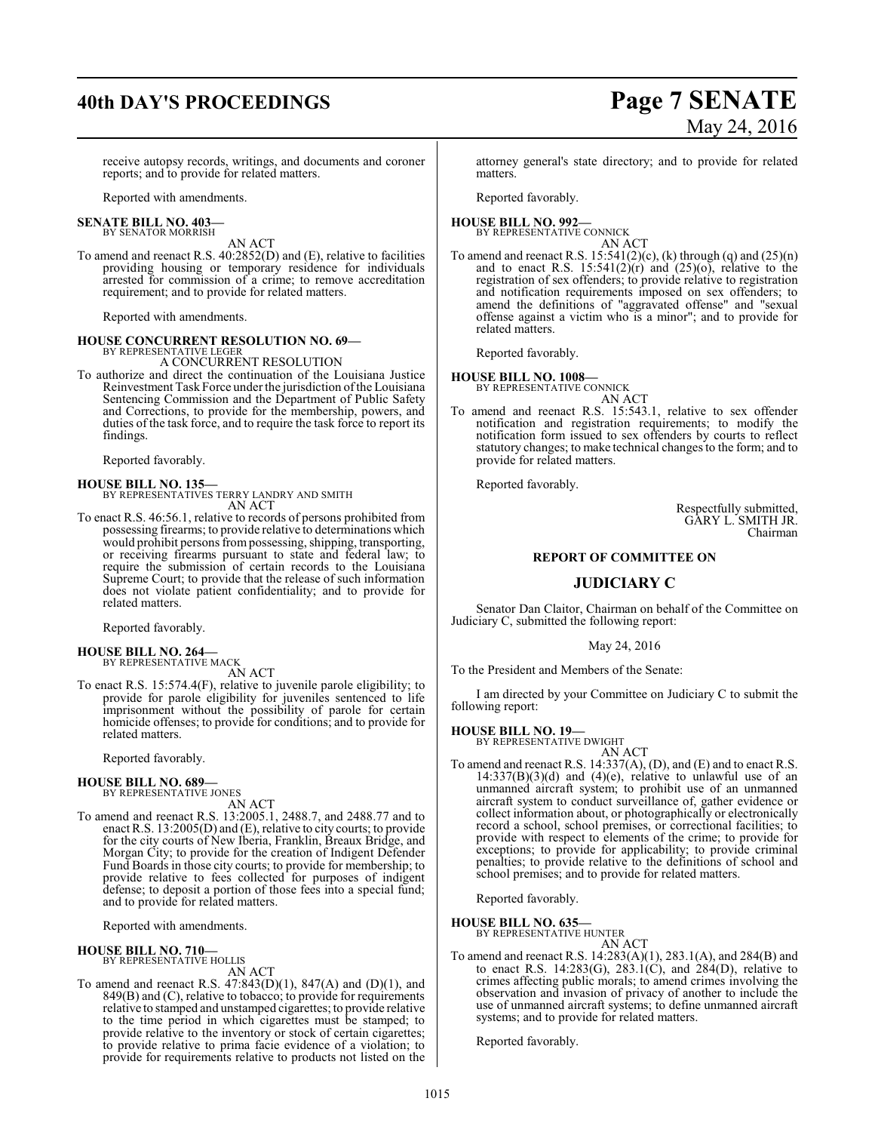# **40th DAY'S PROCEEDINGS Page 7 SENATE**

# May 24, 2016

receive autopsy records, writings, and documents and coroner reports; and to provide for related matters.

Reported with amendments.

#### **SENATE BILL NO. 403—** BY SENATOR MORRISH

AN ACT

To amend and reenact R.S. 40:2852(D) and (E), relative to facilities providing housing or temporary residence for individuals arrested for commission of a crime; to remove accreditation requirement; and to provide for related matters.

Reported with amendments.

# **HOUSE CONCURRENT RESOLUTION NO. 69—** BY REPRESENTATIVE LEGER

A CONCURRENT RESOLUTION

To authorize and direct the continuation of the Louisiana Justice Reinvestment Task Force under the jurisdiction of the Louisiana Sentencing Commission and the Department of Public Safety and Corrections, to provide for the membership, powers, and duties of the task force, and to require the task force to report its findings.

Reported favorably.

**HOUSE BILL NO. 135—** BY REPRESENTATIVES TERRY LANDRY AND SMITH AN ACT

To enact R.S. 46:56.1, relative to records of persons prohibited from possessing firearms; to provide relative to determinations which would prohibit persons frompossessing, shipping, transporting, or receiving firearms pursuant to state and federal law; to require the submission of certain records to the Louisiana Supreme Court; to provide that the release of such information does not violate patient confidentiality; and to provide for related matters.

Reported favorably.

**HOUSE BILL NO. 264—** BY REPRESENTATIVE MACK

AN ACT To enact R.S. 15:574.4(F), relative to juvenile parole eligibility; to provide for parole eligibility for juveniles sentenced to life imprisonment without the possibility of parole for certain homicide offenses; to provide for conditions; and to provide for related matters.

Reported favorably.

#### **HOUSE BILL NO. 689—**

BY REPRESENTATIVE JONES

AN ACT

To amend and reenact R.S. 13:2005.1, 2488.7, and 2488.77 and to enact R.S. 13:2005(D) and (E), relative to city courts; to provide for the city courts of New Iberia, Franklin, Breaux Bridge, and Morgan City; to provide for the creation of Indigent Defender Fund Boards in those city courts; to provide for membership; to provide relative to fees collected for purposes of indigent defense; to deposit a portion of those fees into a special fund; and to provide for related matters.

Reported with amendments.

#### **HOUSE BILL NO. 710—** BY REPRESENTATIVE HOLLIS

AN ACT

To amend and reenact R.S.  $47:843(D)(1)$ ,  $847(A)$  and  $(D)(1)$ , and 849(B) and (C), relative to tobacco; to provide for requirements relative to stamped and unstamped cigarettes; to provide relative to the time period in which cigarettes must be stamped; to provide relative to the inventory or stock of certain cigarettes; to provide relative to prima facie evidence of a violation; to provide for requirements relative to products not listed on the attorney general's state directory; and to provide for related matters.

Reported favorably.

#### **HOUSE BILL NO. 992—** BY REPRESENTATIVE CONNICK

AN ACT To amend and reenact R.S.  $15:541(2)(c)$ , (k) through (q) and  $(25)(n)$ and to enact R.S.  $15:541(2)(r)$  and  $(25)(0)$ , relative to the registration of sex offenders; to provide relative to registration and notification requirements imposed on sex offenders; to amend the definitions of "aggravated offense" and "sexual offense against a victim who is a minor"; and to provide for related matters.

Reported favorably.

#### **HOUSE BILL NO. 1008—**

BY REPRESENTATIVE CONNICK AN ACT

To amend and reenact R.S. 15:543.1, relative to sex offender notification and registration requirements; to modify the notification form issued to sex offenders by courts to reflect statutory changes; to make technical changes to the form; and to provide for related matters.

Reported favorably.

Respectfully submitted, GARY L. SMITH JR. Chairman

#### **REPORT OF COMMITTEE ON**

#### **JUDICIARY C**

Senator Dan Claitor, Chairman on behalf of the Committee on Judiciary C, submitted the following report:

#### May 24, 2016

To the President and Members of the Senate:

I am directed by your Committee on Judiciary C to submit the following report:

#### **HOUSE BILL NO. 19—**

BY REPRESENTATIVE DWIGHT

AN ACT To amend and reenact R.S. 14:337(A), (D), and (E) and to enact R.S.  $14:337(B)(3)(d)$  and  $(4)(e)$ , relative to unlawful use of an unmanned aircraft system; to prohibit use of an unmanned aircraft system to conduct surveillance of, gather evidence or collect information about, or photographically or electronically record a school, school premises, or correctional facilities; to provide with respect to elements of the crime; to provide for exceptions; to provide for applicability; to provide criminal penalties; to provide relative to the definitions of school and school premises; and to provide for related matters.

Reported favorably.

**HOUSE BILL NO. 635—**

BY REPRESENTATIVE HUNTER

- AN ACT
- To amend and reenact R.S. 14:283(A)(1), 283.1(A), and 284(B) and to enact R.S. 14:283(G), 283.1(C), and  $284(D)$ , relative to crimes affecting public morals; to amend crimes involving the observation and invasion of privacy of another to include the use of unmanned aircraft systems; to define unmanned aircraft systems; and to provide for related matters.

Reported favorably.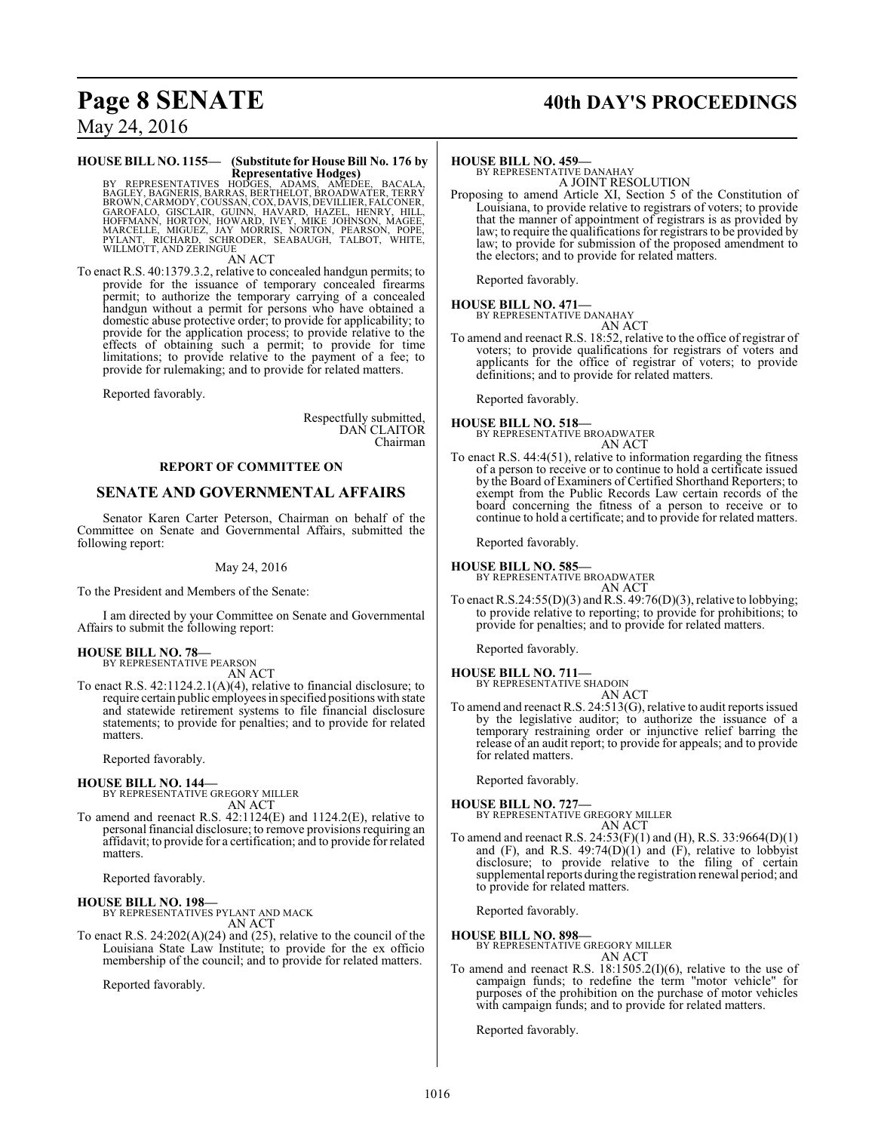# **Page 8 SENATE 40th DAY'S PROCEEDINGS**

May 24, 2016

#### **HOUSE BILL NO. 1155— (Substitute for House Bill No. 176 by Representative Hodges)**

BY REPRESENTATIVES HODGES, ADAMS, AMEDEE, BACALA,<br>BAGLEY,BAGNERIS,BARAS,BERTHELOT,BROADWATER,TERRY<br>BROWN,CARMODY,COUSSAN,COX,DAVIS,DEVILLIER,FALCONER,<br>GRAOFALO, GISCLAIR, GUINN, HAVARD, HAZEL, HENRY, HILL<br>HOFFMANN, HORTON,

AN ACT

To enact R.S. 40:1379.3.2, relative to concealed handgun permits; to provide for the issuance of temporary concealed firearms permit; to authorize the temporary carrying of a concealed handgun without a permit for persons who have obtained a domestic abuse protective order; to provide for applicability; to provide for the application process; to provide relative to the effects of obtaining such a permit; to provide for time limitations; to provide relative to the payment of a fee; to provide for rulemaking; and to provide for related matters.

Reported favorably.

Respectfully submitted, DAN CLAITOR Chairman

#### **REPORT OF COMMITTEE ON**

### **SENATE AND GOVERNMENTAL AFFAIRS**

Senator Karen Carter Peterson, Chairman on behalf of the Committee on Senate and Governmental Affairs, submitted the following report:

May 24, 2016

To the President and Members of the Senate:

I am directed by your Committee on Senate and Governmental Affairs to submit the following report:

#### **HOUSE BILL NO. 78—** BY REPRESENTATIVE PEARSON

AN ACT

To enact R.S. 42:1124.2.1(A)(4), relative to financial disclosure; to require certain public employees in specified positions with state and statewide retirement systems to file financial disclosure statements; to provide for penalties; and to provide for related matters.

Reported favorably.

#### **HOUSE BILL NO. 144—**

BY REPRESENTATIVE GREGORY MILLER AN ACT

To amend and reenact R.S. 42:1124(E) and 1124.2(E), relative to personal financial disclosure; to remove provisions requiring an affidavit; to provide for a certification; and to provide for related matters.

Reported favorably.

#### **HOUSE BILL NO. 198—**

BY REPRESENTATIVES PYLANT AND MACK AN ACT

To enact R.S. 24:202(A)(24) and (25), relative to the council of the Louisiana State Law Institute; to provide for the ex officio membership of the council; and to provide for related matters.

Reported favorably.

#### **HOUSE BILL NO. 459—**

BY REPRESENTATIVE DANAHAY A JOINT RESOLUTION

Proposing to amend Article XI, Section 5 of the Constitution of Louisiana, to provide relative to registrars of voters; to provide that the manner of appointment of registrars is as provided by law; to require the qualifications for registrars to be provided by law; to provide for submission of the proposed amendment to the electors; and to provide for related matters.

Reported favorably.

**HOUSE BILL NO. 471—** BY REPRESENTATIVE DANAHAY AN ACT

To amend and reenact R.S. 18:52, relative to the office of registrar of voters; to provide qualifications for registrars of voters and applicants for the office of registrar of voters; to provide definitions; and to provide for related matters.

Reported favorably.

**HOUSE BILL NO. 518—** BY REPRESENTATIVE BROADWATER AN ACT

To enact R.S. 44:4(51), relative to information regarding the fitness of a person to receive or to continue to hold a certificate issued by the Board of Examiners of Certified Shorthand Reporters; to exempt from the Public Records Law certain records of the board concerning the fitness of a person to receive or to continue to hold a certificate; and to provide for related matters.

Reported favorably.

#### **HOUSE BILL NO. 585—**

BY REPRESENTATIVE BROADWATER AN ACT

To enact R.S.24:55(D)(3) and R.S. 49:76(D)(3), relative to lobbying; to provide relative to reporting; to provide for prohibitions; to provide for penalties; and to provide for related matters.

Reported favorably.

# **HOUSE BILL NO. 711—** BY REPRESENTATIVE SHADOIN

AN ACT

To amend and reenact R.S. 24:513(G), relative to audit reports issued by the legislative auditor; to authorize the issuance of a temporary restraining order or injunctive relief barring the release of an audit report; to provide for appeals; and to provide for related matters.

Reported favorably.

**HOUSE BILL NO. 727—**

BY REPRESENTATIVE GREGORY MILLER AN ACT

To amend and reenact R.S. 24:53(F)(1) and (H), R.S. 33:9664(D)(1) and  $(F)$ , and R.S. 49:74 $(D)(1)$  and  $(F)$ , relative to lobbyist disclosure; to provide relative to the filing of certain supplemental reports during the registration renewal period; and to provide for related matters.

Reported favorably.

#### **HOUSE BILL NO. 898—**

BY REPRESENTATIVE GREGORY MILLER AN ACT

To amend and reenact R.S. 18:1505.2(I)(6), relative to the use of campaign funds; to redefine the term "motor vehicle" for purposes of the prohibition on the purchase of motor vehicles with campaign funds; and to provide for related matters.

Reported favorably.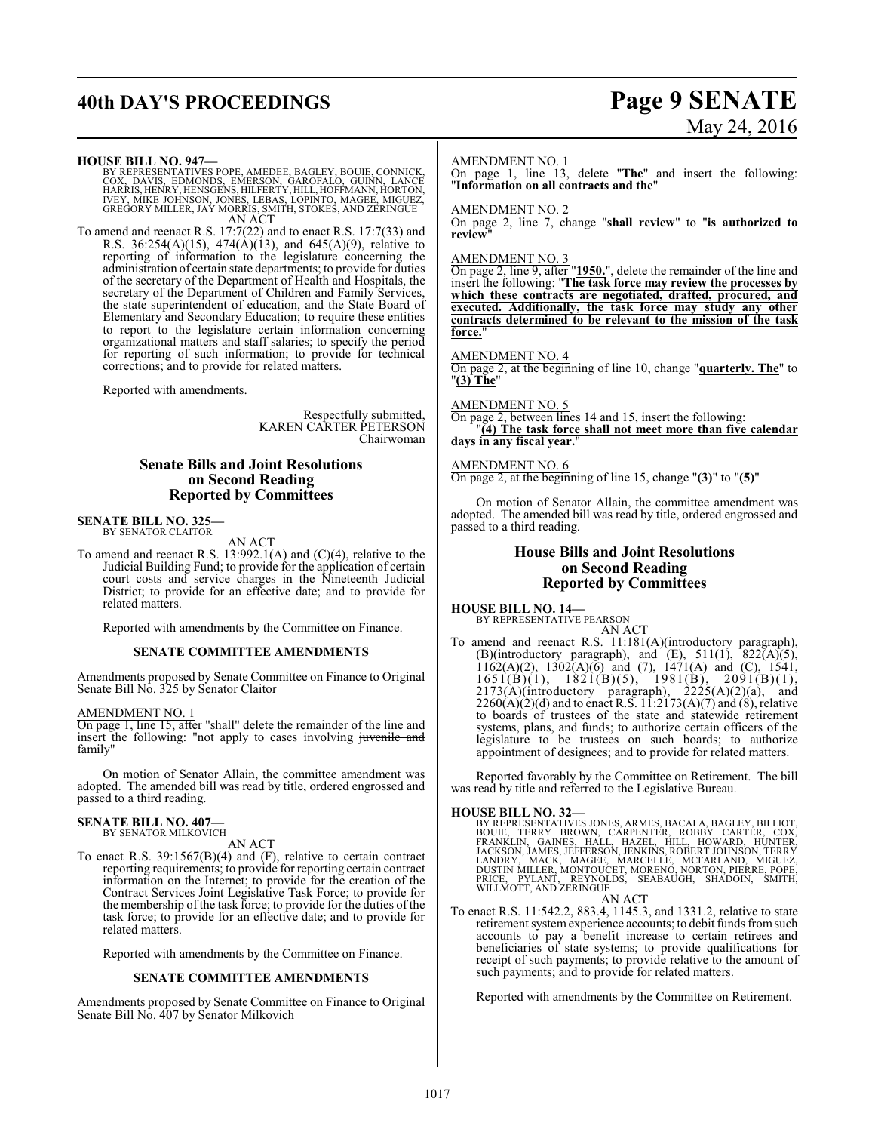# **40th DAY'S PROCEEDINGS Page 9 SENATE**

# May 24, 2016

**HOUSE BILL NO. 947—**

BY REPRESENTATIVES POPE, AMEDEE, BAGLEY, BOUIE, CONNICK,<br>COX, DAVIS, EDMONDS, EMERSON, GAROFALO, GUINN, LANCE<br>HARRIS,HENRY,HENSGENS,HILFERTY,HILL,HOFFMANN,HORTON,<br>IVEY, MIKE JOHNSON, JONES, LEBAS, LOPINTO, MAGEE, MIGUEZ,<br>G AN ACT

To amend and reenact R.S. 17:7(22) and to enact R.S. 17:7(33) and R.S. 36:254(A)(15), 474(A)(13), and 645(A)(9), relative to reporting of information to the legislature concerning the administration of certain state departments; to provide for duties of the secretary of the Department of Health and Hospitals, the secretary of the Department of Children and Family Services, the state superintendent of education, and the State Board of Elementary and Secondary Education; to require these entities to report to the legislature certain information concerning organizational matters and staff salaries; to specify the period for reporting of such information; to provide for technical corrections; and to provide for related matters.

Reported with amendments.

Respectfully submitted, KAREN CARTER PETERSON Chairwoman

### **Senate Bills and Joint Resolutions on Second Reading Reported by Committees**

#### **SENATE BILL NO. 325—** BY SENATOR CLAITOR

AN ACT

To amend and reenact R.S. 13:992.1(A) and (C)(4), relative to the Judicial Building Fund; to provide for the application of certain court costs and service charges in the Nineteenth Judicial District; to provide for an effective date; and to provide for related matters.

Reported with amendments by the Committee on Finance.

#### **SENATE COMMITTEE AMENDMENTS**

Amendments proposed by Senate Committee on Finance to Original Senate Bill No. 325 by Senator Claitor

#### AMENDMENT NO. 1

On page 1, line 15, after "shall" delete the remainder of the line and insert the following: "not apply to cases involving juvenile and family"

On motion of Senator Allain, the committee amendment was adopted. The amended bill was read by title, ordered engrossed and passed to a third reading.

#### **SENATE BILL NO. 407—** BY SENATOR MILKOVICH

AN ACT

To enact R.S. 39:1567(B)(4) and (F), relative to certain contract reporting requirements; to provide for reporting certain contract information on the Internet; to provide for the creation of the Contract Services Joint Legislative Task Force; to provide for the membership of the task force; to provide for the duties of the task force; to provide for an effective date; and to provide for related matters.

Reported with amendments by the Committee on Finance.

#### **SENATE COMMITTEE AMENDMENTS**

Amendments proposed by Senate Committee on Finance to Original Senate Bill No. 407 by Senator Milkovich

#### AMENDMENT NO. 1

On page 1, line 13, delete "**The**" and insert the following: "**Information on all contracts and the**"

AMENDMENT NO. 2

On page 2, line 7, change "**shall review**" to "**is authorized to review**"

#### AMENDMENT NO. 3

On page 2, line 9, after "**1950.**", delete the remainder of the line and insert the following: "**The task force may review the processes by which these contracts are negotiated, drafted, procured, and executed. Additionally, the task force may study any other contracts determined to be relevant to the mission of the task force.**"

#### AMENDMENT NO. 4

On page 2, at the beginning of line 10, change "**quarterly. The**" to "**(3) The**"

AMENDMENT NO. 5

On page 2, between lines 14 and 15, insert the following: "**(4) The task force shall not meet more than five calendar days in any fiscal year.**"

#### AMENDMENT NO. 6

On page 2, at the beginning of line 15, change "**(3)**" to "**(5)**"

On motion of Senator Allain, the committee amendment was adopted. The amended bill was read by title, ordered engrossed and passed to a third reading.

#### **House Bills and Joint Resolutions on Second Reading Reported by Committees**

#### **HOUSE BILL NO. 14—** BY REPRESENTATIVE PEARSON

AN ACT To amend and reenact R.S. 11:181(A)(introductory paragraph), (B)(introductory paragraph), and  $(E)$ , 511(1), 822 $\overline{(A)}(5)$ ,  $1162(A)(2)$ ,  $1302(A)(6)$  and (7),  $1471(A)$  and (C),  $1541$ ,  $1651(B)(1)$ ,  $1821(B)(5)$ ,  $1981(B)$ ,  $2091(B)(1)$ ,  $2173(A)$ (introductory paragraph),  $2225(A)(2)(a)$ , and  $2260(A)(2)(d)$  and to enact R.S. 11:2173(A)(7) and (8), relative to boards of trustees of the state and statewide retirement systems, plans, and funds; to authorize certain officers of the legislature to be trustees on such boards; to authorize appointment of designees; and to provide for related matters.

Reported favorably by the Committee on Retirement. The bill was read by title and referred to the Legislative Bureau.

#### **HOUSE BILL NO. 32—**

BY REPRESENTATIVES JONES, ARMES, BACALA, BAGILEY, BILLIOT, TERRICOT, TERNICOT, FRANKLIN, GARPENTER, ROBBY CARTÉR, TERNICIOT, FRANKLIN, GAINES, HALL, HAZEL, HILL, HOWARD, HUNTER, LANDRY, MARCK, MAGEE, MARCELLE, MCFARLAND, M

AN ACT To enact R.S. 11:542.2, 883.4, 1145.3, and 1331.2, relative to state retirement system experience accounts; to debit funds from such accounts to pay a benefit increase to certain retirees and beneficiaries of state systems; to provide qualifications for receipt of such payments; to provide relative to the amount of such payments; and to provide for related matters.

Reported with amendments by the Committee on Retirement.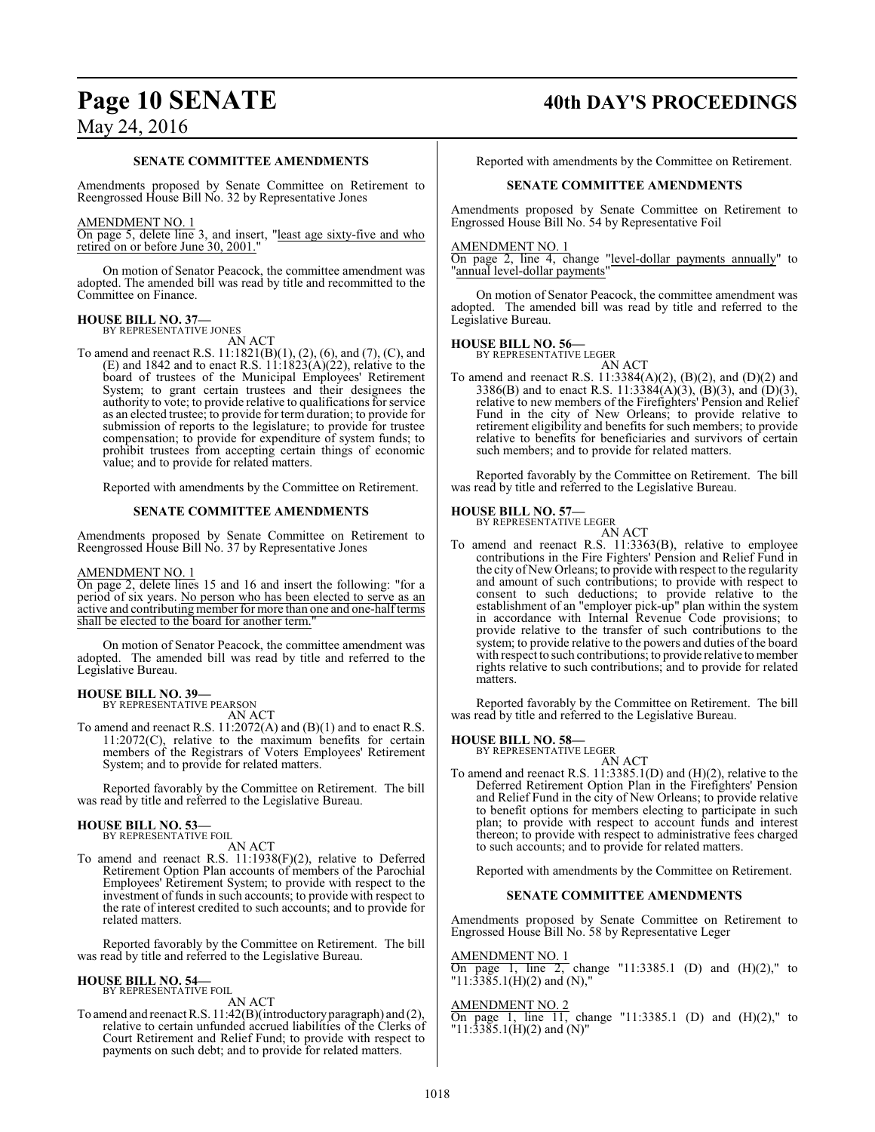# **Page 10 SENATE 40th DAY'S PROCEEDINGS**

#### **SENATE COMMITTEE AMENDMENTS**

Amendments proposed by Senate Committee on Retirement to Reengrossed House Bill No. 32 by Representative Jones

#### AMENDMENT NO. 1

On page 5, delete line 3, and insert, "least age sixty-five and who retired on or before June 30, 2001."

On motion of Senator Peacock, the committee amendment was adopted. The amended bill was read by title and recommitted to the Committee on Finance.

#### **HOUSE BILL NO. 37—** BY REPRESENTATIVE JONES

AN ACT To amend and reenact R.S. 11:1821(B)(1), (2), (6), and (7), (C), and (E) and 1842 and to enact R.S.  $11:1823(A)(22)$ , relative to the board of trustees of the Municipal Employees' Retirement System; to grant certain trustees and their designees the authority to vote; to provide relative to qualifications for service as an elected trustee; to provide for term duration; to provide for submission of reports to the legislature; to provide for trustee compensation; to provide for expenditure of system funds; to prohibit trustees from accepting certain things of economic value; and to provide for related matters.

Reported with amendments by the Committee on Retirement.

#### **SENATE COMMITTEE AMENDMENTS**

Amendments proposed by Senate Committee on Retirement to Reengrossed House Bill No. 37 by Representative Jones

#### AMENDMENT NO. 1

On page 2, delete lines 15 and 16 and insert the following: "for a period of six years. No person who has been elected to serve as an active and contributing member for more than one and one-halfterms shall be elected to the board for another term."

On motion of Senator Peacock, the committee amendment was adopted. The amended bill was read by title and referred to the Legislative Bureau.

#### **HOUSE BILL NO. 39—**

BY REPRESENTATIVE PEARSON AN ACT

To amend and reenact R.S. 11:2072(A) and (B)(1) and to enact R.S. 11:2072(C), relative to the maximum benefits for certain members of the Registrars of Voters Employees' Retirement System; and to provide for related matters.

Reported favorably by the Committee on Retirement. The bill was read by title and referred to the Legislative Bureau.

#### **HOUSE BILL NO. 53—** BY REPRESENTATIVE FOIL

AN ACT

To amend and reenact R.S. 11:1938(F)(2), relative to Deferred Retirement Option Plan accounts of members of the Parochial Employees' Retirement System; to provide with respect to the investment of funds in such accounts; to provide with respect to the rate of interest credited to such accounts; and to provide for related matters.

Reported favorably by the Committee on Retirement. The bill was read by title and referred to the Legislative Bureau.

## **HOUSE BILL NO. 54—**

BY REPRESENTATIVE FOIL AN ACT

To amend and reenact R.S. 11:42(B)(introductory paragraph) and (2), relative to certain unfunded accrued liabilities of the Clerks of Court Retirement and Relief Fund; to provide with respect to payments on such debt; and to provide for related matters.

Reported with amendments by the Committee on Retirement.

#### **SENATE COMMITTEE AMENDMENTS**

Amendments proposed by Senate Committee on Retirement to Engrossed House Bill No. 54 by Representative Foil

AMENDMENT NO. 1

On page 2, line 4, change "level-dollar payments annually" to "annual level-dollar payments"

On motion of Senator Peacock, the committee amendment was adopted. The amended bill was read by title and referred to the Legislative Bureau.

# **HOUSE BILL NO. 56—** BY REPRESENTATIVE LEGER

AN ACT

To amend and reenact R.S. 11:3384(A)(2), (B)(2), and (D)(2) and 3386(B) and to enact R.S. 11:3384(A)(3), (B)(3), and (D)(3), relative to new members of the Firefighters' Pension and Relief Fund in the city of New Orleans; to provide relative to retirement eligibility and benefits for such members; to provide relative to benefits for beneficiaries and survivors of certain such members; and to provide for related matters.

Reported favorably by the Committee on Retirement. The bill was read by title and referred to the Legislative Bureau.

# **HOUSE BILL NO. 57—** BY REPRESENTATIVE LEGER

AN ACT To amend and reenact R.S. 11:3363(B), relative to employee contributions in the Fire Fighters' Pension and Relief Fund in the city of New Orleans; to provide with respect to the regularity and amount of such contributions; to provide with respect to consent to such deductions; to provide relative to the establishment of an "employer pick-up" plan within the system in accordance with Internal Revenue Code provisions; to provide relative to the transfer of such contributions to the system; to provide relative to the powers and duties of the board with respect to such contributions; to provide relative to member rights relative to such contributions; and to provide for related matters.

Reported favorably by the Committee on Retirement. The bill was read by title and referred to the Legislative Bureau.

#### **HOUSE BILL NO. 58—**

BY REPRESENTATIVE LEGER AN ACT

To amend and reenact R.S. 11:3385.1(D) and (H)(2), relative to the Deferred Retirement Option Plan in the Firefighters' Pension and Relief Fund in the city of New Orleans; to provide relative to benefit options for members electing to participate in such plan; to provide with respect to account funds and interest thereon; to provide with respect to administrative fees charged to such accounts; and to provide for related matters.

Reported with amendments by the Committee on Retirement.

#### **SENATE COMMITTEE AMENDMENTS**

Amendments proposed by Senate Committee on Retirement to Engrossed House Bill No. 58 by Representative Leger

AMENDMENT NO. 1 On page 1, line 2, change "11:3385.1 (D) and  $(H)(2)$ ," to  $"11:3385.1(H)(2)$  and (N),'

#### AMENDMENT NO. 2

On page 1, line  $11$ , change "11:3385.1 (D) and  $(H)(2)$ ," to "11:3385.1(H)(2) and (N)"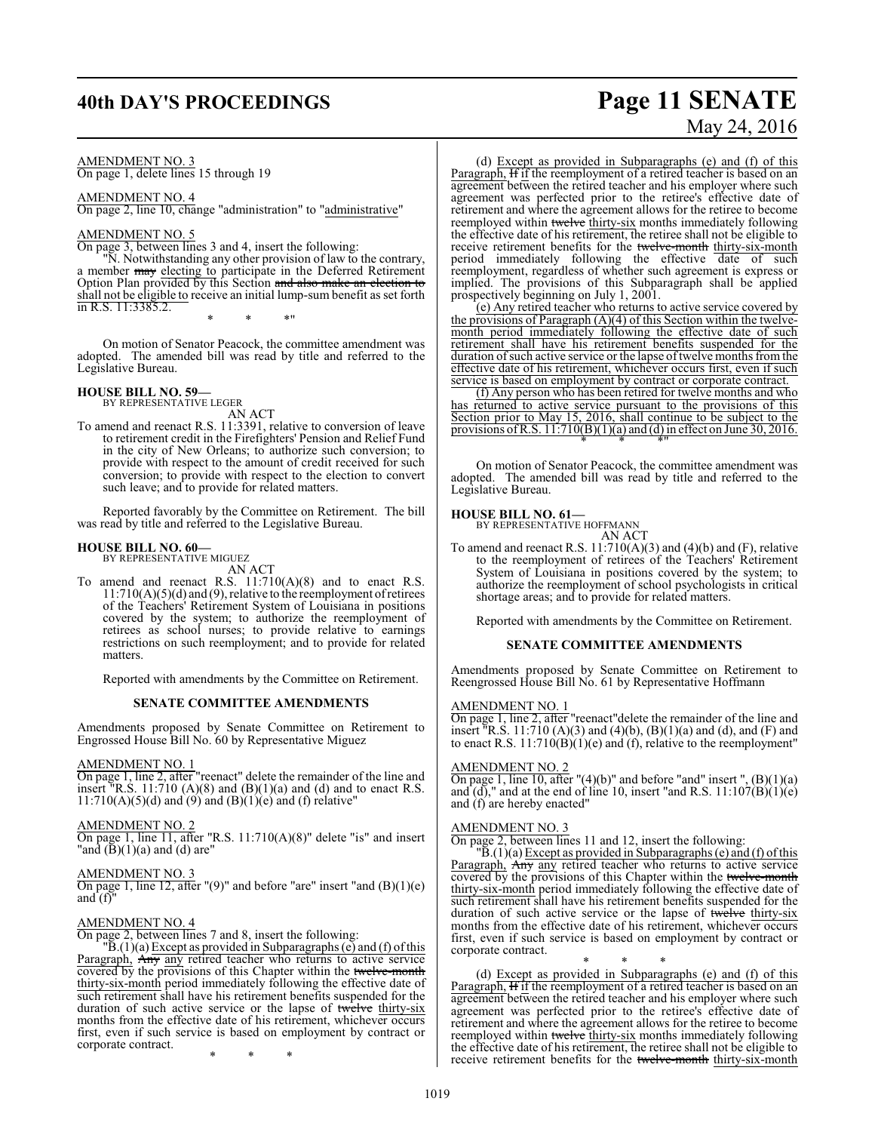# **40th DAY'S PROCEEDINGS Page 11 SENATE**

#### AMENDMENT NO. 3

On page 1, delete lines 15 through 19

#### AMENDMENT NO. 4

On page 2, line 10, change "administration" to "administrative"

#### AMENDMENT NO. 5

On page 3, between lines 3 and 4, insert the following:

"N. Notwithstanding any other provision of law to the contrary, a member may electing to participate in the Deferred Retirement Option Plan provided by this Section and also make an election to shall not be eligible to receive an initial lump-sum benefit as set forth in R.S. 11:3385.2.

\* \* \*"

On motion of Senator Peacock, the committee amendment was adopted. The amended bill was read by title and referred to the Legislative Bureau.

#### **HOUSE BILL NO. 59—**

BY REPRESENTATIVE LEGER AN ACT

To amend and reenact R.S. 11:3391, relative to conversion of leave to retirement credit in the Firefighters' Pension and Relief Fund in the city of New Orleans; to authorize such conversion; to provide with respect to the amount of credit received for such conversion; to provide with respect to the election to convert such leave; and to provide for related matters.

Reported favorably by the Committee on Retirement. The bill was read by title and referred to the Legislative Bureau.

#### **HOUSE BILL NO. 60—** BY REPRESENTATIVE MIGUEZ

AN ACT

To amend and reenact R.S. 11:710(A)(8) and to enact R.S. 11:710( $A$ )( $5$ )( $d$ ) and ( $9$ ), relative to the reemployment of retirees of the Teachers' Retirement System of Louisiana in positions covered by the system; to authorize the reemployment of retirees as school nurses; to provide relative to earnings restrictions on such reemployment; and to provide for related matters.

Reported with amendments by the Committee on Retirement.

#### **SENATE COMMITTEE AMENDMENTS**

Amendments proposed by Senate Committee on Retirement to Engrossed House Bill No. 60 by Representative Miguez

#### AMENDMENT NO. 1

On page 1, line 2, after "reenact" delete the remainder of the line and insert "R.S. 11:710  $(A)(8)$  and  $(B)(1)(a)$  and  $(d)$  and to enact R.S.  $11:710(A)(5)(d)$  and  $(9)$  and  $(B)(1)(e)$  and  $(f)$  relative"

#### AMENDMENT NO. 2

On page 1, line 11, after "R.S. 11:710(A)(8)" delete "is" and insert "and  $(\bar{B})(1)(a)$  and  $(d)$  are"

#### AMENDMENT NO. 3

On page 1, line 12, after "(9)" and before "are" insert "and (B)(1)(e) and  $(f)$ 

#### AMENDMENT NO. 4

On page 2, between lines 7 and 8, insert the following:

 $\overline{B}(1)(a)$  Except as provided in Subparagraphs (e) and (f) of this Paragraph, Any any retired teacher who returns to active service covered by the provisions of this Chapter within the twelve-month thirty-six-month period immediately following the effective date of such retirement shall have his retirement benefits suspended for the duration of such active service or the lapse of twelve thirty-six months from the effective date of his retirement, whichever occurs first, even if such service is based on employment by contract or corporate contract.

\* \* \*

# May 24, 2016

(d) Except as provided in Subparagraphs (e) and (f) of this Paragraph, If if the reemployment of a retired teacher is based on an agreement between the retired teacher and his employer where such agreement was perfected prior to the retiree's effective date of retirement and where the agreement allows for the retiree to become reemployed within twelve thirty-six months immediately following the effective date of his retirement, the retiree shall not be eligible to receive retirement benefits for the twelve-month thirty-six-month period immediately following the effective date of such reemployment, regardless of whether such agreement is express or implied. The provisions of this Subparagraph shall be applied prospectively beginning on July 1, 2001.

(e) Any retired teacher who returns to active service covered by the provisions of Paragraph (A)(4) of this Section within the twelvemonth period immediately following the effective date of such retirement shall have his retirement benefits suspended for the duration of such active service or the lapse of twelve months from the effective date of his retirement, whichever occurs first, even if such service is based on employment by contract or corporate contract.

(f) Any person who has been retired for twelve months and who has returned to active service pursuant to the provisions of this Section prior to May 15, 2016, shall continue to be subject to the provisions of R.S.  $11:710(B)(1)(a)$  and (d) in effect on June 30, 2016. \* \* \*"

On motion of Senator Peacock, the committee amendment was adopted. The amended bill was read by title and referred to the Legislative Bureau.

# **HOUSE BILL NO. 61—** BY REPRESENTATIVE HOFFMANN

AN ACT

To amend and reenact R.S.  $11:710(A)(3)$  and  $(4)(b)$  and  $(F)$ , relative to the reemployment of retirees of the Teachers' Retirement System of Louisiana in positions covered by the system; to authorize the reemployment of school psychologists in critical shortage areas; and to provide for related matters.

Reported with amendments by the Committee on Retirement.

#### **SENATE COMMITTEE AMENDMENTS**

Amendments proposed by Senate Committee on Retirement to Reengrossed House Bill No. 61 by Representative Hoffmann

#### AMENDMENT NO. 1

On page 1, line 2, after "reenact"delete the remainder of the line and insert  $\overline{R}$ .S. 11:710 (A)(3) and (4)(b), (B)(1)(a) and (d), and (F) and to enact R.S.  $11:710(B)(1)(e)$  and (f), relative to the reemployment"

#### AMENDMENT NO. 2

On page 1, line 10, after " $(4)(b)$ " and before "and" insert ",  $(B)(1)(a)$ and  $(d)$ ," and at the end of line 10, insert "and R.S.  $11:107(B)(1)(e)$ and (f) are hereby enacted"

#### AMENDMENT NO. 3

On page 2, between lines 11 and 12, insert the following:

 $\overline{B}(1)(a)$  Except as provided in Subparagraphs (e) and (f) of this Paragraph, Any any retired teacher who returns to active service covered by the provisions of this Chapter within the twelve-month thirty-six-month period immediately following the effective date of such retirement shall have his retirement benefits suspended for the duration of such active service or the lapse of twelve thirty-six months from the effective date of his retirement, whichever occurs first, even if such service is based on employment by contract or corporate contract.

\* \* \* (d) Except as provided in Subparagraphs (e) and (f) of this Paragraph, If if the reemployment of a retired teacher is based on an agreement between the retired teacher and his employer where such agreement was perfected prior to the retiree's effective date of retirement and where the agreement allows for the retiree to become reemployed within twelve thirty-six months immediately following the effective date of his retirement, the retiree shall not be eligible to receive retirement benefits for the twelve-month thirty-six-month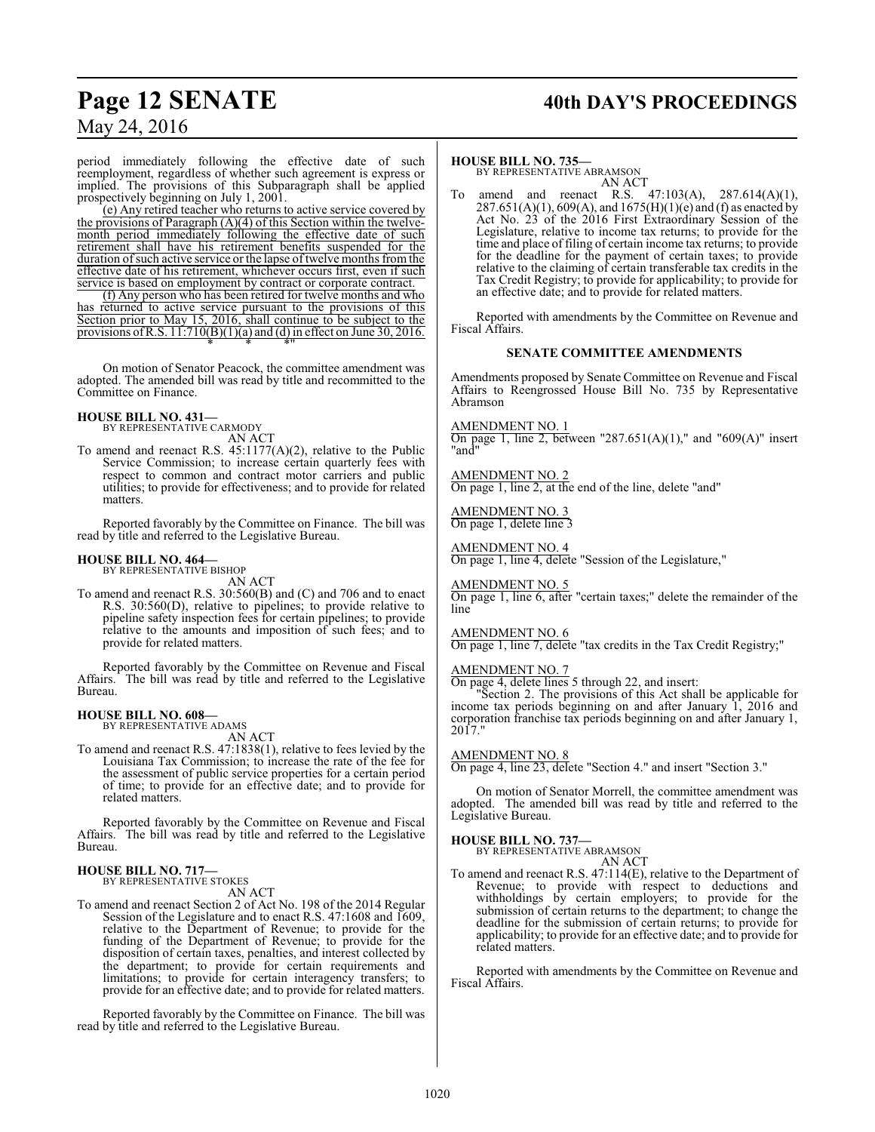# **Page 12 SENATE 40th DAY'S PROCEEDINGS**

## May 24, 2016

period immediately following the effective date of such reemployment, regardless of whether such agreement is express or implied. The provisions of this Subparagraph shall be applied prospectively beginning on July 1, 2001.

(e) Any retired teacher who returns to active service covered by the provisions of Paragraph (A)(4) of this Section within the twelvemonth period immediately following the effective date of such retirement shall have his retirement benefits suspended for the duration of such active service or the lapse of twelve months from the effective date of his retirement, whichever occurs first, even if such service is based on employment by contract or corporate contract.

(f) Any person who has been retired for twelve months and who has returned to active service pursuant to the provisions of this Section prior to May 15, 2016, shall continue to be subject to the provisions of R.S.  $11:710(B)(1)(a)$  and (d) in effect on June 30, 2016. \* \* \*"

On motion of Senator Peacock, the committee amendment was adopted. The amended bill was read by title and recommitted to the Committee on Finance.

# **HOUSE BILL NO. 431—** BY REPRESENTATIVE CARMODY

AN ACT

To amend and reenact R.S. 45:1177(A)(2), relative to the Public Service Commission; to increase certain quarterly fees with respect to common and contract motor carriers and public utilities; to provide for effectiveness; and to provide for related matters.

Reported favorably by the Committee on Finance. The bill was read by title and referred to the Legislative Bureau.

# **HOUSE BILL NO. 464—** BY REPRESENTATIVE BISHOP

AN ACT

To amend and reenact R.S. 30:560(B) and (C) and 706 and to enact R.S. 30:560(D), relative to pipelines; to provide relative to pipeline safety inspection fees for certain pipelines; to provide relative to the amounts and imposition of such fees; and to provide for related matters.

Reported favorably by the Committee on Revenue and Fiscal Affairs. The bill was read by title and referred to the Legislative Bureau.

## **HOUSE BILL NO. 608—** BY REPRESENTATIVE ADAMS

AN ACT

To amend and reenact R.S. 47:1838(1), relative to fees levied by the Louisiana Tax Commission; to increase the rate of the fee for the assessment of public service properties for a certain period of time; to provide for an effective date; and to provide for related matters.

Reported favorably by the Committee on Revenue and Fiscal Affairs. The bill was read by title and referred to the Legislative Bureau.

#### **HOUSE BILL NO. 717—** BY REPRESENTATIVE STOKES

AN ACT

To amend and reenact Section 2 of Act No. 198 of the 2014 Regular Session of the Legislature and to enact R.S. 47:1608 and 1609, relative to the Department of Revenue; to provide for the funding of the Department of Revenue; to provide for the disposition of certain taxes, penalties, and interest collected by the department; to provide for certain requirements and limitations; to provide for certain interagency transfers; to provide for an effective date; and to provide for related matters.

Reported favorably by the Committee on Finance. The bill was read by title and referred to the Legislative Bureau.

#### **HOUSE BILL NO. 735—**

BY REPRESENTATIVE ABRAMSON AN ACT

To amend and reenact R.S. 47:103(A), 287.614(A)(1),  $287.651(A)(1)$ , 609(A), and 1675(H)(1)(e) and (f) as enacted by Act No. 23 of the 2016 First Extraordinary Session of the Legislature, relative to income tax returns; to provide for the time and place of filing of certain income tax returns; to provide for the deadline for the payment of certain taxes; to provide relative to the claiming of certain transferable tax credits in the Tax Credit Registry; to provide for applicability; to provide for an effective date; and to provide for related matters.

Reported with amendments by the Committee on Revenue and Fiscal Affairs.

#### **SENATE COMMITTEE AMENDMENTS**

Amendments proposed by Senate Committee on Revenue and Fiscal Affairs to Reengrossed House Bill No. 735 by Representative Abramson

#### AMENDMENT NO. 1

On page 1, line 2, between "287.651(A)(1)," and "609(A)" insert "and"

#### AMENDMENT NO. 2

On page 1, line 2, at the end of the line, delete "and"

AMENDMENT NO. 3 On page 1, delete line 3

AMENDMENT NO. 4 On page 1, line 4, delete "Session of the Legislature,"

AMENDMENT NO. 5 On page 1, line 6, after "certain taxes;" delete the remainder of the line

#### AMENDMENT NO. 6

On page 1, line 7, delete "tax credits in the Tax Credit Registry;"

#### AMENDMENT NO. 7

On page 4, delete lines 5 through 22, and insert:

"Section 2. The provisions of this Act shall be applicable for income tax periods beginning on and after January 1, 2016 and corporation franchise tax periods beginning on and after January 1, 2017."

#### AMENDMENT NO. 8

On page 4, line 23, delete "Section 4." and insert "Section 3."

On motion of Senator Morrell, the committee amendment was adopted. The amended bill was read by title and referred to the Legislative Bureau.

#### **HOUSE BILL NO. 737—**

BY REPRESENTATIVE ABRAMSON AN ACT

To amend and reenact R.S. 47:114(E), relative to the Department of Revenue; to provide with respect to deductions and withholdings by certain employers; to provide for the submission of certain returns to the department; to change the deadline for the submission of certain returns; to provide for applicability; to provide for an effective date; and to provide for related matters.

Reported with amendments by the Committee on Revenue and Fiscal Affairs.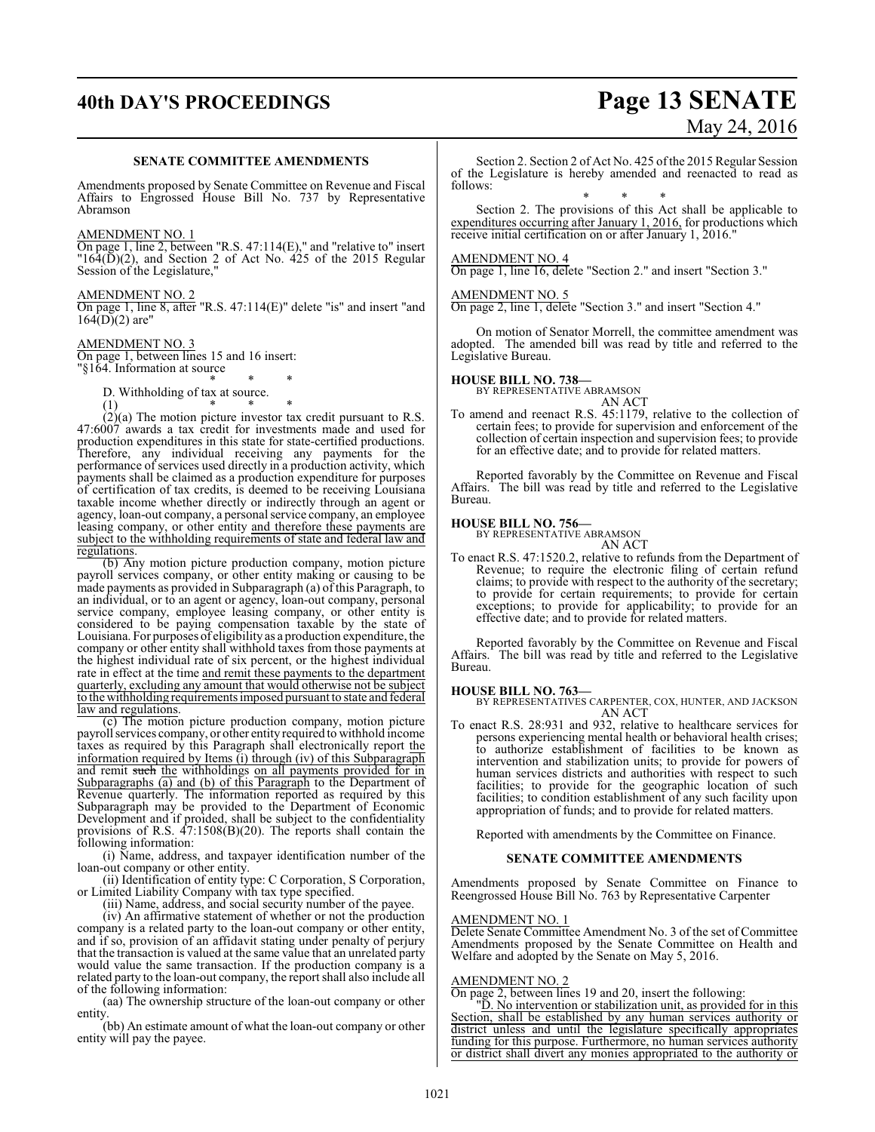# **40th DAY'S PROCEEDINGS Page 13 SENATE** May 24, 2016

#### **SENATE COMMITTEE AMENDMENTS**

Amendments proposed by Senate Committee on Revenue and Fiscal Affairs to Engrossed House Bill No. 737 by Representative Abramson

#### AMENDMENT NO. 1

On page 1, line 2, between "R.S. 47:114(E)," and "relative to" insert  $164(D)(2)$ , and Section 2 of Act No. 425 of the 2015 Regular Session of the Legislature,"

#### AMENDMENT NO. 2

On page 1, line 8, after "R.S. 47:114(E)" delete "is" and insert "and  $164(D)(2)$  are"

#### AMENDMENT NO. 3

On page 1, between lines 15 and 16 insert: "§164. Information at source

#### \* \* \* D. Withholding of tax at source.

(1) \* \* \*

 $\ddot{2}(2)(a)$  The motion picture investor tax credit pursuant to R.S. 47:6007 awards a tax credit for investments made and used for production expenditures in this state for state-certified productions. Therefore, any individual receiving any payments for the performance of services used directly in a production activity, which payments shall be claimed as a production expenditure for purposes of certification of tax credits, is deemed to be receiving Louisiana taxable income whether directly or indirectly through an agent or agency, loan-out company, a personal service company, an employee leasing company, or other entity and therefore these payments are subject to the withholding requirements of state and federal law and regulations.

(b) Any motion picture production company, motion picture payroll services company, or other entity making or causing to be made payments as provided in Subparagraph (a) of this Paragraph, to an individual, or to an agent or agency, loan-out company, personal service company, employee leasing company, or other entity is considered to be paying compensation taxable by the state of Louisiana. For purposes of eligibility as a production expenditure, the company or other entity shall withhold taxes from those payments at the highest individual rate of six percent, or the highest individual rate in effect at the time and remit these payments to the department quarterly, excluding any amount that would otherwise not be subject to the withholding requirements imposed pursuant to state and federal law and regulations.

(c) The motion picture production company, motion picture payroll services company, or other entity required to withhold income taxes as required by this Paragraph shall electronically report the information required by Items (i) through (iv) of this Subparagraph and remit such the withholdings on all payments provided for in Subparagraphs  $\overline{a}$  and  $\overline{b}$  of this Paragraph to the Department of Revenue quarterly. The information reported as required by this Subparagraph may be provided to the Department of Economic Development and if proided, shall be subject to the confidentiality provisions of R.S. 47:1508(B)(20). The reports shall contain the following information:

(i) Name, address, and taxpayer identification number of the loan-out company or other entity.

(ii) Identification of entity type: C Corporation, S Corporation, or Limited Liability Company with tax type specified.

(iii) Name, address, and social security number of the payee.

(iv) An affirmative statement of whether or not the production company is a related party to the loan-out company or other entity, and if so, provision of an affidavit stating under penalty of perjury that the transaction is valued at the same value that an unrelated party would value the same transaction. If the production company is a related party to the loan-out company, the report shall also include all of the following information:

(aa) The ownership structure of the loan-out company or other entity.

(bb) An estimate amount of what the loan-out company or other entity will pay the payee.

Section 2. Section 2 of Act No. 425 of the 2015 Regular Session of the Legislature is hereby amended and reenacted to read as follows:

\* \* \* Section 2. The provisions of this Act shall be applicable to expenditures occurring after January 1, 2016, for productions which receive initial certification on or after January 1, 2016."

#### AMENDMENT NO. 4

On page 1, line 16, delete "Section 2." and insert "Section 3."

#### AMENDMENT NO. 5

On page 2, line 1, delete "Section 3." and insert "Section 4."

On motion of Senator Morrell, the committee amendment was adopted. The amended bill was read by title and referred to the Legislative Bureau.

#### **HOUSE BILL NO. 738—**

BY REPRESENTATIVE ABRAMSON

AN ACT To amend and reenact R.S. 45:1179, relative to the collection of certain fees; to provide for supervision and enforcement of the collection of certain inspection and supervision fees; to provide for an effective date; and to provide for related matters.

Reported favorably by the Committee on Revenue and Fiscal Affairs. The bill was read by title and referred to the Legislative Bureau.

#### **HOUSE BILL NO. 756—**

BY REPRESENTATIVE ABRAMSON AN ACT

To enact R.S. 47:1520.2, relative to refunds from the Department of Revenue; to require the electronic filing of certain refund claims; to provide with respect to the authority of the secretary; to provide for certain requirements; to provide for certain exceptions; to provide for applicability; to provide for an effective date; and to provide for related matters.

Reported favorably by the Committee on Revenue and Fiscal Affairs. The bill was read by title and referred to the Legislative Bureau.

#### **HOUSE BILL NO. 763—**

BY REPRESENTATIVES CARPENTER, COX, HUNTER, AND JACKSON AN ACT

To enact R.S. 28:931 and 932, relative to healthcare services for persons experiencing mental health or behavioral health crises; to authorize establishment of facilities to be known as intervention and stabilization units; to provide for powers of human services districts and authorities with respect to such facilities; to provide for the geographic location of such facilities; to condition establishment of any such facility upon appropriation of funds; and to provide for related matters.

Reported with amendments by the Committee on Finance.

#### **SENATE COMMITTEE AMENDMENTS**

Amendments proposed by Senate Committee on Finance to Reengrossed House Bill No. 763 by Representative Carpenter

#### AMENDMENT NO. 1

Delete Senate Committee Amendment No. 3 of the set of Committee Amendments proposed by the Senate Committee on Health and Welfare and adopted by the Senate on May 5, 2016.

#### AMENDMENT NO. 2

On page 2, between lines 19 and 20, insert the following:

"D. No intervention or stabilization unit, as provided for in this Section, shall be established by any human services authority or district unless and until the legislature specifically appropriates funding for this purpose. Furthermore, no human services authority or district shall divert any monies appropriated to the authority or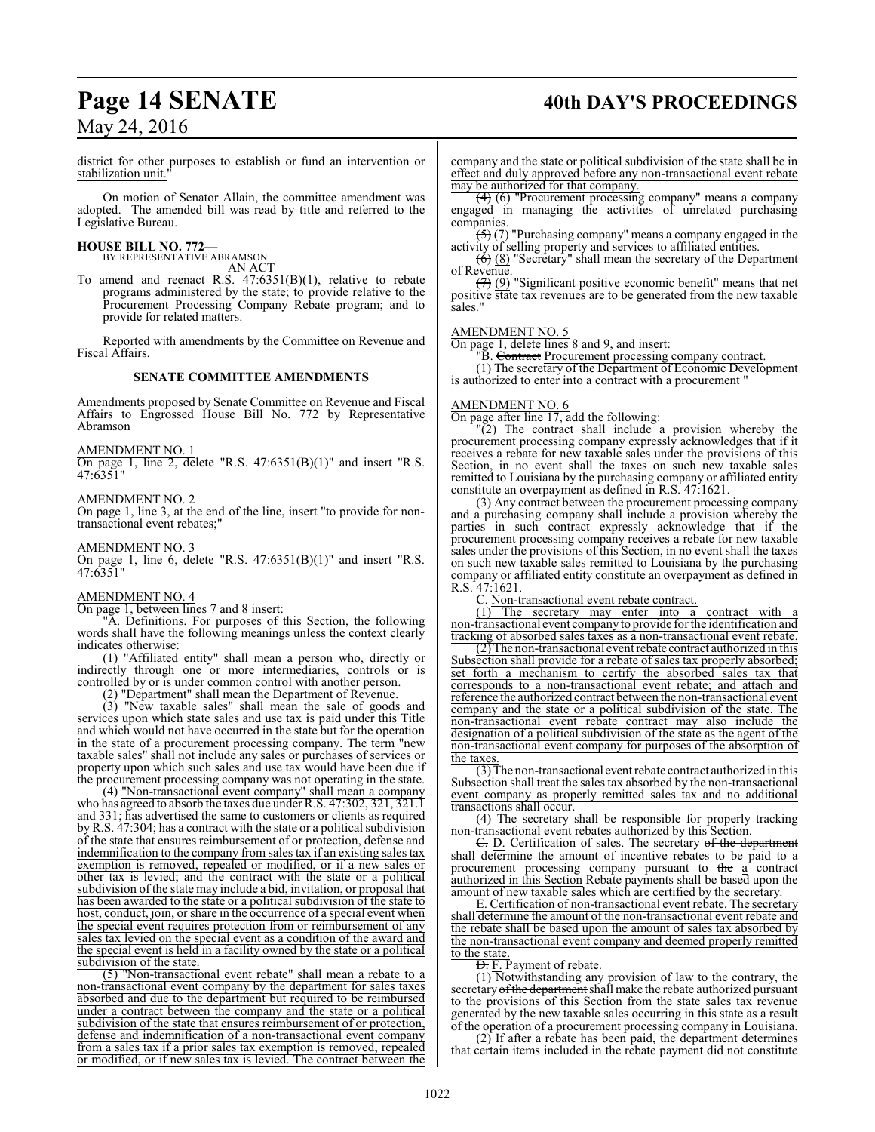# **Page 14 SENATE** 40th DAY'S PROCEEDINGS

May 24, 2016

district for other purposes to establish or fund an intervention or stabilization unit."

On motion of Senator Allain, the committee amendment was adopted. The amended bill was read by title and referred to the Legislative Bureau.

# **HOUSE BILL NO. 772—** BY REPRESENTATIVE ABRAMSON

AN ACT

To amend and reenact R.S. 47:6351(B)(1), relative to rebate programs administered by the state; to provide relative to the Procurement Processing Company Rebate program; and to provide for related matters.

Reported with amendments by the Committee on Revenue and Fiscal Affairs.

#### **SENATE COMMITTEE AMENDMENTS**

Amendments proposed by Senate Committee on Revenue and Fiscal Affairs to Engrossed House Bill No. 772 by Representative Abramson

AMENDMENT NO. 1

On page 1, line 2, delete "R.S.  $47:6351(B)(1)$ " and insert "R.S. 47:6351"

#### AMENDMENT NO. 2

On page 1, line 3, at the end of the line, insert "to provide for nontransactional event rebates;"

#### AMENDMENT NO. 3

On page 1, line 6, delete "R.S. 47:6351(B)(1)" and insert "R.S.  $47:6351$ 

#### AMENDMENT NO. 4

On page 1, between lines 7 and 8 insert:

"A. Definitions. For purposes of this Section, the following words shall have the following meanings unless the context clearly indicates otherwise:

(1) "Affiliated entity" shall mean a person who, directly or indirectly through one or more intermediaries, controls or is controlled by or is under common control with another person.

(2) "Department" shall mean the Department of Revenue.

(3) "New taxable sales" shall mean the sale of goods and services upon which state sales and use tax is paid under this Title and which would not have occurred in the state but for the operation in the state of a procurement processing company. The term "new taxable sales" shall not include any sales or purchases of services or property upon which such sales and use tax would have been due if the procurement processing company was not operating in the state.

(4) "Non-transactional event company" shall mean a company who has agreed to absorb the taxes due under R.S.  $47:302, 321, 321.1$ and 331; has advertised the same to customers or clients as required byR.S. 47:304; has a contract with the state or a political subdivision of the state that ensures reimbursement of or protection, defense and indemnification to the company from sales tax if an existing sales tax exemption is removed, repealed or modified, or if a new sales or other tax is levied; and the contract with the state or a political subdivision of the state may include a bid, invitation, or proposal that has been awarded to the state or a political subdivision of the state to host, conduct, join, or share in the occurrence of a special event when the special event requires protection from or reimbursement of any sales tax levied on the special event as a condition of the award and the special event is held in a facility owned by the state or a political subdivision of the state.

(5) "Non-transactional event rebate" shall mean a rebate to a non-transactional event company by the department for sales taxes absorbed and due to the department but required to be reimbursed under a contract between the company and the state or a political subdivision of the state that ensures reimbursement of or protection, defense and indemnification of a non-transactional event company from a sales tax if a prior sales tax exemption is removed, repealed or modified, or if new sales tax is levied. The contract between the

company and the state or political subdivision of the state shall be in effect and duly approved before any non-transactional event rebate may be authorized for that company.

(4) (6) "Procurement processing company" means a company engaged in managing the activities of unrelated purchasing companies.

(5) (7) "Purchasing company" means a company engaged in the activity of selling property and services to affiliated entities.

 $\left(\overline{6}\right)$  (8) "Secretary" shall mean the secretary of the Department of Revenue.

(7) (9) "Significant positive economic benefit" means that net positive state tax revenues are to be generated from the new taxable sales."

#### AMENDMENT NO. 5

On page 1, delete lines 8 and 9, and insert:

"B. Contract Procurement processing company contract.

(1) The secretary of the Department of Economic Development is authorized to enter into a contract with a procurement "

#### AMENDMENT NO. 6

On page after line 17, add the following:

"(2) The contract shall include a provision whereby the procurement processing company expressly acknowledges that if it receives a rebate for new taxable sales under the provisions of this Section, in no event shall the taxes on such new taxable sales remitted to Louisiana by the purchasing company or affiliated entity constitute an overpayment as defined in R.S. 47:1621.

(3) Any contract between the procurement processing company and a purchasing company shall include a provision whereby the parties in such contract expressly acknowledge that if the procurement processing company receives a rebate for new taxable sales under the provisions of this Section, in no event shall the taxes on such new taxable sales remitted to Louisiana by the purchasing company or affiliated entity constitute an overpayment as defined in R.S. 47:1621.

C. Non-transactional event rebate contract.

(1) The secretary may enter into a contract with a non-transactional event company to provide for the identification and tracking of absorbed sales taxes as a non-transactional event rebate.

(2) The non-transactional event rebate contract authorized in this Subsection shall provide for a rebate of sales tax properly absorbed; set forth a mechanism to certify the absorbed sales tax that corresponds to a non-transactional event rebate; and attach and reference the authorized contract between the non-transactional event company and the state or a political subdivision of the state. The non-transactional event rebate contract may also include the designation of a political subdivision of the state as the agent of the non-transactional event company for purposes of the absorption of the taxes.

(3) The non-transactional event rebate contract authorized in this Subsection shall treat the sales tax absorbed by the non-transactional event company as properly remitted sales tax and no additional transactions shall occur.

(4) The secretary shall be responsible for properly tracking non-transactional event rebates authorized by this Section.

E. D. Certification of sales. The secretary of the department shall determine the amount of incentive rebates to be paid to a procurement processing company pursuant to the a contract authorized in this Section Rebate payments shall be based upon the amount of new taxable sales which are certified by the secretary.

E. Certification of non-transactional event rebate. The secretary shall determine the amount of the non-transactional event rebate and the rebate shall be based upon the amount of sales tax absorbed by the non-transactional event company and deemed properly remitted to the state.

**D.** F. Payment of rebate.

 $(1)$  Notwithstanding any provision of law to the contrary, the secretary of the department shall make the rebate authorized pursuant to the provisions of this Section from the state sales tax revenue generated by the new taxable sales occurring in this state as a result of the operation of a procurement processing company in Louisiana.

(2) If after a rebate has been paid, the department determines that certain items included in the rebate payment did not constitute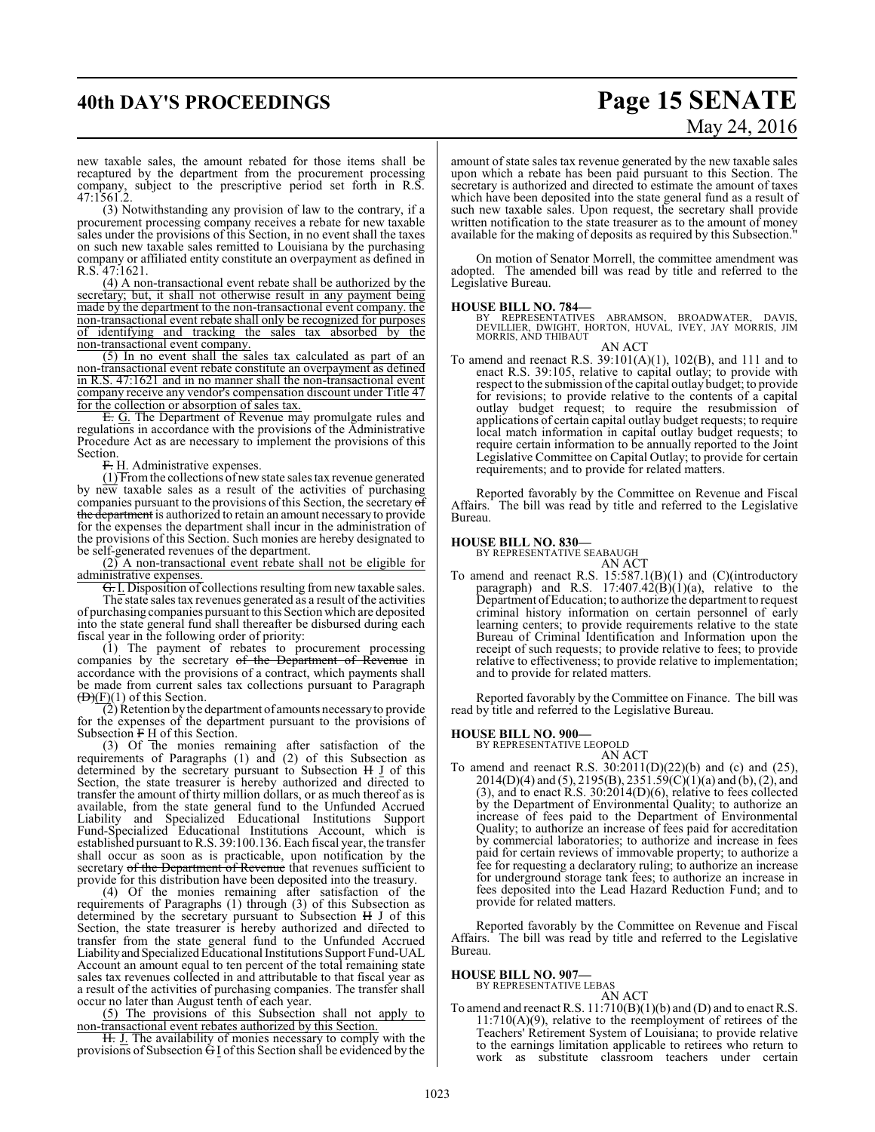# **40th DAY'S PROCEEDINGS Page 15 SENATE**

# May 24, 2016

new taxable sales, the amount rebated for those items shall be recaptured by the department from the procurement processing company, subject to the prescriptive period set forth in R.S. 47:1561.2.

(3) Notwithstanding any provision of law to the contrary, if a procurement processing company receives a rebate for new taxable sales under the provisions of this Section, in no event shall the taxes on such new taxable sales remitted to Louisiana by the purchasing company or affiliated entity constitute an overpayment as defined in R.S. 47:1621.

(4) A non-transactional event rebate shall be authorized by the secretary; but, it shall not otherwise result in any payment being made by the department to the non-transactional event company. the non-transactional event rebate shall only be recognized for purposes of identifying and tracking the sales tax absorbed by the non-transactional event company.

(5) In no event shall the sales tax calculated as part of an non-transactional event rebate constitute an overpayment as defined in R.S. 47:1621 and in no manner shall the non-transactional event company receive any vendor's compensation discount under Title 47 for the collection or absorption of sales tax.

E. G. The Department of Revenue may promulgate rules and regulations in accordance with the provisions of the Administrative Procedure Act as are necessary to implement the provisions of this Section.

F. H. Administrative expenses.

 $(1)$  From the collections of new state sales tax revenue generated by new taxable sales as a result of the activities of purchasing companies pursuant to the provisions of this Section, the secretary of the department is authorized to retain an amount necessary to provide for the expenses the department shall incur in the administration of the provisions of this Section. Such monies are hereby designated to be self-generated revenues of the department.

(2) A non-transactional event rebate shall not be eligible for administrative expenses.

G. I. Disposition of collections resulting fromnew taxable sales. The state sales tax revenues generated as a result of the activities of purchasing companies pursuant to this Section which are deposited into the state general fund shall thereafter be disbursed during each fiscal year in the following order of priority:

(1) The payment of rebates to procurement processing companies by the secretary of the Department of Revenue in accordance with the provisions of a contract, which payments shall be made from current sales tax collections pursuant to Paragraph  $\overline{(D)(F)}(1)$  of this Section.

(2) Retention by the department of amounts necessaryto provide for the expenses of the department pursuant to the provisions of Subsection  $F \underline{H}$  of this Section.

(3) Of the monies remaining after satisfaction of the requirements of Paragraphs (1) and (2) of this Subsection as determined by the secretary pursuant to Subsection H J of this Section, the state treasurer is hereby authorized and directed to transfer the amount of thirty million dollars, or as much thereof as is available, from the state general fund to the Unfunded Accrued Liability and Specialized Educational Institutions Support Fund-Specialized Educational Institutions Account, which is established pursuant to R.S. 39:100.136. Each fiscal year, the transfer shall occur as soon as is practicable, upon notification by the secretary of the Department of Revenue that revenues sufficient to provide for this distribution have been deposited into the treasury.

(4) Of the monies remaining after satisfaction of the requirements of Paragraphs (1) through (3) of this Subsection as determined by the secretary pursuant to Subsection H J of this Section, the state treasurer is hereby authorized and directed to transfer from the state general fund to the Unfunded Accrued Liability and Specialized Educational Institutions Support Fund-UAL Account an amount equal to ten percent of the total remaining state sales tax revenues collected in and attributable to that fiscal year as a result of the activities of purchasing companies. The transfer shall occur no later than August tenth of each year.

(5) The provisions of this Subsection shall not apply to non-transactional event rebates authorized by this Section.

H. J. The availability of monies necessary to comply with the provisions of Subsection G I of this Section shall be evidenced by the amount of state sales tax revenue generated by the new taxable sales upon which a rebate has been paid pursuant to this Section. The secretary is authorized and directed to estimate the amount of taxes which have been deposited into the state general fund as a result of such new taxable sales. Upon request, the secretary shall provide written notification to the state treasurer as to the amount of money available for the making of deposits as required by this Subsection."

On motion of Senator Morrell, the committee amendment was adopted. The amended bill was read by title and referred to the Legislative Bureau.

**HOUSE BILL NO. 784—**<br>BY REPRESENTATIVES ABRAMSON, BROADWATER, DAVIS,<br>DEVILLIER, DWIGHT, HORTON, HUVAL, IVEY, JAY MORRIS, JIM<br>MORRIS, AND THIBAUT AN ACT

To amend and reenact R.S. 39:101(A)(1), 102(B), and 111 and to enact R.S. 39:105, relative to capital outlay; to provide with respect to the submission of the capital outlay budget; to provide for revisions; to provide relative to the contents of a capital outlay budget request; to require the resubmission of applications of certain capital outlay budget requests; to require local match information in capital outlay budget requests; to require certain information to be annually reported to the Joint Legislative Committee on Capital Outlay; to provide for certain requirements; and to provide for related matters.

Reported favorably by the Committee on Revenue and Fiscal Affairs. The bill was read by title and referred to the Legislative Bureau.

#### **HOUSE BILL NO. 830—**

BY REPRESENTATIVE SEABAUGH

AN ACT To amend and reenact R.S. 15:587.1(B)(1) and (C)(introductory paragraph) and R.S.  $17:407.42(B)(1)(a)$ , relative to the Department ofEducation; to authorize the department to request criminal history information on certain personnel of early learning centers; to provide requirements relative to the state Bureau of Criminal Identification and Information upon the receipt of such requests; to provide relative to fees; to provide relative to effectiveness; to provide relative to implementation; and to provide for related matters.

Reported favorably by the Committee on Finance. The bill was read by title and referred to the Legislative Bureau.

#### **HOUSE BILL NO. 900—**

BY REPRESENTATIVE LEOPOLD

- AN ACT
- To amend and reenact R.S. 30:2011(D)(22)(b) and (c) and (25),  $2014(D)(4)$  and  $(5)$ ,  $2195(B)$ ,  $2351.59(C)(1)(a)$  and  $(b)$ ,  $(2)$ , and (3), and to enact R.S. 30:2014(D)(6), relative to fees collected by the Department of Environmental Quality; to authorize an increase of fees paid to the Department of Environmental Quality; to authorize an increase of fees paid for accreditation by commercial laboratories; to authorize and increase in fees paid for certain reviews of immovable property; to authorize a fee for requesting a declaratory ruling; to authorize an increase for underground storage tank fees; to authorize an increase in fees deposited into the Lead Hazard Reduction Fund; and to provide for related matters.

Reported favorably by the Committee on Revenue and Fiscal Affairs. The bill was read by title and referred to the Legislative Bureau.

**HOUSE BILL NO. 907—** BY REPRESENTATIVE LEBAS

AN ACT

To amend and reenact R.S. 11:710(B)(1)(b) and (D) and to enact R.S. 11:710(A)(9), relative to the reemployment of retirees of the Teachers' Retirement System of Louisiana; to provide relative to the earnings limitation applicable to retirees who return to work as substitute classroom teachers under certain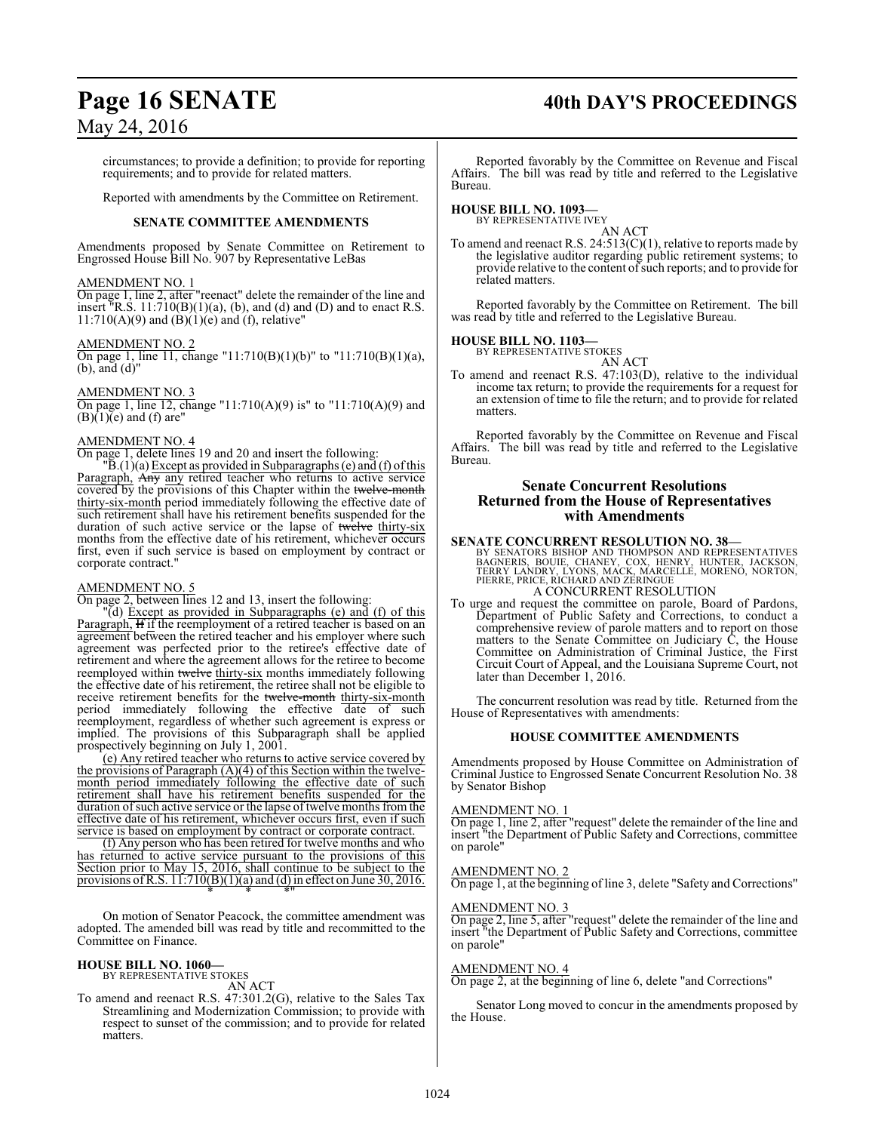# **Page 16 SENATE 40th DAY'S PROCEEDINGS**

## May 24, 2016

circumstances; to provide a definition; to provide for reporting requirements; and to provide for related matters.

Reported with amendments by the Committee on Retirement.

#### **SENATE COMMITTEE AMENDMENTS**

Amendments proposed by Senate Committee on Retirement to Engrossed House Bill No. 907 by Representative LeBas

#### AMENDMENT NO. 1

On page 1, line 2, after "reenact" delete the remainder of the line and insert <sup>"</sup>R.S.  $11:710(B)(1)(a)$ , (b), and (d) and (D) and to enact R.S.  $11:710(A)(9)$  and  $(\dot{B})(1)(e)$  and  $(f)$ , relative"

#### AMENDMENT NO. 2

On page 1, line 11, change "11:710(B)(1)(b)" to "11:710(B)(1)(a), (b), and (d)"

#### AMENDMENT NO. 3

On page 1, line 12, change "11:710(A)(9) is" to "11:710(A)(9) and  $(B)(1)(e)$  and  $(f)$  are"

#### AMENDMENT NO. 4

On page 1, delete lines 19 and 20 and insert the following:

 $\overline{B}$ .(1)(a) Except as provided in Subparagraphs (e) and (f) of this Paragraph, Any any retired teacher who returns to active service covered by the provisions of this Chapter within the twelve-month thirty-six-month period immediately following the effective date of such retirement shall have his retirement benefits suspended for the duration of such active service or the lapse of twelve thirty-six months from the effective date of his retirement, whichever occurs first, even if such service is based on employment by contract or corporate contract."

#### AMENDMENT NO. 5

On page 2, between lines 12 and 13, insert the following:

"(d) Except as provided in Subparagraphs (e) and (f) of this Paragraph, **H** if the reemployment of a retired teacher is based on an agreement between the retired teacher and his employer where such agreement was perfected prior to the retiree's effective date of retirement and where the agreement allows for the retiree to become reemployed within twelve thirty-six months immediately following the effective date of his retirement, the retiree shall not be eligible to receive retirement benefits for the twelve-month thirty-six-month period immediately following the effective date of such reemployment, regardless of whether such agreement is express or implied. The provisions of this Subparagraph shall be applied prospectively beginning on July 1, 2001.

(e) Any retired teacher who returns to active service covered by the provisions of Paragraph (A)(4) of this Section within the twelvemonth period immediately following the effective date of such retirement shall have his retirement benefits suspended for the duration of such active service or the lapse of twelve months from the effective date of his retirement, whichever occurs first, even if such service is based on employment by contract or corporate contract.

(f) Any person who has been retired for twelve months and who has returned to active service pursuant to the provisions of this Section prior to May 15, 2016, shall continue to be subject to the provisions of R.S.  $11:710(B)(1)(a)$  and (d) in effect on June 30, 2016. \* \* \*"

On motion of Senator Peacock, the committee amendment was adopted. The amended bill was read by title and recommitted to the Committee on Finance.

#### **HOUSE BILL NO. 1060—**

BY REPRESENTATIVE STOKES AN ACT

To amend and reenact R.S. 47:301.2(G), relative to the Sales Tax Streamlining and Modernization Commission; to provide with respect to sunset of the commission; and to provide for related matters.

Reported favorably by the Committee on Revenue and Fiscal Affairs. The bill was read by title and referred to the Legislative Bureau.

#### **HOUSE BILL NO. 1093—**

BY REPRESENTATIVE IVEY

AN ACT To amend and reenact R.S. 24:513(C)(1), relative to reports made by the legislative auditor regarding public retirement systems; to provide relative to the content ofsuch reports; and to provide for related matters.

Reported favorably by the Committee on Retirement. The bill was read by title and referred to the Legislative Bureau.

# **HOUSE BILL NO. 1103—** BY REPRESENTATIVE STOKES

AN ACT

To amend and reenact R.S. 47:103(D), relative to the individual income tax return; to provide the requirements for a request for an extension of time to file the return; and to provide for related matters.

Reported favorably by the Committee on Revenue and Fiscal Affairs. The bill was read by title and referred to the Legislative Bureau.

#### **Senate Concurrent Resolutions Returned from the House of Representatives with Amendments**

#### **SENATE CONCURRENT RESOLUTION NO. 38—**

BY SENATORS BISHOP AND THOMPSON AND REPRESENTATIVES<br>BAGNERIS, BOUIE, CHANEY, COX, HENRY, HUNTER, JACKSON,<br>TERRY LANDRY, LYONS, MACK, MARCELLE, MORENO, NORTON,<br>PIERRE, PRICE, RICHARD AND ZERINGUE A CONCURRENT RESOLUTION

To urge and request the committee on parole, Board of Pardons, Department of Public Safety and Corrections, to conduct a comprehensive review of parole matters and to report on those matters to the Senate Committee on Judiciary C, the House Committee on Administration of Criminal Justice, the First Circuit Court of Appeal, and the Louisiana Supreme Court, not later than December 1, 2016.

The concurrent resolution was read by title. Returned from the House of Representatives with amendments:

#### **HOUSE COMMITTEE AMENDMENTS**

Amendments proposed by House Committee on Administration of Criminal Justice to Engrossed Senate Concurrent Resolution No. 38 by Senator Bishop

#### AMENDMENT NO. 1

On page 1, line 2, after "request" delete the remainder of the line and insert "the Department of Public Safety and Corrections, committee on parole"

#### AMENDMENT NO. 2

On page 1, at the beginning of line 3, delete "Safety and Corrections"

#### AMENDMENT NO. 3

On page 2, line 5, after "request" delete the remainder of the line and insert "the Department of Public Safety and Corrections, committee on parole"

#### AMENDMENT NO. 4

On page 2, at the beginning of line 6, delete "and Corrections"

Senator Long moved to concur in the amendments proposed by the House.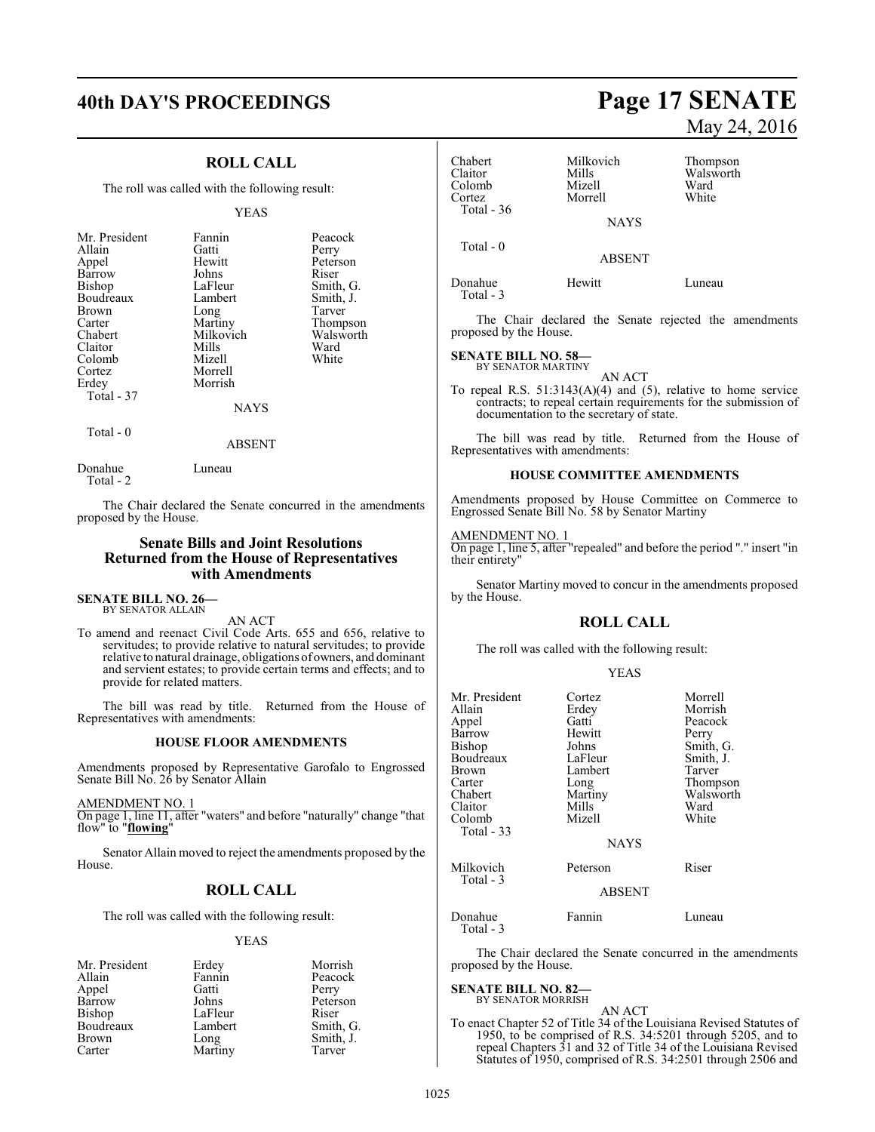#### **ROLL CALL**

The roll was called with the following result:

#### YEAS

| Mr. President<br>Allain<br>Appel<br>Barrow<br>Bishop<br>Boudreaux<br><b>Brown</b><br>Carter<br>Chabert<br>Claitor<br>Colomb<br>Cortez<br>Erdey | Fannin<br>Gatti<br>Hewitt<br>Johns<br>LaFleur<br>Lambert<br>Long<br>Martiny<br>Milkovich<br>Mills<br>Mizell<br>Morrell<br>Morrish | Peacock<br>Perry<br>Peterson<br>Riser<br>Smith, G.<br>Smith, J.<br>Tarver<br>Thompson<br>Walsworth<br>Ward<br>White |
|------------------------------------------------------------------------------------------------------------------------------------------------|-----------------------------------------------------------------------------------------------------------------------------------|---------------------------------------------------------------------------------------------------------------------|
|                                                                                                                                                |                                                                                                                                   |                                                                                                                     |
|                                                                                                                                                |                                                                                                                                   |                                                                                                                     |
| Total - 37                                                                                                                                     |                                                                                                                                   |                                                                                                                     |
|                                                                                                                                                | NAYS                                                                                                                              |                                                                                                                     |

Total - 0

ABSENT

Donahue Luneau Total - 2

The Chair declared the Senate concurred in the amendments proposed by the House.

#### **Senate Bills and Joint Resolutions Returned from the House of Representatives with Amendments**

**SENATE BILL NO. 26—** BY SENATOR ALLAIN

AN ACT

To amend and reenact Civil Code Arts. 655 and 656, relative to servitudes; to provide relative to natural servitudes; to provide relative to natural drainage, obligations of owners, and dominant and servient estates; to provide certain terms and effects; and to provide for related matters.

The bill was read by title. Returned from the House of Representatives with amendments:

#### **HOUSE FLOOR AMENDMENTS**

Amendments proposed by Representative Garofalo to Engrossed Senate Bill No. 26 by Senator Allain

AMENDMENT NO. 1 On page 1, line 11, after "waters" and before "naturally" change "that flow" to "**flowing**"

Senator Allain moved to reject the amendments proposed by the House.

#### **ROLL CALL**

The roll was called with the following result:

#### YEAS

| Erdey   | Morrish         |
|---------|-----------------|
| Fannin  | Peacock         |
| Gatti   | Perry           |
| Johns   | Peterson        |
| LaFleur | Riser           |
| Lambert | Smith, G.       |
|         | Smith, J.       |
|         | Tarver          |
|         | Long<br>Martiny |

# **40th DAY'S PROCEEDINGS Page 17 SENATE** May 24, 2016

| Chabert<br>Claitor<br>Colomb<br>Cortez<br>Total - 36                                                                                            | Milkovich<br><b>Mills</b><br>Mizell<br>Morrell                                                                                            | Thompson<br>Walsworth<br>Ward<br>White                                                                                              |
|-------------------------------------------------------------------------------------------------------------------------------------------------|-------------------------------------------------------------------------------------------------------------------------------------------|-------------------------------------------------------------------------------------------------------------------------------------|
|                                                                                                                                                 | <b>NAYS</b>                                                                                                                               |                                                                                                                                     |
| Total - 0                                                                                                                                       | ABSENT                                                                                                                                    |                                                                                                                                     |
| Donahue<br>Total - 3                                                                                                                            | Hewitt                                                                                                                                    | Luneau                                                                                                                              |
| proposed by the House.                                                                                                                          |                                                                                                                                           | The Chair declared the Senate rejected the amendments                                                                               |
| <b>SENATE BILL NO. 58–</b><br>BY SENATOR MARTINY                                                                                                |                                                                                                                                           |                                                                                                                                     |
|                                                                                                                                                 | AN ACT<br>documentation to the secretary of state.                                                                                        | To repeal R.S. $51:3143(A)(4)$ and (5), relative to home service<br>contracts; to repeal certain requirements for the submission of |
| Representatives with amendments:                                                                                                                |                                                                                                                                           | The bill was read by title. Returned from the House of                                                                              |
|                                                                                                                                                 | <b>HOUSE COMMITTEE AMENDMENTS</b>                                                                                                         |                                                                                                                                     |
| Amendments proposed by House Committee on Commerce to<br>Engrossed Senate Bill No. 58 by Senator Martiny                                        |                                                                                                                                           |                                                                                                                                     |
| <b>AMENDMENT NO. 1</b><br>On page 1, line 5, after "repealed" and before the period "." insert "in<br>their entirety"                           |                                                                                                                                           |                                                                                                                                     |
| Senator Martiny moved to concur in the amendments proposed<br>by the House.                                                                     |                                                                                                                                           |                                                                                                                                     |
|                                                                                                                                                 | <b>ROLL CALL</b>                                                                                                                          |                                                                                                                                     |
|                                                                                                                                                 | The roll was called with the following result:                                                                                            |                                                                                                                                     |
|                                                                                                                                                 | YEAS                                                                                                                                      |                                                                                                                                     |
| Mr. President<br>Allain<br>Appel<br>Barrow<br>Bishop<br>Boudreaux<br>Brown<br>Carter<br>Chabert<br>Claitor<br>Colomb<br>Total - 33<br>Milkovich | Cortez<br>Erdey<br>Gatti<br>Hewitt<br>Johns<br>LaFleur<br>Lambert<br>Long<br>Martiny<br><b>Mills</b><br>Mizell<br><b>NAYS</b><br>Peterson | Morrell<br>Morrish<br>Peacock<br>Perry<br>Smith, G.<br>Smith, J.<br>Tarver<br>Thompson<br>Walsworth<br>Ward<br>White<br>Riser       |
| Total - 3<br><b>ABSENT</b>                                                                                                                      |                                                                                                                                           |                                                                                                                                     |
| Donahue                                                                                                                                         | Fannin                                                                                                                                    | Luneau                                                                                                                              |

The Chair declared the Senate concurred in the amendments proposed by the House.

## **SENATE BILL NO. 82—** BY SENATOR MORRISH

Total - 3

AN ACT

To enact Chapter 52 of Title 34 of the Louisiana Revised Statutes of 1950, to be comprised of R.S. 34:5201 through 5205, and to repeal Chapters 31 and 32 of Title 34 of the Louisiana Revised Statutes of 1950, comprised of R.S. 34:2501 through 2506 and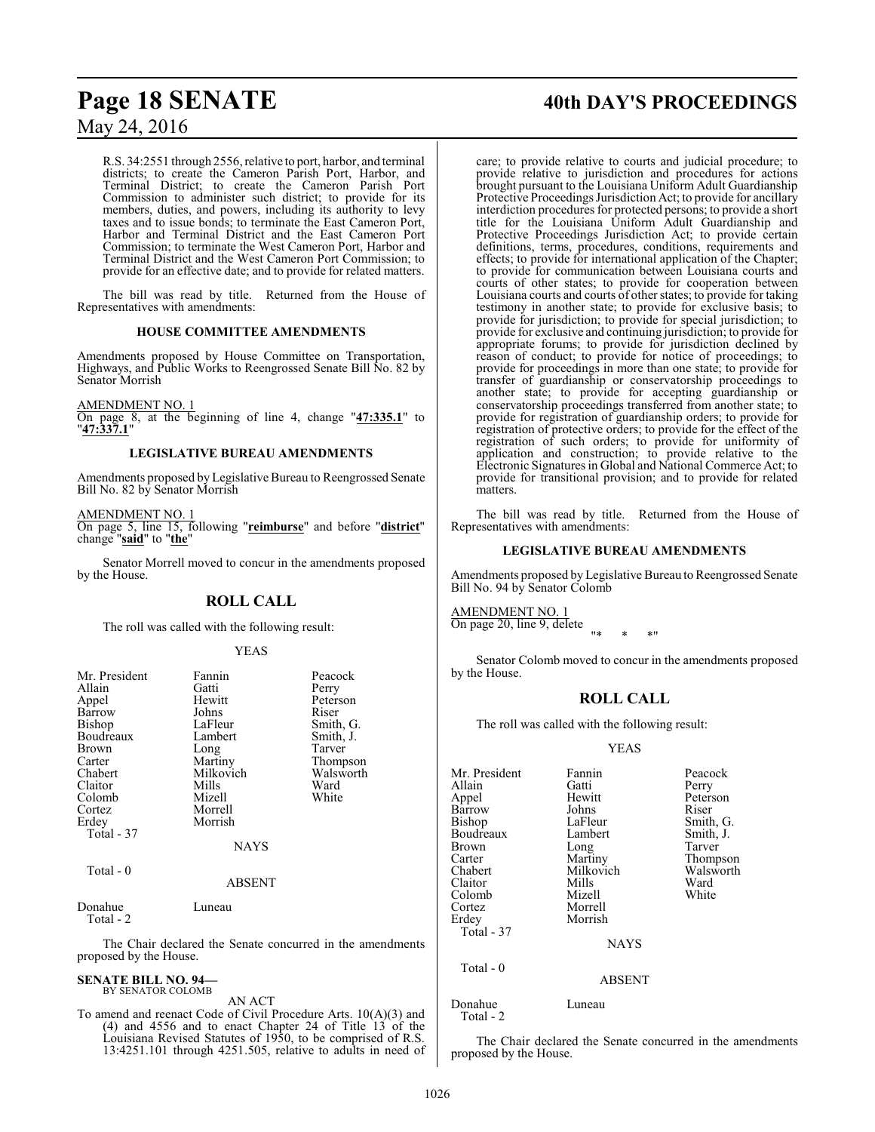R.S. 34:2551 through 2556, relative to port, harbor, and terminal districts; to create the Cameron Parish Port, Harbor, and Terminal District; to create the Cameron Parish Port Commission to administer such district; to provide for its members, duties, and powers, including its authority to levy taxes and to issue bonds; to terminate the East Cameron Port, Harbor and Terminal District and the East Cameron Port Commission; to terminate the West Cameron Port, Harbor and Terminal District and the West Cameron Port Commission; to provide for an effective date; and to provide for related matters.

The bill was read by title. Returned from the House of Representatives with amendments:

#### **HOUSE COMMITTEE AMENDMENTS**

Amendments proposed by House Committee on Transportation, Highways, and Public Works to Reengrossed Senate Bill No. 82 by Senator Morrish

AMENDMENT NO. 1

On page 8, at the beginning of line 4, change "**47:335.1**" to "**47:337.1**"

#### **LEGISLATIVE BUREAU AMENDMENTS**

Amendments proposed by Legislative Bureau to Reengrossed Senate Bill No. 82 by Senator Morrish

#### AMENDMENT NO. 1

On page 5, line 15, following "**reimburse**" and before "**district**" change "**said**" to "**the**"

Senator Morrell moved to concur in the amendments proposed by the House.

#### **ROLL CALL**

The roll was called with the following result:

#### YEAS

| Mr. President<br>Allain<br>Appel<br>Barrow<br><b>Bishop</b><br>Boudreaux<br>Brown<br>Carter<br>Chabert<br>Claitor | Fannin<br>Gatti<br>Hewitt<br>Johns<br>LaFleur<br>Lambert<br>Long<br>Martiny<br>Milkovich<br>Mills | Peacock<br>Perry<br>Peterson<br>Riser<br>Smith, G.<br>Smith, J.<br>Tarver<br>Thompson<br>Walsworth<br>Ward |
|-------------------------------------------------------------------------------------------------------------------|---------------------------------------------------------------------------------------------------|------------------------------------------------------------------------------------------------------------|
| Colomb                                                                                                            | Mizell                                                                                            | White                                                                                                      |
| Cortez<br>Erdey                                                                                                   | Morrell<br>Morrish                                                                                |                                                                                                            |
| Total - 37                                                                                                        | <b>NAYS</b>                                                                                       |                                                                                                            |
| Total - 0                                                                                                         | <b>ABSENT</b>                                                                                     |                                                                                                            |
| Donahue<br>Total - 2                                                                                              | Luneau                                                                                            |                                                                                                            |

The Chair declared the Senate concurred in the amendments proposed by the House.

#### **SENATE BILL NO. 94—**

#### BY SENATOR COLOMB

AN ACT To amend and reenact Code of Civil Procedure Arts. 10(A)(3) and (4) and 4556 and to enact Chapter 24 of Title 13 of the Louisiana Revised Statutes of 1950, to be comprised of R.S. 13:4251.101 through 4251.505, relative to adults in need of

# **Page 18 SENATE 40th DAY'S PROCEEDINGS**

care; to provide relative to courts and judicial procedure; to provide relative to jurisdiction and procedures for actions brought pursuant to the Louisiana Uniform Adult Guardianship Protective Proceedings Jurisdiction Act; to provide for ancillary interdiction procedures for protected persons; to provide a short title for the Louisiana Uniform Adult Guardianship and Protective Proceedings Jurisdiction Act; to provide certain definitions, terms, procedures, conditions, requirements and effects; to provide for international application of the Chapter; to provide for communication between Louisiana courts and courts of other states; to provide for cooperation between Louisiana courts and courts of other states; to provide for taking testimony in another state; to provide for exclusive basis; to provide for jurisdiction; to provide for special jurisdiction; to provide for exclusive and continuing jurisdiction; to provide for appropriate forums; to provide for jurisdiction declined by reason of conduct; to provide for notice of proceedings; to provide for proceedings in more than one state; to provide for transfer of guardianship or conservatorship proceedings to another state; to provide for accepting guardianship or conservatorship proceedings transferred from another state; to provide for registration of guardianship orders; to provide for registration of protective orders; to provide for the effect of the registration of such orders; to provide for uniformity of application and construction; to provide relative to the Electronic Signatures in Global and National Commerce Act; to provide for transitional provision; and to provide for related matters.

The bill was read by title. Returned from the House of Representatives with amendments:

#### **LEGISLATIVE BUREAU AMENDMENTS**

Amendments proposed byLegislative Bureau to Reengrossed Senate Bill No. 94 by Senator Colomb

AMENDMENT NO. 1 On page 20, line 9, delete

"\* \* \*"

Senator Colomb moved to concur in the amendments proposed by the House.

#### **ROLL CALL**

The roll was called with the following result:

#### YEAS

| Mr. President | Fannin        | Peacock   |
|---------------|---------------|-----------|
| Allain        | Gatti         | Perry     |
| Appel         | Hewitt        | Peterson  |
| Barrow        | Johns         | Riser     |
| Bishop        | LaFleur       | Smith, G. |
| Boudreaux     | Lambert       | Smith, J. |
| Brown         | Long          | Tarver    |
| Carter        | Martiny       | Thompson  |
| Chabert       | Milkovich     | Walsworth |
| Claitor       | Mills         | Ward      |
| Colomb        | Mizell        | White     |
| Cortez        | Morrell       |           |
| Erdey         | Morrish       |           |
| Total - 37    |               |           |
|               | <b>NAYS</b>   |           |
| Total $-0$    |               |           |
|               | <b>ABSENT</b> |           |
| Donahue       | Luneau        |           |

#### ABSENT

Total - 2

The Chair declared the Senate concurred in the amendments proposed by the House.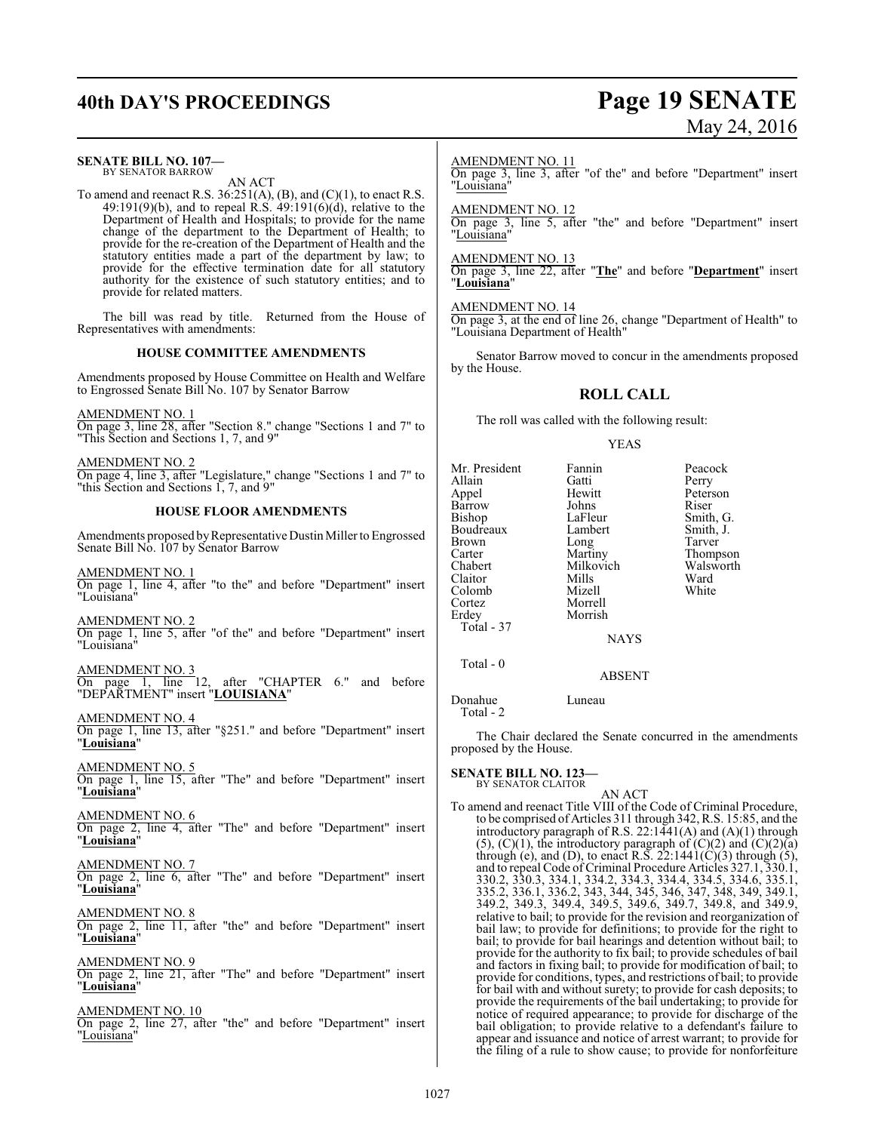# **40th DAY'S PROCEEDINGS Page 19 SENATE** May 24, 2016

| <b>SENATE BILL NO. 107-</b><br>BY SENATOR BARROW<br>AN ACT                                                                                                                                                                    | AMENDMENT NO. 11                                     |                                                | On page 3, line 3, after "of the" and before "Department" insert                                                                                                                                                                                                                                                                               |
|-------------------------------------------------------------------------------------------------------------------------------------------------------------------------------------------------------------------------------|------------------------------------------------------|------------------------------------------------|------------------------------------------------------------------------------------------------------------------------------------------------------------------------------------------------------------------------------------------------------------------------------------------------------------------------------------------------|
| To amend and reenact R.S. 36:251(A), (B), and (C)(1), to enact R.S. 49:191(9)(b), and to repeal R.S. 49:191(6)(d), relative to the<br>Department of Health and Hospitals; to provide for the name                             | "Louisiana"<br><b>AMENDMENT NO. 12</b>               |                                                |                                                                                                                                                                                                                                                                                                                                                |
| change of the department to the Department of Health; to<br>provide for the re-creation of the Department of Health and the                                                                                                   | "Louisiana"                                          |                                                | On page 3, line 5, after "the" and before "Department" insert                                                                                                                                                                                                                                                                                  |
| statutory entities made a part of the department by law; to<br>provide for the effective termination date for all statutory<br>authority for the existence of such statutory entities; and to<br>provide for related matters. | <b>AMENDMENT NO. 13</b><br>"Louisiana"               |                                                | On page 3, line 22, after "The" and before "Department" insert                                                                                                                                                                                                                                                                                 |
| The bill was read by title. Returned from the House of<br>Representatives with amendments:                                                                                                                                    | AMENDMENT NO. 14<br>"Louisiana Department of Health" |                                                | On page 3, at the end of line 26, change "Department of Health" to                                                                                                                                                                                                                                                                             |
| <b>HOUSE COMMITTEE AMENDMENTS</b>                                                                                                                                                                                             | by the House.                                        |                                                | Senator Barrow moved to concur in the amendments proposed                                                                                                                                                                                                                                                                                      |
| Amendments proposed by House Committee on Health and Welfare<br>to Engrossed Senate Bill No. 107 by Senator Barrow                                                                                                            |                                                      | <b>ROLL CALL</b>                               |                                                                                                                                                                                                                                                                                                                                                |
| AMENDMENT NO. 1<br>On page 3, line 28, after "Section 8." change "Sections 1 and 7" to                                                                                                                                        |                                                      | The roll was called with the following result: |                                                                                                                                                                                                                                                                                                                                                |
| "This Section and Sections 1, 7, and 9"                                                                                                                                                                                       |                                                      | <b>YEAS</b>                                    |                                                                                                                                                                                                                                                                                                                                                |
| AMENDMENT NO. 2<br>On page 4, line 3, after "Legislature," change "Sections 1 and 7" to<br>"this Section and Sections 1, 7, and 9"                                                                                            | Mr. President<br>Allain<br>Appel                     | Fannin<br>Gatti<br>Hewitt                      | Peacock<br>Perry<br>Peterson                                                                                                                                                                                                                                                                                                                   |
| <b>HOUSE FLOOR AMENDMENTS</b>                                                                                                                                                                                                 | Barrow<br>Bishop                                     | Johns<br>LaFleur                               | Riser<br>Smith, G.                                                                                                                                                                                                                                                                                                                             |
| Amendments proposed by Representative Dustin Miller to Engrossed<br>Senate Bill No. 107 by Senator Barrow                                                                                                                     | Boudreaux<br>Brown<br>Carter                         | Lambert<br>Long<br>Martiny                     | Smith, J.<br>Tarver<br>Thompson                                                                                                                                                                                                                                                                                                                |
| AMENDMENT NO. 1<br>On page 1, line 4, after "to the" and before "Department" insert<br>"Louisiana"                                                                                                                            | Chabert<br>Claitor<br>Colomb<br>Cortez               | Milkovich<br>Mills<br>Mizell<br>Morrell        | Walsworth<br>Ward<br>White                                                                                                                                                                                                                                                                                                                     |
| AMENDMENT NO. 2<br>On page 1, line 5, after "of the" and before "Department" insert<br>"Louisiana"                                                                                                                            | Erdey<br>Total - 37                                  | Morrish<br><b>NAYS</b>                         |                                                                                                                                                                                                                                                                                                                                                |
| <b>AMENDMENT NO. 3</b>                                                                                                                                                                                                        | Total - 0                                            | <b>ABSENT</b>                                  |                                                                                                                                                                                                                                                                                                                                                |
| On page 1, line 12, after "CHAPTER 6." and before<br>"DEPARTMENT" insert "LOUISIANA"                                                                                                                                          | Donahue                                              | Luneau                                         |                                                                                                                                                                                                                                                                                                                                                |
| AMENDMENT NO. 4<br>On page 1, line 13, after "§251." and before "Department" insert<br>"Louisiana"                                                                                                                            | Total - 2<br>proposed by the House.                  |                                                | The Chair declared the Senate concurred in the amendments                                                                                                                                                                                                                                                                                      |
| AMENDMENT NO. 5<br>On page 1, line 15, after "The" and before "Department" insert<br>"Louisiana"                                                                                                                              | <b>SENATE BILL NO. 123-</b><br>BY SENATOR CLAITOR    | AN ACT                                         |                                                                                                                                                                                                                                                                                                                                                |
| <b>AMENDMENT NO. 6</b><br>On page 2, line 4, after "The" and before "Department" insert<br>"Louisiana"                                                                                                                        |                                                      |                                                | To amend and reenact Title VIII of the Code of Criminal Procedure,<br>to be comprised of Articles 311 through 342, R.S. 15:85, and the<br>introductory paragraph of R.S. 22:1441(A) and $(A)(1)$ through<br>$(5)$ , $(C)(1)$ , the introductory paragraph of $(C)(2)$ and $(C)(2)(a)$                                                          |
| <u>AMENDMENT NO. 7</u><br>On page 2, line 6, after "The" and before "Department" insert<br>"Louisiana"                                                                                                                        |                                                      |                                                | through (e), and (D), to enact R.S. $22:1441(C)(3)$ through (5),<br>and to repeal Code of Criminal Procedure Articles 327.1, 330.1,<br>330.2, 330.3, 334.1, 334.2, 334.3, 334.4, 334.5, 334.6, 335.1,<br>335.2, 336.1, 336.2, 343, 344, 345, 346, 347, 348, 349, 349.1,                                                                        |
| <b>AMENDMENT NO. 8</b><br>On page 2, line 11, after "the" and before "Department" insert<br>"Louisiana"                                                                                                                       |                                                      |                                                | 349.2, 349.3, 349.4, 349.5, 349.6, 349.7, 349.8, and 349.9,<br>relative to bail; to provide for the revision and reorganization of<br>bail law; to provide for definitions; to provide for the right to<br>bail; to provide for bail hearings and detention without bail; to                                                                   |
| <b>AMENDMENT NO. 9</b><br>On page 2, line 21, after "The" and before "Department" insert<br>"Louisiana"                                                                                                                       |                                                      |                                                | provide for the authority to fix bail; to provide schedules of bail<br>and factors in fixing bail; to provide for modification of bail; to<br>provide for conditions, types, and restrictions of bail; to provide<br>for bail with and without surety; to provide for cash deposits; to                                                        |
| <b>AMENDMENT NO. 10</b><br>On page 2, line 27, after "the" and before "Department" insert<br>"Louisiana"                                                                                                                      |                                                      |                                                | provide the requirements of the bail undertaking; to provide for<br>notice of required appearance; to provide for discharge of the<br>bail obligation; to provide relative to a defendant's failure to<br>appear and issuance and notice of arrest warrant; to provide for<br>the filing of a rule to show cause; to provide for nonforfeiture |
|                                                                                                                                                                                                                               |                                                      |                                                |                                                                                                                                                                                                                                                                                                                                                |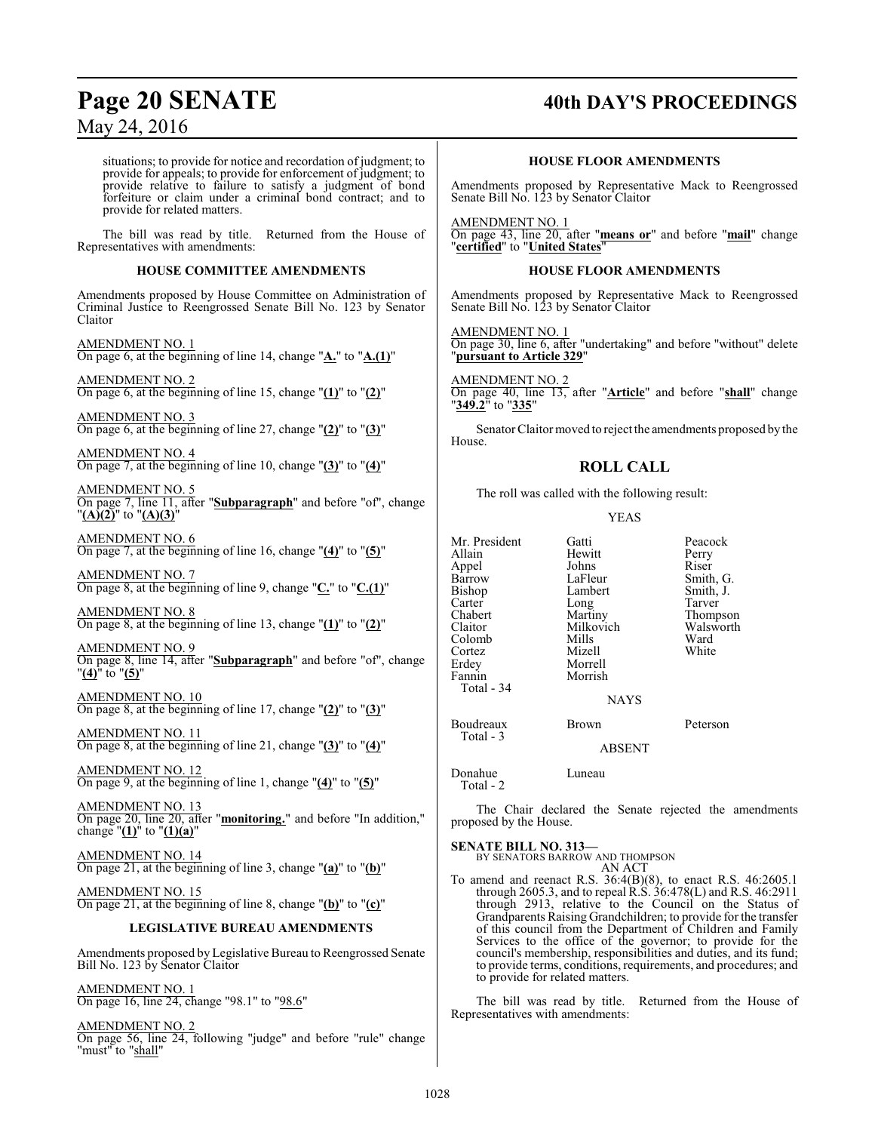## **Page 20 SENATE 40th DAY'S PROCEEDINGS**

May 24, 2016

situations; to provide for notice and recordation of judgment; to provide for appeals; to provide for enforcement of judgment; to provide relative to failure to satisfy a judgment of bond forfeiture or claim under a criminal bond contract; and to provide for related matters.

The bill was read by title. Returned from the House of Representatives with amendments:

#### **HOUSE COMMITTEE AMENDMENTS**

Amendments proposed by House Committee on Administration of Criminal Justice to Reengrossed Senate Bill No. 123 by Senator Claitor

AMENDMENT NO. 1 On page 6, at the beginning of line 14, change "**A.**" to "**A.(1)**"

AMENDMENT NO. 2 On page 6, at the beginning of line 15, change "**(1)**" to "**(2)**"

AMENDMENT NO. 3 On page 6, at the beginning of line 27, change "**(2)**" to "**(3)**"

AMENDMENT NO. 4 On page 7, at the beginning of line 10, change "**(3)**" to "**(4)**"

AMENDMENT NO. 5 On page 7, line 11, after "**Subparagraph**" and before "of", change "**(A)(2)**" to "**(A)(3)**"

AMENDMENT NO. 6 On page 7, at the beginning of line 16, change "**(4)**" to "**(5)**"

AMENDMENT NO. 7 On page 8, at the beginning of line 9, change "**C.**" to "**C.(1)**"

AMENDMENT NO. 8 On page 8, at the beginning of line 13, change "**(1)**" to "**(2)**"

AMENDMENT NO. 9 On page 8, line 14, after "**Subparagraph**" and before "of", change "**(4)**" to "**(5)**"

AMENDMENT NO. 10 On page 8, at the beginning of line 17, change "**(2)**" to "**(3)**"

AMENDMENT NO. 11 On page 8, at the beginning of line 21, change "**(3)**" to "**(4)**"

AMENDMENT NO. 12 On page 9, at the beginning of line 1, change "**(4)**" to "**(5)**"

AMENDMENT NO. 13 On page 20, line 20, after "**monitoring.**" and before "In addition," change  $"(\underline{1})"$  to  $"(\underline{1})(\underline{a})"$ 

AMENDMENT NO. 14 On page 21, at the beginning of line 3, change "**(a)**" to "**(b)**"

AMENDMENT NO. 15 On page 21, at the beginning of line 8, change "**(b)**" to "**(c)**"

#### **LEGISLATIVE BUREAU AMENDMENTS**

Amendments proposed by Legislative Bureau to Reengrossed Senate Bill No. 123 by Senator Claitor

AMENDMENT NO. 1 On page 16, line 24, change "98.1" to "98.6"

AMENDMENT NO. 2 On page 56, line 24, following "judge" and before "rule" change "must" to "shall"

#### **HOUSE FLOOR AMENDMENTS**

Amendments proposed by Representative Mack to Reengrossed Senate Bill No. 123 by Senator Claitor

AMENDMENT NO. 1 On page 43, line 20, after "**means or**" and before "**mail**" change "**certified**" to "**United States**"

#### **HOUSE FLOOR AMENDMENTS**

Amendments proposed by Representative Mack to Reengrossed Senate Bill No. 123 by Senator Claitor

AMENDMENT NO. 1 On page 30, line 6, after "undertaking" and before "without" delete "**pursuant to Article 329**"

AMENDMENT NO. 2 On page 40, line 13, after "**Article**" and before "**shall**" change "**349.2**" to "**335**"

Senator Claitormoved to reject the amendments proposed by the House.

### **ROLL CALL**

The roll was called with the following result:

#### YEAS

| Mr. President<br>Allain<br>Appel<br>Barrow<br>Bishop<br>Carter<br>Chabert<br>Claitor<br>Colomb<br>Cortez | Gatti<br>Hewitt<br>Johns<br>LaFleur<br>Lambert<br>Long<br>Martiny<br>Milkovich<br>Mills<br>Mizell | Peaco<br>Perry<br>Riser<br>Smith<br>Smith<br>Tarve<br>Thom<br>Walsy<br>Ward<br>White |
|----------------------------------------------------------------------------------------------------------|---------------------------------------------------------------------------------------------------|--------------------------------------------------------------------------------------|
|                                                                                                          |                                                                                                   |                                                                                      |
| Erdey                                                                                                    | Morrell                                                                                           |                                                                                      |
| Fannin<br>Total - 34                                                                                     | Morrish                                                                                           |                                                                                      |
|                                                                                                          | <b>NAYS</b>                                                                                       |                                                                                      |

Gatti Peacock<br>
Hewitt Perry Hewitt Perry<br>Johns Riser Smith, G.<br>Smith, J. Long Tarver<br>Martiny Thomp Thompson<br>Walsworth Milkovich Walsworth<br>Mills Ward Mizell White

#### **NAYS**

Boudreaux Brown Peterson

ABSENT

Donahue Luneau

Total - 2

Total - 3

The Chair declared the Senate rejected the amendments proposed by the House.

#### **SENATE BILL NO. 313—**

BY SENATORS BARROW AND THOMPSON AN ACT

To amend and reenact R.S. 36:4(B)(8), to enact R.S. 46:2605.1 through 2605.3, and to repeal R.S. 36:478(L) and R.S. 46:2911 through 2913, relative to the Council on the Status of Grandparents Raising Grandchildren; to provide for the transfer of this council from the Department of Children and Family Services to the office of the governor; to provide for the council's membership, responsibilities and duties, and its fund; to provide terms, conditions, requirements, and procedures; and to provide for related matters.

The bill was read by title. Returned from the House of Representatives with amendments: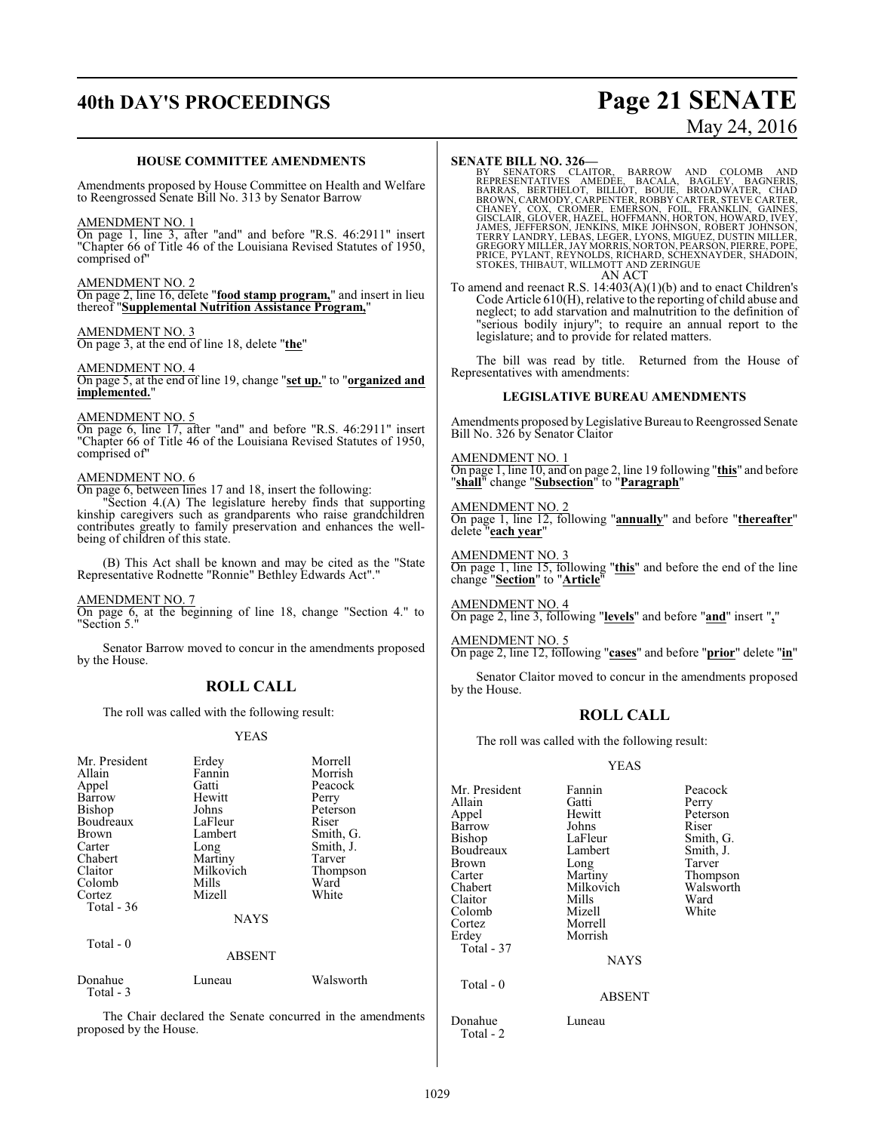# **40th DAY'S PROCEEDINGS Page 21 SENATE**

# May 24, 2016

#### **HOUSE COMMITTEE AMENDMENTS**

Amendments proposed by House Committee on Health and Welfare to Reengrossed Senate Bill No. 313 by Senator Barrow

#### AMENDMENT NO. 1

On page 1, line 3, after "and" and before "R.S. 46:2911" insert "Chapter 66 of Title 46 of the Louisiana Revised Statutes of 1950, comprised of"

#### AMENDMENT NO. 2

On page 2, line 16, delete "**food stamp program,**" and insert in lieu thereof "**Supplemental Nutrition Assistance Program,**"

#### AMENDMENT NO. 3

On page 3, at the end of line 18, delete "**the**"

## AMENDMENT NO. 4

On page 5, at the end of line 19, change "**set up.**" to "**organized and implemented.**"

#### AMENDMENT NO. 5

On page 6, line 17, after "and" and before "R.S. 46:2911" insert "Chapter 66 of Title 46 of the Louisiana Revised Statutes of 1950, comprised of"

#### AMENDMENT NO. 6

On page 6, between lines 17 and 18, insert the following:

"Section 4.(A) The legislature hereby finds that supporting kinship caregivers such as grandparents who raise grandchildren contributes greatly to family preservation and enhances the wellbeing of children of this state.

(B) This Act shall be known and may be cited as the "State Representative Rodnette "Ronnie" Bethley Edwards Act"."

#### AMENDMENT NO. 7

On page 6, at the beginning of line 18, change "Section 4." to "Section 5."

Senator Barrow moved to concur in the amendments proposed by the House.

#### **ROLL CALL**

The roll was called with the following result:

#### YEAS

| Mr. President<br>Allain<br>Appel<br>Barrow<br>Bishop<br>Boudreaux<br><b>Brown</b><br>Carter<br>Chabert<br>Claitor<br>Colomb<br>Cortez<br>Total $-36$ | Erdey<br>Fannin<br>Gatti<br>Hewitt<br>Johns<br>LaFleur<br>Lambert<br>Long<br>Martiny<br>Milkovich<br>Mills<br>Mizell<br><b>NAYS</b> | Morrell<br>Morrish<br>Peacock<br>Perry<br>Peterson<br>Riser<br>Smith, G.<br>Smith, J.<br>Tarver<br>Thompson<br>Ward<br>White |
|------------------------------------------------------------------------------------------------------------------------------------------------------|-------------------------------------------------------------------------------------------------------------------------------------|------------------------------------------------------------------------------------------------------------------------------|
| Total $-0$                                                                                                                                           | <b>ABSENT</b>                                                                                                                       |                                                                                                                              |
| Donahue<br>Total - 3                                                                                                                                 | Luneau                                                                                                                              | Walsworth                                                                                                                    |

The Chair declared the Senate concurred in the amendments proposed by the House.

**SENATE BILL NO. 326—**<br>BY SENATORS CLAITOR, BARROW AND COLOMB AND<br>REPRESENTATIVES AMEDEE, BACALA, BAGLEY, BAGNERIS,<br>BARRAS, BERTHELOT, BILLIOT, BOUIE, BROADWATER, CHAD<br>BROWN, CARMODY, CARPENTER,ROBBY CARTER,STEVE CARTER,<br>C AN ACT

To amend and reenact R.S. 14:403(A)(1)(b) and to enact Children's Code Article 610(H), relative to the reporting of child abuse and neglect; to add starvation and malnutrition to the definition of "serious bodily injury"; to require an annual report to the legislature; and to provide for related matters.

The bill was read by title. Returned from the House of Representatives with amendments:

#### **LEGISLATIVE BUREAU AMENDMENTS**

Amendments proposed byLegislative Bureau to Reengrossed Senate Bill No. 326 by Senator Claitor

#### AMENDMENT NO. 1

On page 1, line 10, and on page 2, line 19 following "**this**" and before "**shall**" change "**Subsection**" to "**Paragraph**"

#### AMENDMENT NO. 2

On page 1, line 12, following "**annually**" and before "**thereafter**" delete "**each year**"

AMENDMENT NO. 3 On page 1, line 15, following "**this**" and before the end of the line change "**Section**" to "**Article**"

AMENDMENT NO. 4 On page 2, line 3, following "**levels**" and before "**and**" insert "**,**"

AMENDMENT NO. 5 On page 2, line 12, following "**cases**" and before "**prior**" delete "**in**"

Senator Claitor moved to concur in the amendments proposed by the House.

#### **ROLL CALL**

The roll was called with the following result:

#### YEAS

| Mr. President<br>Allain<br>Appel<br>Barrow<br>Bishop<br>Boudreaux<br>Brown<br>Carter<br>Chabert<br>Claitor<br>Colomb<br>Cortez<br>Erdey<br>Total - 37 | Fannin<br>Gatti<br>Hewitt<br>Johns<br>LaFleur<br>Lambert<br>Long<br>Martiny<br>Milkovich<br>Mills<br>Mizell<br>Morrell<br>Morrish<br><b>NAYS</b> | Peacock<br>Perry<br>Peterson<br>Riser<br>Smith, G.<br>Smith, J.<br>Tarver<br>Thompson<br>Walsworth<br>Ward<br>White |
|-------------------------------------------------------------------------------------------------------------------------------------------------------|--------------------------------------------------------------------------------------------------------------------------------------------------|---------------------------------------------------------------------------------------------------------------------|
| Total - 0                                                                                                                                             | <b>ABSENT</b>                                                                                                                                    |                                                                                                                     |
| Donahue<br>Total - 2                                                                                                                                  | Luneau                                                                                                                                           |                                                                                                                     |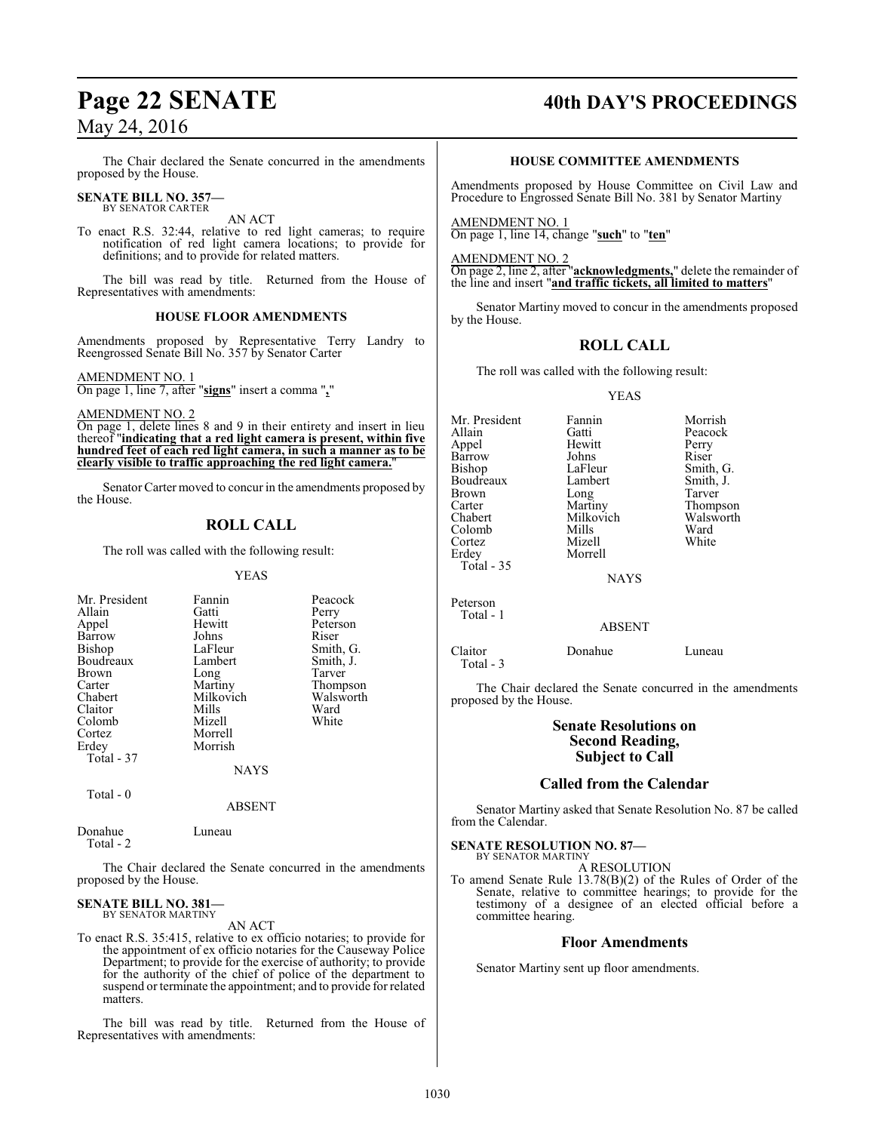The Chair declared the Senate concurred in the amendments proposed by the House.

#### **SENATE BILL NO. 357—** BY SENATOR CARTER

AN ACT

To enact R.S. 32:44, relative to red light cameras; to require notification of red light camera locations; to provide for definitions; and to provide for related matters.

The bill was read by title. Returned from the House of Representatives with amendments:

#### **HOUSE FLOOR AMENDMENTS**

Amendments proposed by Representative Terry Landry to Reengrossed Senate Bill No. 357 by Senator Carter

#### AMENDMENT NO. 1

On page 1, line 7, after "**signs**" insert a comma "**,**"

AMENDMENT NO. 2

On page 1, delete lines 8 and 9 in their entirety and insert in lieu thereof "**indicating that a red light camera is present, within five hundred feet of each red light camera, in such a manner as to be clearly visible to traffic approaching the red light camera.**"

Senator Carter moved to concur in the amendments proposed by the House.

#### **ROLL CALL**

The roll was called with the following result:

#### YEAS

| Gatti<br>Hewitt<br>Johns<br>LaFleur<br>Lambert<br>Long<br>Martiny<br>Milkovich | Perry<br>Peterson<br>Riser<br>Smith, G.<br>Smith, J.<br>Tarver<br>Thompson<br>Walsworth |
|--------------------------------------------------------------------------------|-----------------------------------------------------------------------------------------|
|                                                                                |                                                                                         |
|                                                                                |                                                                                         |
|                                                                                |                                                                                         |
|                                                                                |                                                                                         |
| Mills                                                                          | Ward                                                                                    |
| Mizell                                                                         | White                                                                                   |
| Morrell                                                                        |                                                                                         |
| Morrish                                                                        |                                                                                         |
|                                                                                |                                                                                         |
| NAYS                                                                           |                                                                                         |
|                                                                                |                                                                                         |

Total - 0

ABSENT

Donahue Luneau Total - 2

The Chair declared the Senate concurred in the amendments proposed by the House.

#### **SENATE BILL NO. 381—** BY SENATOR MARTINY

AN ACT

To enact R.S. 35:415, relative to ex officio notaries; to provide for the appointment of ex officio notaries for the Causeway Police Department; to provide for the exercise of authority; to provide for the authority of the chief of police of the department to suspend or terminate the appointment; and to provide for related matters.

The bill was read by title. Returned from the House of Representatives with amendments:

# **Page 22 SENATE 40th DAY'S PROCEEDINGS**

#### **HOUSE COMMITTEE AMENDMENTS**

Amendments proposed by House Committee on Civil Law and Procedure to Engrossed Senate Bill No. 381 by Senator Martiny

AMENDMENT NO. 1 On page 1, line 14, change "**such**" to "**ten**"

AMENDMENT NO. 2

Total - 1

On page 2, line 2, after "**acknowledgments,**" delete the remainder of the line and insert "**and traffic tickets, all limited to matters**"

Senator Martiny moved to concur in the amendments proposed by the House.

## **ROLL CALL**

The roll was called with the following result:

#### YEAS

| Mr. President<br>Allain<br>Appel<br>Barrow<br>Bishop<br>Boudreaux<br>Brown<br>Carter<br>Chabert<br>Colomb<br>Cortez | Fannin<br>Gatti<br>Hewitt<br>Johns<br>LaFleur<br>Lambert<br>Long<br>Martiny<br>Milkovich<br>Mills<br>Mizell | Morrish<br>Peacock<br>Perry<br>Riser<br>Smith, G.<br>Smith, J.<br>Tarver<br>Thompson<br>Walsworth<br>Ward<br>White |
|---------------------------------------------------------------------------------------------------------------------|-------------------------------------------------------------------------------------------------------------|--------------------------------------------------------------------------------------------------------------------|
| Erdey<br>Total - 35                                                                                                 | Morrell<br><b>NAYS</b>                                                                                      |                                                                                                                    |
| Peterson                                                                                                            |                                                                                                             |                                                                                                                    |

ABSENT

Claitor Donahue Luneau Total - 3

The Chair declared the Senate concurred in the amendments proposed by the House.

#### **Senate Resolutions on Second Reading, Subject to Call**

#### **Called from the Calendar**

Senator Martiny asked that Senate Resolution No. 87 be called from the Calendar.

#### **SENATE RESOLUTION NO. 87—** BY SENATOR MARTINY

A RESOLUTION

To amend Senate Rule 13.78(B)(2) of the Rules of Order of the Senate, relative to committee hearings; to provide for the testimony of a designee of an elected official before a committee hearing.

#### **Floor Amendments**

Senator Martiny sent up floor amendments.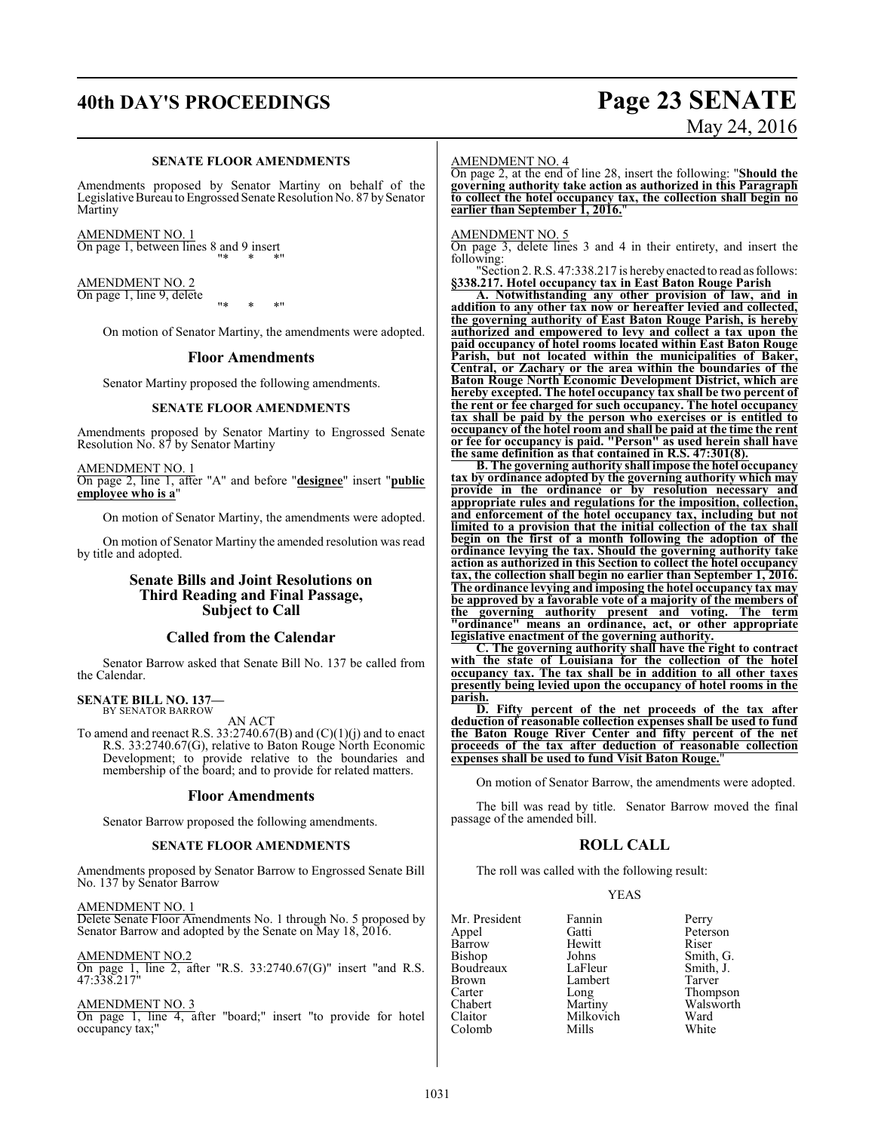# **40th DAY'S PROCEEDINGS Page 23 SENATE**

#### **SENATE FLOOR AMENDMENTS**

Amendments proposed by Senator Martiny on behalf of the Legislative Bureau to Engrossed Senate Resolution No. 87 by Senator Martiny

AMENDMENT NO. 1 On page 1, between lines 8 and 9 insert "\* \* \*"

#### AMENDMENT NO. 2 On page 1, line 9, delete

"\* \* \*"

On motion of Senator Martiny, the amendments were adopted.

#### **Floor Amendments**

Senator Martiny proposed the following amendments.

#### **SENATE FLOOR AMENDMENTS**

Amendments proposed by Senator Martiny to Engrossed Senate Resolution No. 87 by Senator Martiny

AMENDMENT NO. 1

On page 2, line 1, after "A" and before "**designee**" insert "**public employee who is a**"

On motion of Senator Martiny, the amendments were adopted.

On motion of Senator Martiny the amended resolution was read by title and adopted.

#### **Senate Bills and Joint Resolutions on Third Reading and Final Passage, Subject to Call**

#### **Called from the Calendar**

Senator Barrow asked that Senate Bill No. 137 be called from the Calendar.

# **SENATE BILL NO. 137—** BY SENATOR BARROW

AN ACT

To amend and reenact R.S.  $33.2740.67(B)$  and  $(C)(1)(j)$  and to enact R.S. 33:2740.67(G), relative to Baton Rouge North Economic Development; to provide relative to the boundaries and membership of the board; and to provide for related matters.

#### **Floor Amendments**

Senator Barrow proposed the following amendments.

#### **SENATE FLOOR AMENDMENTS**

Amendments proposed by Senator Barrow to Engrossed Senate Bill No. 137 by Senator Barrow

AMENDMENT NO. 1

Delete Senate Floor Amendments No. 1 through No. 5 proposed by Senator Barrow and adopted by the Senate on May 18, 2016.

### AMENDMENT NO.2

On page 1, line 2, after "R.S. 33:2740.67(G)" insert "and R.S. 47:338.217"

#### AMENDMENT NO. 3

On page 1, line 4, after "board;" insert "to provide for hotel occupancy tax;"

# May 24, 2016

#### AMENDMENT NO. 4

On page 2, at the end of line 28, insert the following: "**Should the governing authority take action as authorized in this Paragraph to collect the hotel occupancy tax, the collection shall begin no earlier than September 1, 2016.**"

#### AMENDMENT NO. 5

On page 3, delete lines 3 and 4 in their entirety, and insert the following:

"Section 2. R.S. 47:338.217 is herebyenacted to read as follows: **§338.217. Hotel occupancy tax in East Baton Rouge Parish**

**A. Notwithstanding any other provision of law, and in addition to any other tax now or hereafter levied and collected, the governing authority of East Baton Rouge Parish, is hereby authorized and empowered to levy and collect a tax upon the paid occupancy of hotel rooms located within East Baton Rouge Parish, but not located within the municipalities of Baker, Central, or Zachary or the area within the boundaries of the Baton Rouge North Economic Development District, which are hereby excepted. The hotel occupancy tax shall be two percent of the rent or fee charged for such occupancy. The hotel occupancy tax shall be paid by the person who exercises or is entitled to occupancy of the hotel room and shall be paid at the time the rent or fee for occupancy is paid. "Person" as used herein shall have the same definition as that contained in R.S. 47:301(8).**

**B. The governing authority shall impose the hotel occupancy tax by ordinance adopted by the governing authority which may provide in the ordinance or by resolution necessary and appropriate rules and regulations for the imposition, collection, and enforcement of the hotel occupancy tax, including but not limited to a provision that the initial collection of the tax shall begin on the first of a month following the adoption of the ordinance levying the tax. Should the governing authority take action as authorized in this Section to collect the hotel occupancy tax, the collection shall begin no earlier than September 1, 2016. The ordinance levying and imposing the hotel occupancy tax may be approved by a favorable vote of a majority of the members of the governing authority present and voting. The term "ordinance" means an ordinance, act, or other appropriate legislative enactment of the governing authority.**

**C. The governing authority shall have the right to contract with the state of Louisiana for the collection of the hotel occupancy tax. The tax shall be in addition to all other taxes presently being levied upon the occupancy of hotel rooms in the parish.**

**D. Fifty percent of the net proceeds of the tax after deduction of reasonable collection expenses shall be used to fund the Baton Rouge River Center and fifty percent of the net proceeds of the tax after deduction of reasonable collection expenses shall be used to fund Visit Baton Rouge.**"

On motion of Senator Barrow, the amendments were adopted.

The bill was read by title. Senator Barrow moved the final passage of the amended bill.

#### **ROLL CALL**

The roll was called with the following result:

Hewitt<br>Johns

Lambert<br>Long

Milkovich<br>Mills

#### YEAS

| Mr. President |
|---------------|
| Appel         |
| Barrow        |
| Bishop        |
| Boudreaux     |
| Brown         |
| Carter        |
| Chabert       |
| Claitor       |
| Colomb        |

Fannin Perry<br>Gatti Peters Peterson<br>Riser Johns Smith, G.<br>LaFleur Smith, J. Smith, J.<br>Tarver Long Thompson<br>
Martiny Walsworth Walsworth<br>Ward White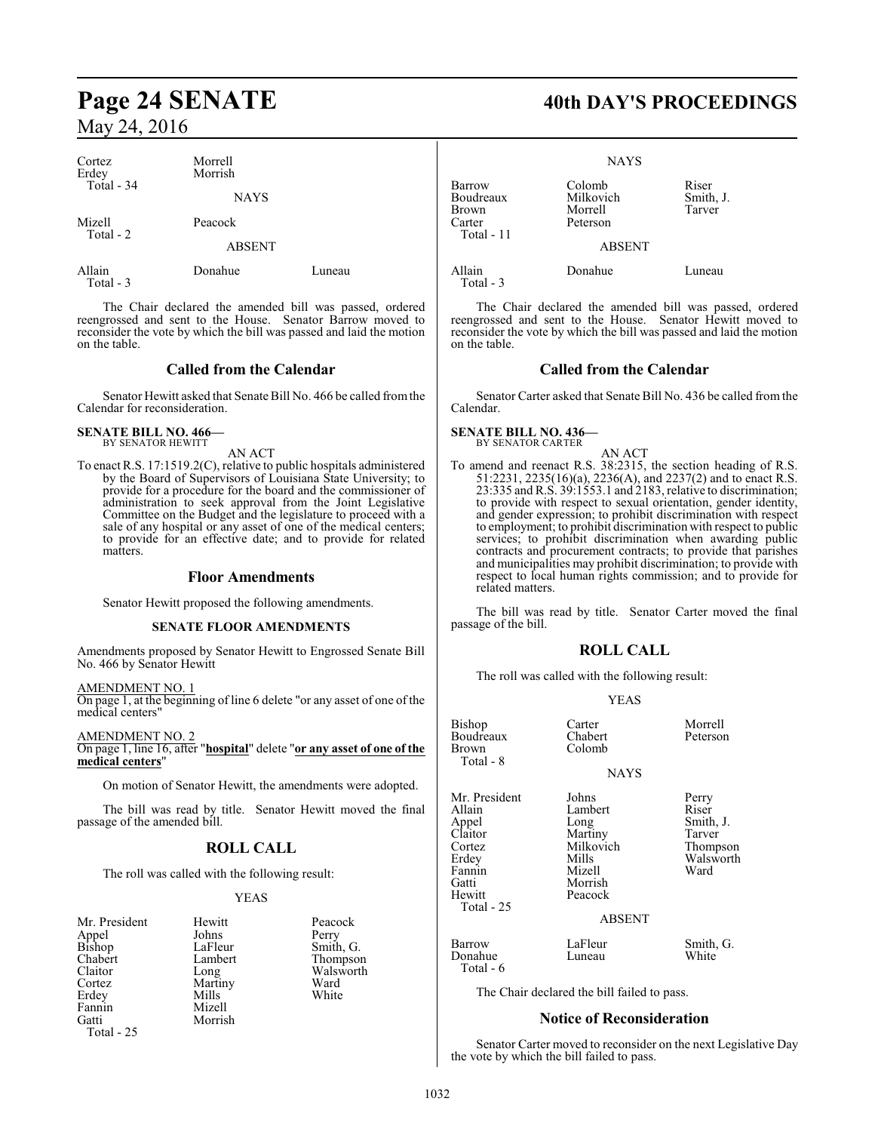| Cortez<br>Erdey<br>Total - $34$ | Morrell<br>Morrish<br><b>NAYS</b> |        |
|---------------------------------|-----------------------------------|--------|
| Mizell<br>Total - 2             | Peacock                           |        |
|                                 | <b>ABSENT</b>                     |        |
| Allain                          | Donahue                           | Luneau |

Total - 3

The Chair declared the amended bill was passed, ordered reengrossed and sent to the House. Senator Barrow moved to reconsider the vote by which the bill was passed and laid the motion on the table.

### **Called from the Calendar**

Senator Hewitt asked that Senate Bill No. 466 be called fromthe Calendar for reconsideration.

# **SENATE BILL NO. 466—** BY SENATOR HEWITT

AN ACT

To enact R.S. 17:1519.2(C), relative to public hospitals administered by the Board of Supervisors of Louisiana State University; to provide for a procedure for the board and the commissioner of administration to seek approval from the Joint Legislative Committee on the Budget and the legislature to proceed with a sale of any hospital or any asset of one of the medical centers; to provide for an effective date; and to provide for related matters.

#### **Floor Amendments**

Senator Hewitt proposed the following amendments.

#### **SENATE FLOOR AMENDMENTS**

Amendments proposed by Senator Hewitt to Engrossed Senate Bill No. 466 by Senator Hewitt

#### AMENDMENT NO. 1

On page 1, at the beginning of line 6 delete "or any asset of one of the medical centers"

AMENDMENT NO. 2

On page 1, line 16, after "**hospital**" delete "**or any asset of one of the medical centers**"

On motion of Senator Hewitt, the amendments were adopted.

The bill was read by title. Senator Hewitt moved the final passage of the amended bill.

## **ROLL CALL**

The roll was called with the following result:

Johns<br>LaFleur

Mills Mizell Morrish

#### YEAS

| Mr. President |
|---------------|
| Appel         |
| Bishop        |
| Chabert       |
| Claitor       |
| Cortez        |
| Erdey         |
| Fannin        |
| Gatti         |
| Total - 25    |

Hewitt Peacock<br>Johns Perry LaFleur Smith, G.<br>Lambert Thompson Lambert Thompson<br>
Long Walsworth Walsworth<br>Ward Martiny Ward<br>
Mills White

# Page 24 SENATE 40th DAY'S PROCEEDINGS

|                                                      | <b>NAYS</b>                                |                              |
|------------------------------------------------------|--------------------------------------------|------------------------------|
| Barrow<br>Boudreaux<br>Brown<br>Carter<br>Total - 11 | Colomb<br>Milkovich<br>Morrell<br>Peterson | Riser<br>Smith, J.<br>Tarver |
|                                                      | <b>ABSENT</b>                              |                              |
| Allain<br>Total - 3                                  | Donahue                                    | Luneau                       |

The Chair declared the amended bill was passed, ordered reengrossed and sent to the House. Senator Hewitt moved to reconsider the vote by which the bill was passed and laid the motion on the table.

### **Called from the Calendar**

Senator Carter asked that Senate Bill No. 436 be called from the Calendar.

#### **SENATE BILL NO. 436—** BY SENATOR CARTER

AN ACT

To amend and reenact R.S. 38:2315, the section heading of R.S. 51:2231, 2235(16)(a), 2236(A), and 2237(2) and to enact R.S. 23:335 and R.S. 39:1553.1 and 2183, relative to discrimination; to provide with respect to sexual orientation, gender identity, and gender expression; to prohibit discrimination with respect to employment; to prohibit discrimination with respect to public services; to prohibit discrimination when awarding public contracts and procurement contracts; to provide that parishes and municipalities may prohibit discrimination; to provide with respect to local human rights commission; and to provide for related matters.

The bill was read by title. Senator Carter moved the final passage of the bill.

#### **ROLL CALL**

The roll was called with the following result:

#### YEAS

| Bishop<br>Boudreaux<br>Brown<br>Total - 8                                                                 | Carter<br>Chabert<br>Colomb                                                               | Morrell<br>Peterson                                                    |
|-----------------------------------------------------------------------------------------------------------|-------------------------------------------------------------------------------------------|------------------------------------------------------------------------|
|                                                                                                           | <b>NAYS</b>                                                                               |                                                                        |
| Mr. President<br>Allain<br>Appel<br>Claitor<br>Cortez<br>Erdey<br>Fannin<br>Gatti<br>Hewitt<br>Total - 25 | Johns<br>Lambert<br>Long<br>Martiny<br>Milkovich<br>Mills<br>Mizell<br>Morrish<br>Peacock | Perry<br>Riser<br>Smith, J.<br>Tarver<br>Thompson<br>Walsworth<br>Ward |
|                                                                                                           | <b>ABSENT</b>                                                                             |                                                                        |
| Barrow<br>Donahue<br>Total - 6                                                                            | LaFleur<br>Luneau                                                                         | Smith, G.<br>White                                                     |
|                                                                                                           | The Chair declared the bill failed to pass.                                               |                                                                        |
|                                                                                                           |                                                                                           |                                                                        |

#### **Notice of Reconsideration**

Senator Carter moved to reconsider on the next Legislative Day the vote by which the bill failed to pass.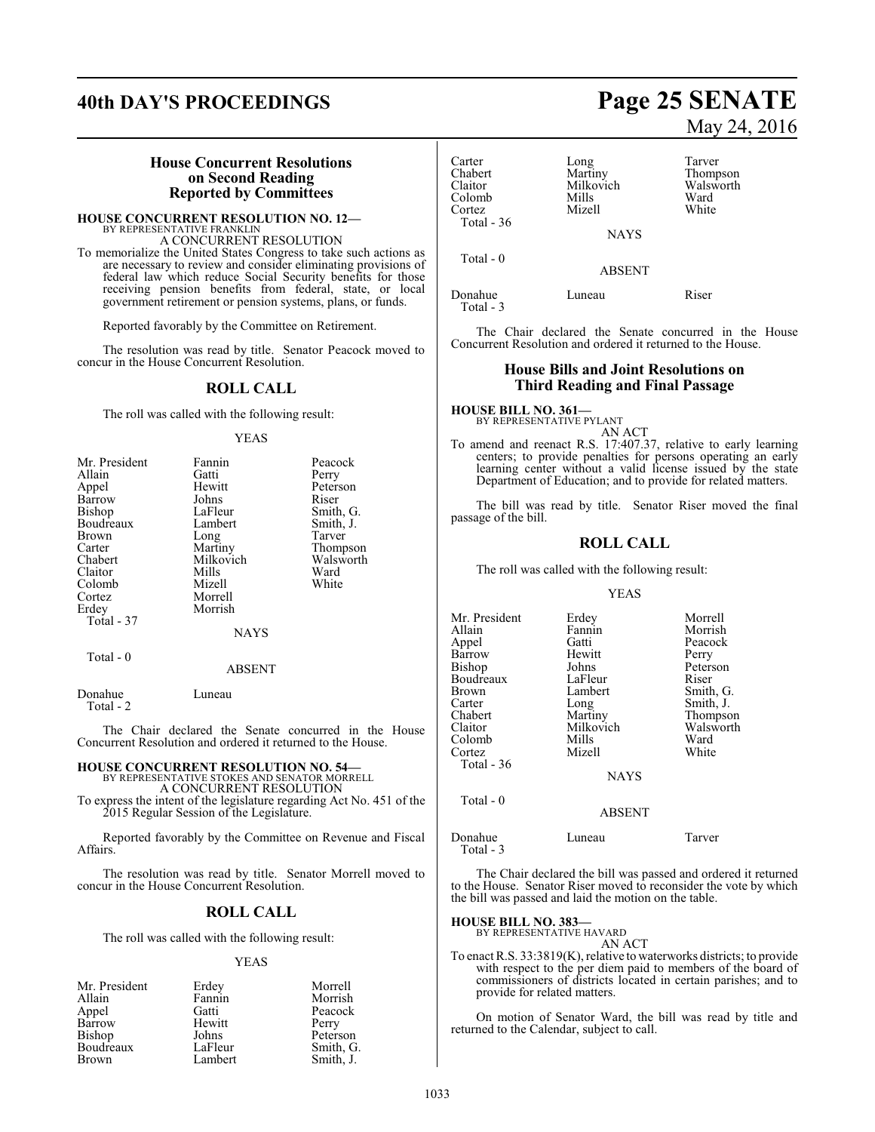# **40th DAY'S PROCEEDINGS Page 25 SENATE**

#### **House Concurrent Resolutions on Second Reading Reported by Committees**

**HOUSE CONCURRENT RESOLUTION NO. 12—** BY REPRESENTATIVE FRANKLIN A CONCURRENT RESOLUTION

To memorialize the United States Congress to take such actions as are necessary to review and consider eliminating provisions of federal law which reduce Social Security benefits for those receiving pension benefits from federal, state, or local government retirement or pension systems, plans, or funds.

Reported favorably by the Committee on Retirement.

The resolution was read by title. Senator Peacock moved to concur in the House Concurrent Resolution.

#### **ROLL CALL**

The roll was called with the following result:

#### YEAS

| Mr. President | Fannin    | Peacock   |
|---------------|-----------|-----------|
| Allain        | Gatti     | Perry     |
| Appel         | Hewitt    | Peterson  |
| Barrow        | Johns     | Riser     |
| <b>Bishop</b> | LaFleur   | Smith, G. |
| Boudreaux     | Lambert   | Smith, J. |
| <b>Brown</b>  | Long      | Tarver    |
| Carter        | Martiny   | Thompson  |
| Chabert       | Milkovich | Walsworth |
| Claitor       | Mills     | Ward      |
| Colomb        | Mizell    | White     |
| Cortez        | Morrell   |           |
| Erdey         | Morrish   |           |
| Total - 37    |           |           |
|               | NAYS      |           |
|               |           |           |

#### ABSENT

Donahue Luneau Total - 2

Total - 0

The Chair declared the Senate concurred in the House Concurrent Resolution and ordered it returned to the House.

## **HOUSE CONCURRENT RESOLUTION NO. 54—** BY REPRESENTATIVE STOKES AND SENATOR MORRELL

A CONCURRENT RESOLUTION

To express the intent of the legislature regarding Act No. 451 of the 2015 Regular Session of the Legislature.

Reported favorably by the Committee on Revenue and Fiscal Affairs.

The resolution was read by title. Senator Morrell moved to concur in the House Concurrent Resolution.

#### **ROLL CALL**

The roll was called with the following result:

#### YEAS

| Mr. President | Erdey   | Morrell   |
|---------------|---------|-----------|
| Allain        | Fannin  | Morrish   |
| Appel         | Gatti   | Peacock   |
| Barrow        | Hewitt  | Perry     |
| Bishop        | Johns   | Peterson  |
| Boudreaux     | LaFleur | Smith, G. |
| Brown         | Lambert | Smith, J. |

# May 24, 2016

| Carter     | Long          | Tarver                |
|------------|---------------|-----------------------|
| Chabert    | Martiny       | Thompson<br>Walsworth |
| Claitor    | Milkovich     |                       |
| Colomb     | Mills         | Ward                  |
| Cortez     | Mizell        | White                 |
| Total - 36 |               |                       |
|            | <b>NAYS</b>   |                       |
| Total - 0  |               |                       |
|            | <b>ABSENT</b> |                       |
|            |               |                       |

Donahue Luneau Riser Total - 3

The Chair declared the Senate concurred in the House Concurrent Resolution and ordered it returned to the House.

#### **House Bills and Joint Resolutions on Third Reading and Final Passage**

**HOUSE BILL NO. 361—** BY REPRESENTATIVE PYLANT

AN ACT

To amend and reenact R.S. 17:407.37, relative to early learning centers; to provide penalties for persons operating an early learning center without a valid license issued by the state Department of Education; and to provide for related matters.

The bill was read by title. Senator Riser moved the final passage of the bill.

#### **ROLL CALL**

The roll was called with the following result:

#### YEAS

| Mr. President | Erdey         | Morrell   |
|---------------|---------------|-----------|
| Allain        | Fannin        | Morrish   |
| Appel         | Gatti         | Peacock   |
| Barrow        | Hewitt        | Perry     |
| Bishop        | Johns         | Peterson  |
| Boudreaux     | LaFleur       | Riser     |
| <b>Brown</b>  | Lambert       | Smith, G. |
| Carter        | Long          | Smith, J. |
| Chabert       | Martiny       | Thompson  |
| Claitor       | Milkovich     | Walsworth |
| Colomb        | Mills         | Ward      |
| Cortez        | Mizell        | White     |
| Total $-36$   |               |           |
|               | <b>NAYS</b>   |           |
| Total - 0     |               |           |
|               | <b>ABSENT</b> |           |
|               |               |           |

Donahue Luneau Tarver Total - 3

The Chair declared the bill was passed and ordered it returned to the House. Senator Riser moved to reconsider the vote by which the bill was passed and laid the motion on the table.

#### **HOUSE BILL NO. 383—**

BY REPRESENTATIVE HAVARD AN ACT

To enact R.S. 33:3819(K), relative to waterworks districts; to provide with respect to the per diem paid to members of the board of commissioners of districts located in certain parishes; and to provide for related matters.

On motion of Senator Ward, the bill was read by title and returned to the Calendar, subject to call.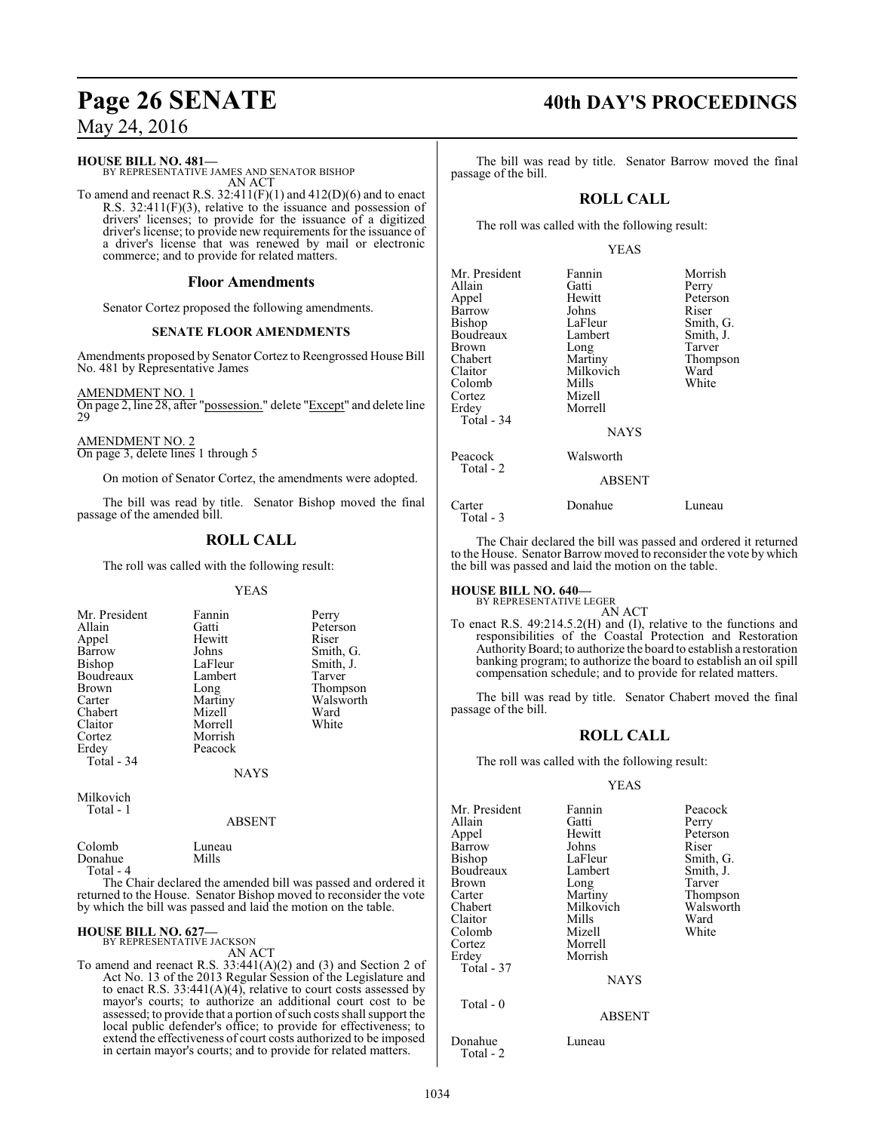**HOUSE BILL NO. 481—**

BY REPRESENTATIVE JAMES AND SENATOR BISHOP AN ACT

To amend and reenact R.S.  $32:411(F)(1)$  and  $412(D)(6)$  and to enact R.S. 32:411(F)(3), relative to the issuance and possession of drivers' licenses; to provide for the issuance of a digitized driver's license; to provide new requirements for the issuance of a driver's license that was renewed by mail or electronic commerce; and to provide for related matters.

#### **Floor Amendments**

Senator Cortez proposed the following amendments.

#### **SENATE FLOOR AMENDMENTS**

Amendments proposed by Senator Cortez to Reengrossed House Bill No. 481 by Representative James

AMENDMENT NO. 1 On page 2, line 28, after "possession." delete "Except" and delete line 29

AMENDMENT NO. 2 On page 3, delete lines 1 through 5

On motion of Senator Cortez, the amendments were adopted.

The bill was read by title. Senator Bishop moved the final passage of the amended bill.

## **ROLL CALL**

The roll was called with the following result:

#### YEAS

| Mr. President | Fannin  | Perry     |
|---------------|---------|-----------|
| Allain        | Gatti   | Peterson  |
| Appel         | Hewitt  | Riser     |
| Barrow        | Johns   | Smith, G. |
| <b>Bishop</b> | LaFleur | Smith, J. |
| Boudreaux     | Lambert | Tarver    |
| <b>Brown</b>  | Long    | Thompson  |
| Carter        | Martiny | Walsworth |
| Chabert       | Mizell  | Ward      |
| Claitor       | Morrell | White     |
| Cortez        | Morrish |           |
| Erdey         | Peacock |           |
| Total - 34    |         |           |
|               | NAYS    |           |

Milkovich Total - 1

#### ABSENT

Colomb Luneau<br>Donahue Mills Donahue Total - 4 The Chair declared the amended bill was passed and ordered it returned to the House. Senator Bishop moved to reconsider the vote

by which the bill was passed and laid the motion on the table.

#### **HOUSE BILL NO. 627—**

BY REPRESENTATIVE JACKSON AN ACT

To amend and reenact R.S.  $33:441(A)(2)$  and (3) and Section 2 of Act No. 13 of the 2013 Regular Session of the Legislature and to enact R.S. 33:441(A)(4), relative to court costs assessed by mayor's courts; to authorize an additional court cost to be assessed; to provide that a portion of such costs shall support the local public defender's office; to provide for effectiveness; to extend the effectiveness of court costs authorized to be imposed in certain mayor's courts; and to provide for related matters.

# **Page 26 SENATE 40th DAY'S PROCEEDINGS**

The bill was read by title. Senator Barrow moved the final passage of the bill.

## **ROLL CALL**

The roll was called with the following result:

#### YEAS

| Mr. President<br>Allain<br>Appel<br>Barrow<br>Bishop<br>Boudreaux<br>Brown<br>Chabert<br>Claitor<br>Colomb | Fannin<br>Gatti<br>Hewitt<br>Johns<br>LaFleur<br>Lambert<br>Long<br>Martiny<br>Milkovich<br>Mills | Morrish<br>Perry<br>Peterson<br>Riser<br>Smith, G.<br>Smith, J.<br>Tarver<br>Thompson<br>Ward<br>White |
|------------------------------------------------------------------------------------------------------------|---------------------------------------------------------------------------------------------------|--------------------------------------------------------------------------------------------------------|
| Cortez<br>Erdev<br>Total - 34                                                                              | Mizell<br>Morrell<br><b>NAYS</b>                                                                  |                                                                                                        |
| Peacock<br>Total - 2                                                                                       | Walsworth<br><b>ABSENT</b>                                                                        |                                                                                                        |
| Carter<br>Total - 3                                                                                        | Donahue                                                                                           | Luneau                                                                                                 |

The Chair declared the bill was passed and ordered it returned to the House. Senator Barrow moved to reconsider the vote by which the bill was passed and laid the motion on the table.

**HOUSE BILL NO. 640—** BY REPRESENTATIVE LEGER

AN ACT

To enact R.S. 49:214.5.2(H) and (I), relative to the functions and responsibilities of the Coastal Protection and Restoration AuthorityBoard; to authorize the board to establish a restoration banking program; to authorize the board to establish an oil spill compensation schedule; and to provide for related matters.

The bill was read by title. Senator Chabert moved the final passage of the bill.

#### **ROLL CALL**

The roll was called with the following result:

#### YEAS

| Mr. President | Fannin        | Peacock   |
|---------------|---------------|-----------|
| Allain        | Gatti         | Perry     |
| Appel         | Hewitt        | Peterson  |
| Barrow        | Johns         | Riser     |
|               | LaFleur       |           |
| Bishop        |               | Smith, G. |
| Boudreaux     | Lambert       | Smith, J. |
| Brown         | Long          | Tarver    |
| Carter        | Martiny       | Thompson  |
| Chabert       | Milkovich     | Walsworth |
| Claitor       | Mills         | Ward      |
| Colomb        | Mizell        | White     |
| Cortez        | Morrell       |           |
| Erdey         | Morrish       |           |
| Total - 37    |               |           |
|               | <b>NAYS</b>   |           |
| Total - 0     |               |           |
|               | <b>ABSENT</b> |           |
| Donahue       | Luneau        |           |

Total - 2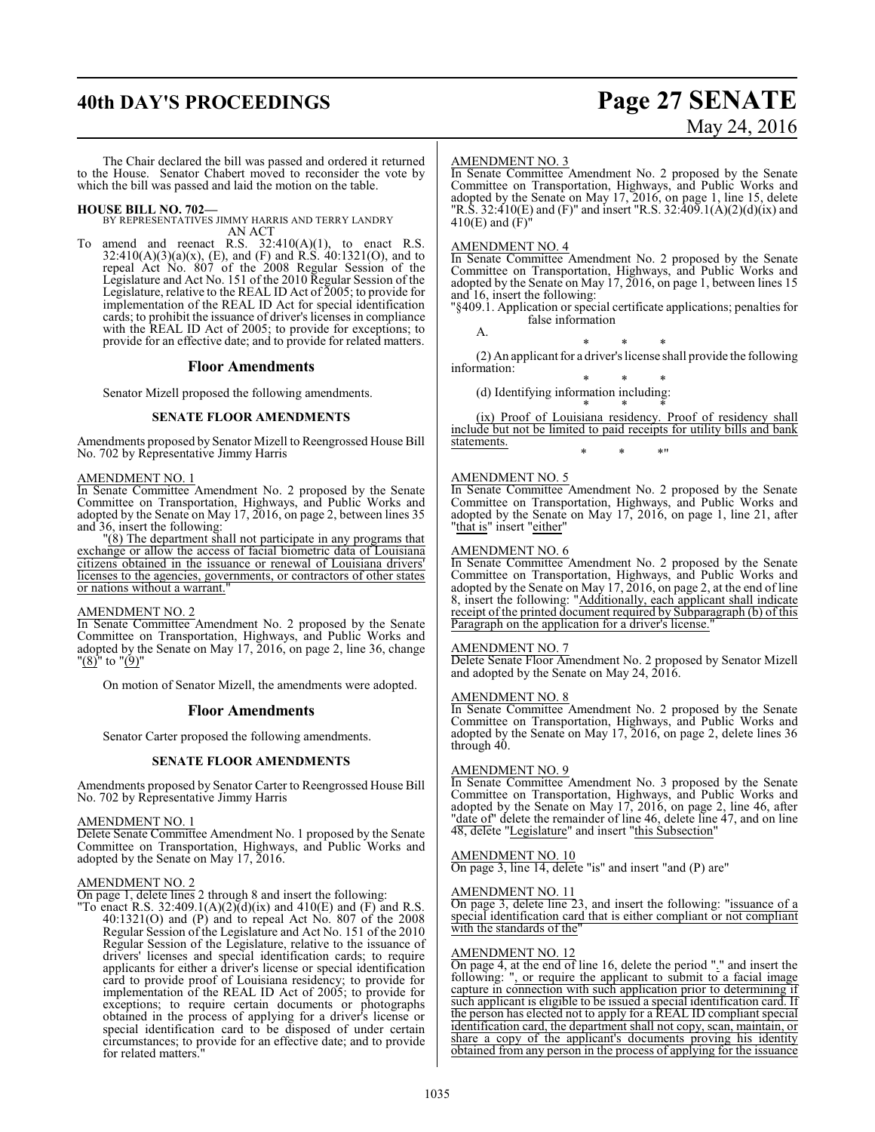# **40th DAY'S PROCEEDINGS Page 27 SENATE**

# May 24, 2016

The Chair declared the bill was passed and ordered it returned to the House. Senator Chabert moved to reconsider the vote by which the bill was passed and laid the motion on the table.

**HOUSE BILL NO. 702—** BY REPRESENTATIVES JIMMY HARRIS AND TERRY LANDRY AN ACT

To amend and reenact R.S.  $32:410(A)(1)$ , to enact R.S.  $32:410(A)(3)(a)(x)$ , (E), and (F) and R.S.  $40:1321(O)$ , and to repeal Act No. 807 of the 2008 Regular Session of the Legislature and Act No. 151 of the 2010 Regular Session of the Legislature, relative to the REAL ID Act of 2005; to provide for implementation of the REAL ID Act for special identification cards; to prohibit the issuance of driver's licenses in compliance with the REAL ID Act of 2005; to provide for exceptions; to provide for an effective date; and to provide for related matters.

#### **Floor Amendments**

Senator Mizell proposed the following amendments.

#### **SENATE FLOOR AMENDMENTS**

Amendments proposed by Senator Mizell to Reengrossed House Bill No. 702 by Representative Jimmy Harris

#### AMENDMENT NO. 1

In Senate Committee Amendment No. 2 proposed by the Senate Committee on Transportation, Highways, and Public Works and adopted by the Senate on May 17, 2016, on page 2, between lines 35 and 36, insert the following:

"(8) The department shall not participate in any programs that exchange or allow the access of facial biometric data of Louisiana citizens obtained in the issuance or renewal of Louisiana drivers' licenses to the agencies, governments, or contractors of other states or nations without a warrant."

#### AMENDMENT NO. 2

In Senate Committee Amendment No. 2 proposed by the Senate Committee on Transportation, Highways, and Public Works and adopted by the Senate on May 17, 2016, on page 2, line 36, change  $"(8)"$  to  $"(9)"$ 

On motion of Senator Mizell, the amendments were adopted.

#### **Floor Amendments**

Senator Carter proposed the following amendments.

#### **SENATE FLOOR AMENDMENTS**

Amendments proposed by Senator Carter to Reengrossed House Bill No. 702 by Representative Jimmy Harris

#### AMENDMENT NO. 1

Delete Senate Committee Amendment No. 1 proposed by the Senate Committee on Transportation, Highways, and Public Works and adopted by the Senate on May 17, 2016.

#### AMENDMENT NO. 2

On page 1, delete lines 2 through 8 and insert the following:

"To enact R.S. 32:409.1(A)(2)(d)(ix) and 410(E) and (F) and R.S. 40:1321(O) and (P) and to repeal Act No. 807 of the 2008 Regular Session of the Legislature and Act No. 151 of the 2010 Regular Session of the Legislature, relative to the issuance of drivers' licenses and special identification cards; to require applicants for either a driver's license or special identification card to provide proof of Louisiana residency; to provide for implementation of the REAL ID Act of 2005; to provide for exceptions; to require certain documents or photographs obtained in the process of applying for a driver's license or special identification card to be disposed of under certain circumstances; to provide for an effective date; and to provide for related matters."

#### AMENDMENT NO. 3

In Senate Committee Amendment No. 2 proposed by the Senate Committee on Transportation, Highways, and Public Works and adopted by the Senate on May 17, 2016, on page 1, line 15, delete "R.S. 32:410(E) and (F)" and insert "R.S. 32:409.1(A)(2)(d)(ix) and 410(E) and  $(\dot{F})^{\dot{\eta}}$ 

#### AMENDMENT NO. 4

In Senate Committee Amendment No. 2 proposed by the Senate Committee on Transportation, Highways, and Public Works and adopted by the Senate on May 17, 2016, on page 1, between lines 15 and 16, insert the following:

"§409.1. Application or special certificate applications; penalties for false information

A. \* \* \*

(2) An applicant for a driver's license shall provide the following information:

\* \* \* (d) Identifying information including:

\* \* \* (ix) Proof of Louisiana residency. Proof of residency shall include but not be limited to paid receipts for utility bills and bank statements. \* \* \*"

#### AMENDMENT NO. 5

In Senate Committee Amendment No. 2 proposed by the Senate Committee on Transportation, Highways, and Public Works and adopted by the Senate on May 17, 2016, on page 1, line 21, after "that is" insert "either"

#### AMENDMENT NO. 6

In Senate Committee Amendment No. 2 proposed by the Senate Committee on Transportation, Highways, and Public Works and adopted by the Senate on May 17, 2016, on page 2, at the end of line 8, insert the following: "Additionally, each applicant shall indicate receipt of the printed document required by Subparagraph (b) of this Paragraph on the application for a driver's license."

#### AMENDMENT NO. 7

Delete Senate Floor Amendment No. 2 proposed by Senator Mizell and adopted by the Senate on May 24, 2016.

#### AMENDMENT NO. 8

In Senate Committee Amendment No. 2 proposed by the Senate Committee on Transportation, Highways, and Public Works and adopted by the Senate on May 17, 2016, on page 2, delete lines 36 through 40.

#### AMENDMENT NO. 9

In Senate Committee Amendment No. 3 proposed by the Senate Committee on Transportation, Highways, and Public Works and adopted by the Senate on May 17, 2016, on page 2, line 46, after "date of" delete the remainder of line 46, delete line 47, and on line 48, delete "Legislature" and insert "this Subsection"

#### AMENDMENT NO. 10 On page 3, line 14, delete "is" and insert "and (P) are"

#### AMENDMENT NO. 11

 $\overline{On}$  page 3, delete line 23, and insert the following: "issuance of a special identification card that is either compliant or not compliant with the standards of the'

#### AMENDMENT NO. 12

On page 4, at the end of line 16, delete the period "." and insert the following: ", or require the applicant to submit to a facial image capture in connection with such application prior to determining if such applicant is eligible to be issued a special identification card. If the person has elected not to apply for a REAL ID compliant special identification card, the department shall not copy, scan, maintain, or share a copy of the applicant's documents proving his identity obtained from any person in the process of applying for the issuance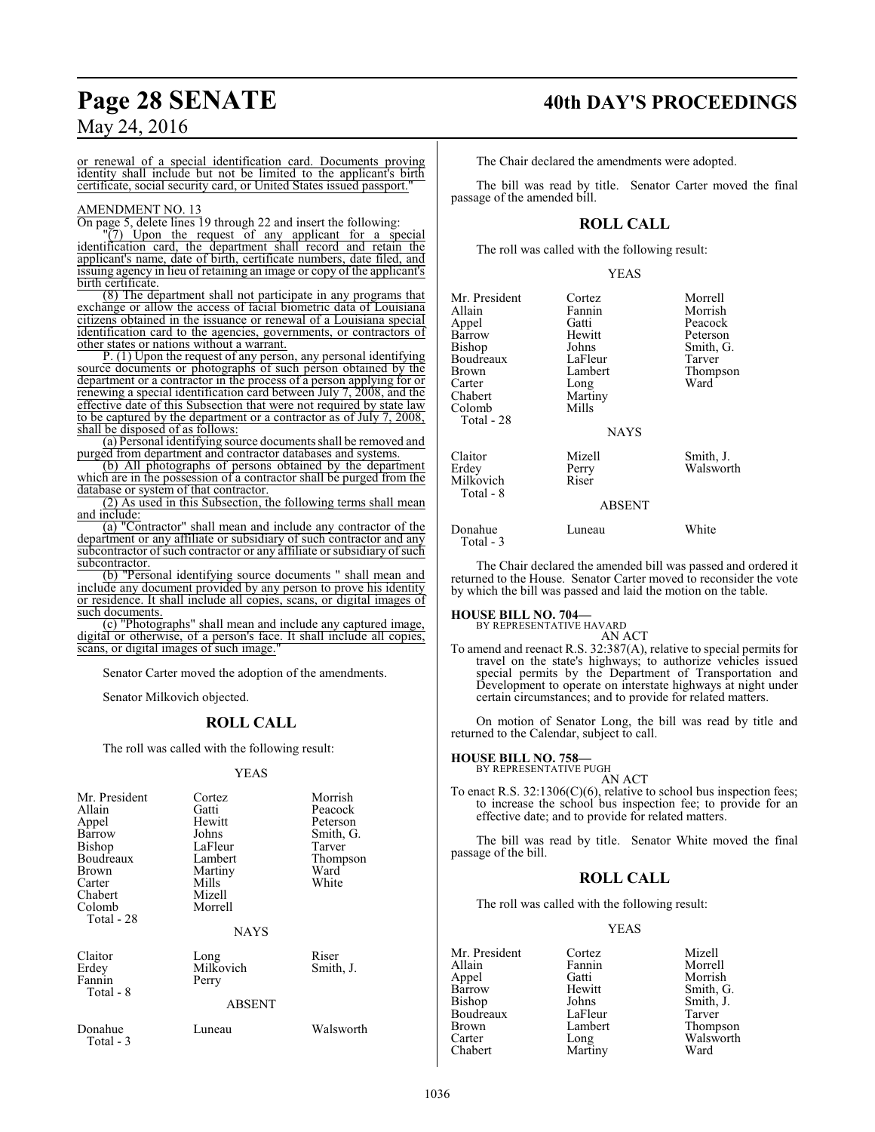## **Page 28 SENATE 40th DAY'S PROCEEDINGS**

May 24, 2016

or renewal of a special identification card. Documents proving identity shall include but not be limited to the applicant's birth certificate, social security card, or United States issued passport."

#### AMENDMENT NO. 13

On page 5, delete lines 19 through 22 and insert the following:

"(7) Upon the request of any applicant for a special identification card, the department shall record and retain the applicant's name, date of birth, certificate numbers, date filed, and issuing agency in lieu of retaining an image or copy of the applicant's birth certificate.

(8) The department shall not participate in any programs that exchange or allow the access of facial biometric data of Louisiana citizens obtained in the issuance or renewal of a Louisiana special identification card to the agencies, governments, or contractors of other states or nations without a warrant.

P. (1) Upon the request of any person, any personal identifying source documents or photographs of such person obtained by the department or a contractor in the process of a person applying for or renewing a special identification card between July 7, 2008, and the effective date of this Subsection that were not required by state law to be captured by the department or a contractor as of July 7, 2008, shall be disposed of as follows:

(a) Personal identifying source documents shall be removed and purged from department and contractor databases and systems.

(b) All photographs of persons obtained by the department which are in the possession of a contractor shall be purged from the database or system of that contractor.

(2) As used in this Subsection, the following terms shall mean and include:

(a) "Contractor" shall mean and include any contractor of the department or any affiliate or subsidiary of such contractor and any subcontractor of such contractor or any affiliate or subsidiary of such subcontractor.

(b) "Personal identifying source documents " shall mean and include any document provided by any person to prove his identity or residence. It shall include all copies, scans, or digital images of such documents.

(c) "Photographs" shall mean and include any captured image, digital or otherwise, of a person's face. It shall include all copies, scans, or digital images of such image.

Senator Carter moved the adoption of the amendments.

Senator Milkovich objected.

## **ROLL CALL**

The roll was called with the following result:

YEAS

| Mr. President<br>Allain<br>Appel<br>Barrow<br><b>Bishop</b><br>Boudreaux<br>Brown<br>Carter<br>Chabert<br>Colomb<br>Total - 28 | Cortez<br>Gatti<br>Hewitt<br>Johns<br>LaFleur<br>Lambert<br>Martiny<br>Mills<br>Mizell<br>Morrell<br><b>NAYS</b> | Morrish<br>Peacock<br>Peterson<br>Smith, G.<br>Tarver<br>Thompson<br>Ward<br>White |
|--------------------------------------------------------------------------------------------------------------------------------|------------------------------------------------------------------------------------------------------------------|------------------------------------------------------------------------------------|
| Claitor<br>Erdey<br>Fannin<br>Total - 8                                                                                        | Long<br>Milkovich<br>Perry<br><b>ABSENT</b>                                                                      | Riser<br>Smith, J.                                                                 |
| Donahue                                                                                                                        | Luneau                                                                                                           | Walsworth                                                                          |
| Total - 3                                                                                                                      |                                                                                                                  |                                                                                    |

The Chair declared the amendments were adopted.

The bill was read by title. Senator Carter moved the final passage of the amended bill.

### **ROLL CALL**

The roll was called with the following result:

#### YEAS

| Mr. President<br>Allain<br>Appel<br>Barrow<br>Bishop<br>Boudreaux<br>Brown<br>Carter<br>Chabert<br>Colomb<br>Total - 28 | Cortez<br>Fannin<br>Gatti<br>Hewitt<br>Johns<br>LaFleur<br>Lambert<br>Long<br>Martiny<br>Mills<br><b>NAYS</b> | Morrell<br>Morrish<br>Peacock<br>Peterson<br>Smith, G.<br>Tarver<br>Thompson<br>Ward |
|-------------------------------------------------------------------------------------------------------------------------|---------------------------------------------------------------------------------------------------------------|--------------------------------------------------------------------------------------|
| Claitor<br>Erdey<br>Milkovich<br>Total - 8                                                                              | Mizell<br>Perry<br>Riser                                                                                      | Smith, J.<br>Walsworth                                                               |
|                                                                                                                         | <b>ABSENT</b>                                                                                                 |                                                                                      |
| Donahue                                                                                                                 | uneau                                                                                                         | White                                                                                |

The Chair declared the amended bill was passed and ordered it returned to the House. Senator Carter moved to reconsider the vote

by which the bill was passed and laid the motion on the table.

#### **HOUSE BILL NO. 704—**

Total - 3

BY REPRESENTATIVE HAVARD

AN ACT To amend and reenact R.S. 32:387(A), relative to special permits for travel on the state's highways; to authorize vehicles issued special permits by the Department of Transportation and Development to operate on interstate highways at night under certain circumstances; and to provide for related matters.

On motion of Senator Long, the bill was read by title and returned to the Calendar, subject to call.

#### **HOUSE BILL NO. 758—**

BY REPRESENTATIVE PUGH

AN ACT To enact R.S. 32:1306(C)(6), relative to school bus inspection fees; to increase the school bus inspection fee; to provide for an effective date; and to provide for related matters.

The bill was read by title. Senator White moved the final passage of the bill.

#### **ROLL CALL**

The roll was called with the following result:

#### YEAS

Mr. President Cortez Mizell Allain Fannin Morrell<br>Appel Gatti Morrish Appel Gatti Morrish Bishop Johns Smith, J.<br>Boudreaux LaFleur Tarver Boudreaux LaFleur<br>Brown Lambert Brown Lambert Thompson<br>
Carter Long Walsworth Carter Long Walsworth<br>
Chabert Martiny Ward Martiny

Smith, G.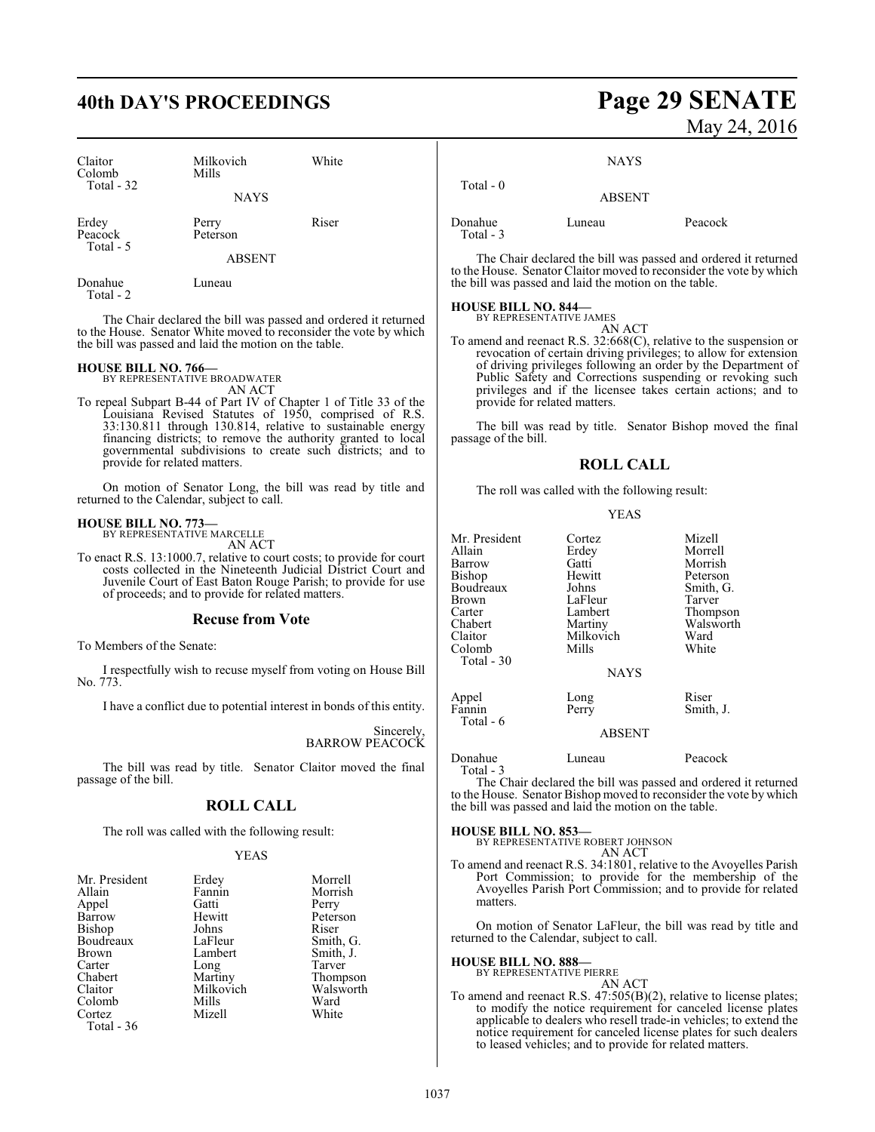# **40th DAY'S PROCEEDINGS Page 29 SENATE**

| Claitor<br>Colomb<br>Total - 32 | Milkovich<br>Mills<br><b>NAYS</b>  | White |
|---------------------------------|------------------------------------|-------|
| Erdey<br>Peacock<br>Total - 5   | Perry<br>Peterson<br><b>ABSENT</b> | Riser |
| Donahue                         | uneau                              |       |

Total - 2

The Chair declared the bill was passed and ordered it returned to the House. Senator White moved to reconsider the vote by which the bill was passed and laid the motion on the table.

## **HOUSE BILL NO. 766—** BY REPRESENTATIVE BROADWATER

AN ACT

To repeal Subpart B-44 of Part IV of Chapter 1 of Title 33 of the Louisiana Revised Statutes of 1950, comprised of R.S. 33:130.811 through 130.814, relative to sustainable energy financing districts; to remove the authority granted to local governmental subdivisions to create such districts; and to provide for related matters.

On motion of Senator Long, the bill was read by title and returned to the Calendar, subject to call.

#### **HOUSE BILL NO. 773—**

BY REPRESENTATIVE MARCELLE AN ACT

To enact R.S. 13:1000.7, relative to court costs; to provide for court costs collected in the Nineteenth Judicial District Court and Juvenile Court of East Baton Rouge Parish; to provide for use of proceeds; and to provide for related matters.

#### **Recuse from Vote**

To Members of the Senate:

I respectfully wish to recuse myself from voting on House Bill No. 773.

I have a conflict due to potential interest in bonds of this entity.

Sincerely, BARROW PEACOCK

The bill was read by title. Senator Claitor moved the final passage of the bill.

#### **ROLL CALL**

The roll was called with the following result:

#### YEAS

| Mr. President | Erdey     | Morrell   |
|---------------|-----------|-----------|
| Allain        | Fannin    | Morrish   |
| Appel         | Gatti     | Perry     |
| Barrow        | Hewitt    | Peterson  |
| Bishop        | Johns     | Riser     |
| Boudreaux     | LaFleur   | Smith, G. |
| <b>Brown</b>  | Lambert   | Smith, J. |
| Carter        | Long      | Tarver    |
| Chabert       | Martiny   | Thompson  |
| Claitor       | Milkovich | Walsworth |
| Colomb        | Mills     | Ward      |
| Cortez        | Mizell    | White     |
| Total - 36    |           |           |

# May 24, 2016

**NAYS** 

| Total $-0$           | <b>ABSENT</b> |         |
|----------------------|---------------|---------|
| Donahue<br>Total - 3 | Luneau        | Peacock |

The Chair declared the bill was passed and ordered it returned to the House. Senator Claitor moved to reconsider the vote by which the bill was passed and laid the motion on the table.

# **HOUSE BILL NO. 844—** BY REPRESENTATIVE JAMES

AN ACT To amend and reenact R.S. 32:668(C), relative to the suspension or revocation of certain driving privileges; to allow for extension of driving privileges following an order by the Department of Public Safety and Corrections suspending or revoking such privileges and if the licensee takes certain actions; and to provide for related matters.

The bill was read by title. Senator Bishop moved the final passage of the bill.

#### **ROLL CALL**

The roll was called with the following result:

#### YEAS

| Mr. President | Cortez        | Mizell    |
|---------------|---------------|-----------|
| Allain        | Erdey         | Morrell   |
| Barrow        | Gatti         | Morrish   |
| Bishop        | Hewitt        | Peterson  |
| Boudreaux     | Johns         | Smith, G. |
| Brown         | LaFleur       | Tarver    |
| Carter        | Lambert       | Thompson  |
| Chabert       | Martiny       | Walsworth |
| Claitor       | Milkovich     | Ward      |
| Colomb        | Mills         | White     |
| Total - 30    |               |           |
|               | <b>NAYS</b>   |           |
|               |               |           |
| Appel         | Long          | Riser     |
| Fannin        | Perry         | Smith, J. |
| Total - 6     |               |           |
|               | <b>ABSENT</b> |           |
|               |               |           |

Donahue Luneau Peacock

Total - 3

The Chair declared the bill was passed and ordered it returned to the House. Senator Bishop moved to reconsider the vote by which the bill was passed and laid the motion on the table.

**HOUSE BILL NO. 853—**

BY REPRESENTATIVE ROBERT JOHNSON AN ACT

To amend and reenact R.S. 34:1801, relative to the Avoyelles Parish Port Commission; to provide for the membership of the Avoyelles Parish Port Commission; and to provide for related matters.

On motion of Senator LaFleur, the bill was read by title and returned to the Calendar, subject to call.

#### **HOUSE BILL NO. 888—**

BY REPRESENTATIVE PIERRE

AN ACT To amend and reenact R.S. 47:505(B)(2), relative to license plates; to modify the notice requirement for canceled license plates applicable to dealers who resell trade-in vehicles; to extend the notice requirement for canceled license plates for such dealers to leased vehicles; and to provide for related matters.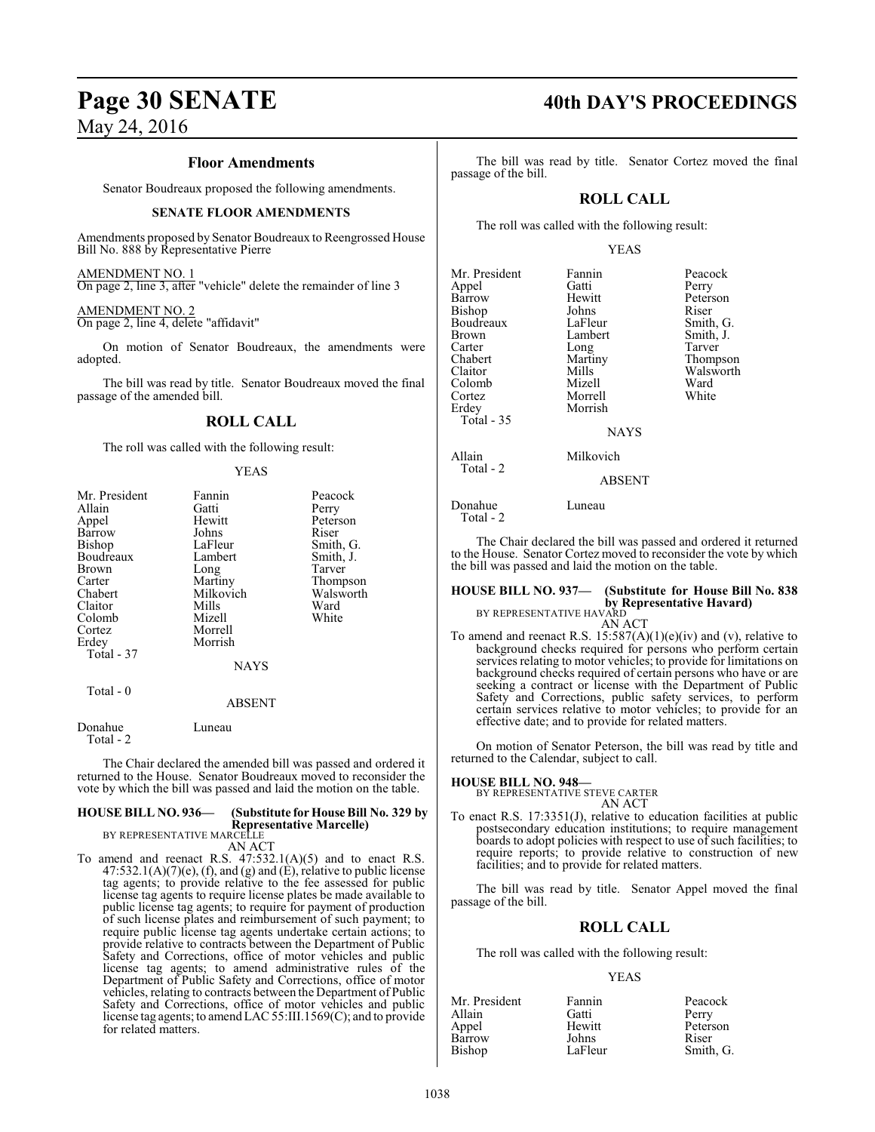#### **Floor Amendments**

Senator Boudreaux proposed the following amendments.

#### **SENATE FLOOR AMENDMENTS**

Amendments proposed by Senator Boudreaux to Reengrossed House Bill No. 888 by Representative Pierre

#### AMENDMENT NO. 1

On page 2, line 3, after "vehicle" delete the remainder of line 3

#### AMENDMENT NO. 2

On page 2, line 4, delete "affidavit"

On motion of Senator Boudreaux, the amendments were adopted.

The bill was read by title. Senator Boudreaux moved the final passage of the amended bill.

#### **ROLL CALL**

The roll was called with the following result:

#### YEAS

| Mr. President | Fannin        | Peacock   |
|---------------|---------------|-----------|
| Allain        | Gatti         | Perry     |
| Appel         | Hewitt        | Peterson  |
| Barrow        | Johns         | Riser     |
| Bishop        | LaFleur       | Smith, G. |
| Boudreaux     | Lambert       | Smith, J. |
| Brown         | Long          | Tarver    |
| Carter        | Martiny       | Thompson  |
| Chabert       | Milkovich     | Walsworth |
| Claitor       | Mills         | Ward      |
| Colomb        | Mizell        | White     |
| Cortez        | Morrell       |           |
| Erdey         | Morrish       |           |
| Total - 37    |               |           |
|               | <b>NAYS</b>   |           |
| Total - 0     |               |           |
|               | <b>ABSENT</b> |           |
| Donahue       | Luneau        |           |

Total - 2

The Chair declared the amended bill was passed and ordered it returned to the House. Senator Boudreaux moved to reconsider the vote by which the bill was passed and laid the motion on the table.

#### **HOUSE BILL NO. 936— (Substitute for House Bill No. 329 by Representative Marcelle)** BY REPRESENTATIVE MARCELLE

AN ACT

To amend and reenact R.S. 47:532.1(A)(5) and to enact R.S.  $47:532.1(A)(7)(e)$ , (f), and (g) and (E), relative to public license tag agents; to provide relative to the fee assessed for public license tag agents to require license plates be made available to public license tag agents; to require for payment of production of such license plates and reimbursement of such payment; to require public license tag agents undertake certain actions; to provide relative to contracts between the Department of Public Safety and Corrections, office of motor vehicles and public license tag agents; to amend administrative rules of the Department of Public Safety and Corrections, office of motor vehicles, relating to contracts between the Department of Public Safety and Corrections, office of motor vehicles and public license tag agents; to amendLAC 55:III.1569(C); and to provide for related matters.

# **Page 30 SENATE 40th DAY'S PROCEEDINGS**

The bill was read by title. Senator Cortez moved the final passage of the bill.

#### **ROLL CALL**

The roll was called with the following result:

#### YEAS

| Mr. President<br>Appel<br>Barrow<br>Bishop<br>Boudreaux<br><b>Brown</b><br>Carter<br>Chabert<br>Claitor<br>Colomb<br>Cortez<br>Erdey<br><b>Total - 35</b> | Fannin<br>Gatti<br>Hewitt<br>Johns<br>LaFleur<br>Lambert<br>Long<br>Martiny<br>Mills<br>Mizell<br>Morrell<br>Morrish<br><b>NAYS</b> | Peacock<br>Perry<br>Peterson<br>Riser<br>Smith, G.<br>Smith, J.<br>Tarver<br>Thompson<br>Walsworth<br>Ward<br>White |
|-----------------------------------------------------------------------------------------------------------------------------------------------------------|-------------------------------------------------------------------------------------------------------------------------------------|---------------------------------------------------------------------------------------------------------------------|
| Allain<br>Total - 2                                                                                                                                       | Milkovich<br><b>ABSENT</b>                                                                                                          |                                                                                                                     |

Donahue Luneau Total - 2

The Chair declared the bill was passed and ordered it returned to the House. Senator Cortez moved to reconsider the vote by which the bill was passed and laid the motion on the table.

## **HOUSE BILL NO. 937— (Substitute for House Bill No. 838 by Representative Havard)**<br>BY REPRESENTATIVE HAVARD

#### AN ACT

To amend and reenact R.S.  $15:587(A)(1)(e)(iv)$  and (v), relative to background checks required for persons who perform certain services relating to motor vehicles; to provide for limitations on background checks required of certain persons who have or are seeking a contract or license with the Department of Public Safety and Corrections, public safety services, to perform certain services relative to motor vehicles; to provide for an effective date; and to provide for related matters.

On motion of Senator Peterson, the bill was read by title and returned to the Calendar, subject to call.

#### **HOUSE BILL NO. 948—**

BY REPRESENTATIVE STEVE CARTER AN ACT

To enact R.S. 17:3351(J), relative to education facilities at public postsecondary education institutions; to require management boards to adopt policies with respect to use of such facilities; to require reports; to provide relative to construction of new facilities; and to provide for related matters.

The bill was read by title. Senator Appel moved the final passage of the bill.

## **ROLL CALL**

The roll was called with the following result:

#### YEAS

| Mr. President | Fannin  | Peacock   |
|---------------|---------|-----------|
| Allain        | Gatti   | Perry     |
| Appel         | Hewitt  | Peterson  |
| Barrow        | Johns   | Riser     |
| Bishop        | LaFleur | Smith, G. |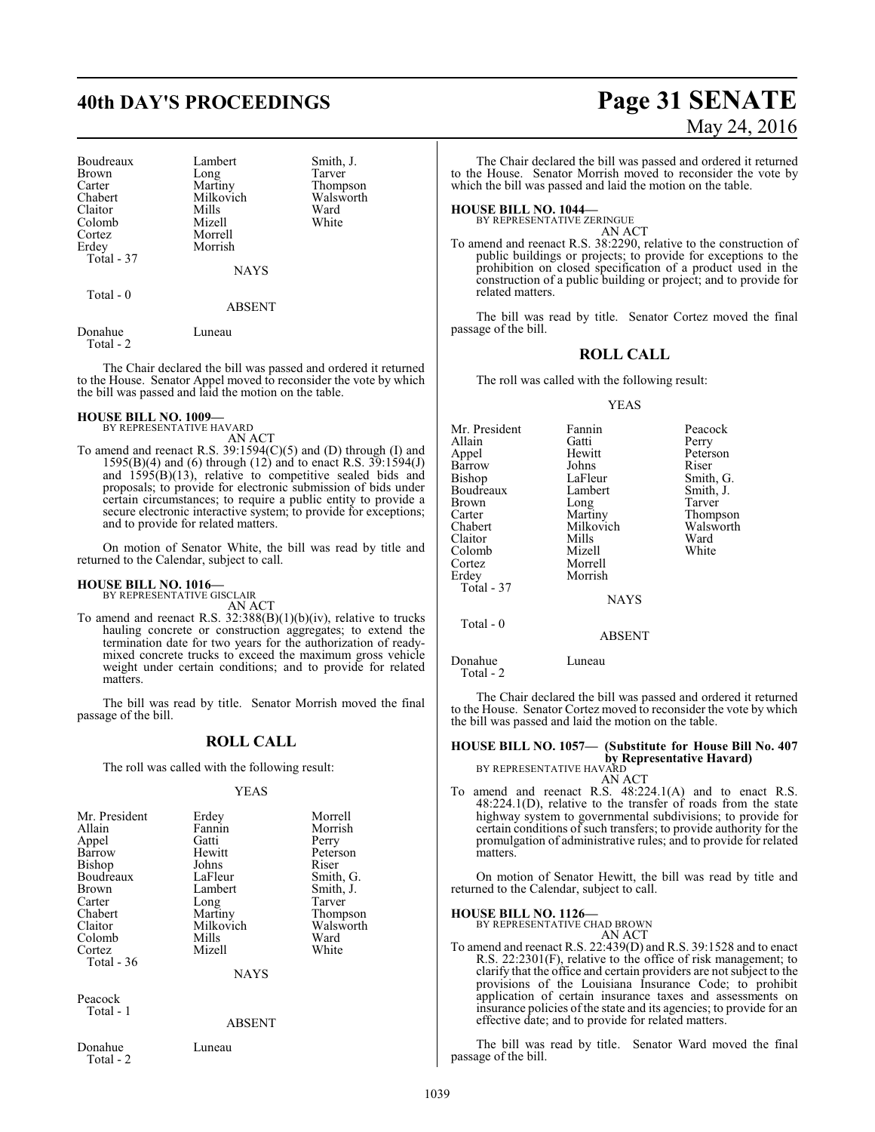Boudreaux Lambert Smith, J.<br>Brown Long Tarver Brown Long<br>Carter Martiny Carter Martiny Thompson<br>Chabert Milkovich Walsworth Claitor Mills Ward<br>Colomb Mizell White Colomb<br>Cortez Erdey Morrish Total - 37

Milkovich Walsw<br>Mills Ward

NAYS

Total - 0

ABSENT

Morrell

Donahue Luneau Total - 2

The Chair declared the bill was passed and ordered it returned to the House. Senator Appel moved to reconsider the vote by which the bill was passed and laid the motion on the table.

## **HOUSE BILL NO. 1009—** BY REPRESENTATIVE HAVARD

AN ACT

To amend and reenact R.S. 39:1594(C)(5) and (D) through (I) and 1595(B)(4) and (6) through (12) and to enact R.S. 39:1594(J) and  $1595(B)(13)$ , relative to competitive sealed bids and proposals; to provide for electronic submission of bids under certain circumstances; to require a public entity to provide a secure electronic interactive system; to provide for exceptions; and to provide for related matters.

On motion of Senator White, the bill was read by title and returned to the Calendar, subject to call.

#### **HOUSE BILL NO. 1016—**

BY REPRESENTATIVE GISCLAIR AN ACT

To amend and reenact R.S. 32:388(B)(1)(b)(iv), relative to trucks hauling concrete or construction aggregates; to extend the termination date for two years for the authorization of readymixed concrete trucks to exceed the maximum gross vehicle weight under certain conditions; and to provide for related matters.

The bill was read by title. Senator Morrish moved the final passage of the bill.

#### **ROLL CALL**

The roll was called with the following result:

#### YEAS

| Mr. President<br>Allain<br>Appel<br>Barrow<br>Bishop<br>Boudreaux<br><b>Brown</b><br>Carter | Erdey<br>Fannin<br>Gatti<br>Hewitt<br>Johns<br>LaFleur<br>Lambert<br>Long | Morrell<br>Morrish<br>Perry<br>Peterson<br>Riser<br>Smith, G.<br>Smith, J.<br>Tarver |
|---------------------------------------------------------------------------------------------|---------------------------------------------------------------------------|--------------------------------------------------------------------------------------|
| Chabert                                                                                     | Martiny                                                                   | Thompson                                                                             |
| Claitor                                                                                     | Milkovich                                                                 | Walsworth                                                                            |
| Colomb                                                                                      | Mills<br>Mizell                                                           | Ward<br>White                                                                        |
| Cortez<br>Total - 36                                                                        |                                                                           |                                                                                      |
|                                                                                             | NAYS                                                                      |                                                                                      |

Peacock Total - 1

ABSENT

Donahue Luneau Total - 2

# **40th DAY'S PROCEEDINGS Page 31 SENATE** May 24, 2016

The Chair declared the bill was passed and ordered it returned to the House. Senator Morrish moved to reconsider the vote by which the bill was passed and laid the motion on the table.

#### **HOUSE BILL NO. 1044—**

BY REPRESENTATIVE ZERINGUE

AN ACT To amend and reenact R.S. 38:2290, relative to the construction of public buildings or projects; to provide for exceptions to the prohibition on closed specification of a product used in the construction of a public building or project; and to provide for related matters.

The bill was read by title. Senator Cortez moved the final passage of the bill.

#### **ROLL CALL**

The roll was called with the following result:

#### YEAS

| Mr. President | Fannin        | Peacock   |
|---------------|---------------|-----------|
| Allain        | Gatti         | Perry     |
| Appel         | Hewitt        | Peterson  |
| Barrow        | Johns         | Riser     |
| Bishop        | LaFleur       | Smith, G. |
| Boudreaux     | Lambert       | Smith, J. |
| Brown         | Long          | Tarver    |
| Carter        | Martiny       | Thompson  |
| Chabert       | Milkovich     | Walsworth |
| Claitor       | Mills         | Ward      |
| Colomb        | Mizell        | White     |
| Cortez        | Morrell       |           |
| Erdey         | Morrish       |           |
| Total - 37    |               |           |
|               | <b>NAYS</b>   |           |
|               |               |           |
| Total - 0     |               |           |
|               | <b>ABSENT</b> |           |

Donahue Luneau Total - 2

The Chair declared the bill was passed and ordered it returned to the House. Senator Cortez moved to reconsider the vote by which the bill was passed and laid the motion on the table.

#### **HOUSE BILL NO. 1057— (Substitute for House Bill No. 407 by Representative Havard)** BY REPRESENTATIVE HAVARD

AN ACT

To amend and reenact R.S. 48:224.1(A) and to enact R.S. 48:224.1(D), relative to the transfer of roads from the state highway system to governmental subdivisions; to provide for certain conditions of such transfers; to provide authority for the promulgation of administrative rules; and to provide for related matters.

On motion of Senator Hewitt, the bill was read by title and returned to the Calendar, subject to call.

#### **HOUSE BILL NO. 1126—**

BY REPRESENTATIVE CHAD BROWN AN ACT

To amend and reenact R.S. 22:439(D) and R.S. 39:1528 and to enact R.S. 22:2301(F), relative to the office of risk management; to clarify that the office and certain providers are not subject to the provisions of the Louisiana Insurance Code; to prohibit application of certain insurance taxes and assessments on insurance policies of the state and its agencies; to provide for an effective date; and to provide for related matters.

The bill was read by title. Senator Ward moved the final passage of the bill.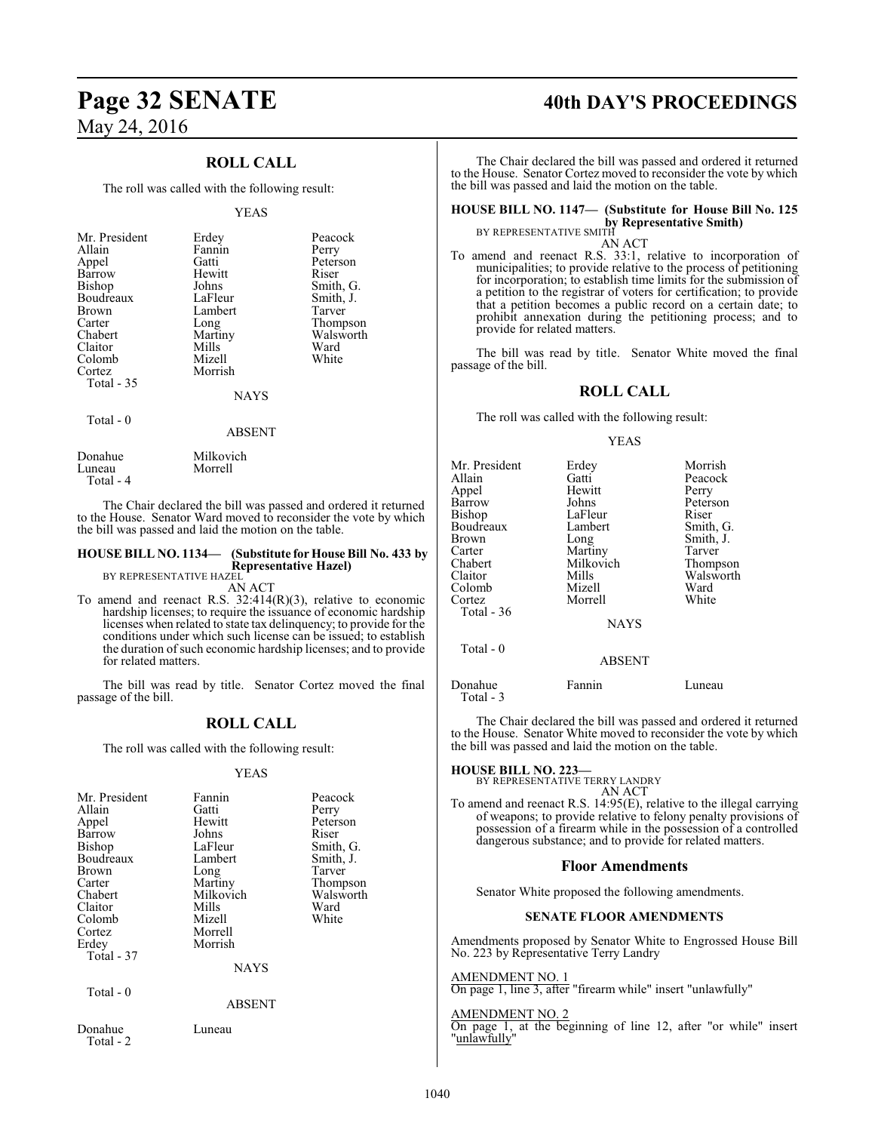### **ROLL CALL**

The roll was called with the following result:

#### YEAS

| Mr. President<br>Allain<br>Appel<br>Barrow<br><b>Bishop</b><br>Boudreaux<br><b>Brown</b><br>Carter | Erdey<br>Fannin<br>Gatti<br>Hewitt<br>Johns<br>LaFleur<br>Lambert<br>Long | Peacock<br>Perry<br>Peterson<br>Riser<br>Smith, G.<br>Smith, J.<br>Tarver<br>Thompson |
|----------------------------------------------------------------------------------------------------|---------------------------------------------------------------------------|---------------------------------------------------------------------------------------|
| Chabert<br>Claitor<br>Colomb<br>Cortez<br>Total - 35                                               | Martiny<br>Mills<br>Mizell<br>Morrish<br><b>NAYS</b>                      | Walsworth<br>Ward<br>White                                                            |
| $T$ $\rightarrow$ $1$ $\land$                                                                      |                                                                           |                                                                                       |

Total - 0

#### ABSENT

| Donahue   | Milkovich |
|-----------|-----------|
| Luneau    | Morrell   |
| Total - 4 |           |

The Chair declared the bill was passed and ordered it returned to the House. Senator Ward moved to reconsider the vote by which the bill was passed and laid the motion on the table.

#### **HOUSE BILL NO. 1134— (Substitute for House Bill No. 433 by Representative Hazel)**

BY REPRESENTATIVE HAZEL AN ACT

To amend and reenact R.S. 32:414(R)(3), relative to economic hardship licenses; to require the issuance of economic hardship licenses when related to state tax delinquency; to provide for the conditions under which such license can be issued; to establish the duration ofsuch economic hardship licenses; and to provide for related matters.

The bill was read by title. Senator Cortez moved the final passage of the bill.

## **ROLL CALL**

The roll was called with the following result:

#### YEAS

| Mr. President<br>Allain<br>Appel<br>Barrow<br>Bishop<br>Boudreaux<br><b>Brown</b><br>Carter<br>Chabert<br>Claitor<br>Colomb<br>Cortez<br>Erdey<br>Total - 37 | Fannin<br>Gatti<br>Hewitt<br>Johns<br>LaFleur<br>Lambert<br>Long<br>Martiny<br>Milkovich<br>Mills<br>Mizell<br>Morrell<br>Morrish<br><b>NAYS</b> | Peacock<br>Perry<br>Peterson<br>Riser<br>Smith, G.<br>Smith, J.<br>Tarver<br>Thompson<br>Walsworth<br>Ward<br>White |
|--------------------------------------------------------------------------------------------------------------------------------------------------------------|--------------------------------------------------------------------------------------------------------------------------------------------------|---------------------------------------------------------------------------------------------------------------------|
| Total - 0                                                                                                                                                    | <b>ABSENT</b>                                                                                                                                    |                                                                                                                     |
| Donahue<br>Total - 2                                                                                                                                         | Luneau                                                                                                                                           |                                                                                                                     |

# **Page 32 SENATE 40th DAY'S PROCEEDINGS**

The Chair declared the bill was passed and ordered it returned to the House. Senator Cortez moved to reconsider the vote by which the bill was passed and laid the motion on the table.

## **HOUSE BILL NO. 1147— (Substitute for House Bill No. 125 by Representative Smith)**<br>BY REPRESENTATIVE SMITH

AN ACT

To amend and reenact R.S. 33:1, relative to incorporation of municipalities; to provide relative to the process of petitioning for incorporation; to establish time limits for the submission of a petition to the registrar of voters for certification; to provide that a petition becomes a public record on a certain date; to prohibit annexation during the petitioning process; and to provide for related matters.

The bill was read by title. Senator White moved the final passage of the bill.

#### **ROLL CALL**

The roll was called with the following result:

#### YEAS

| Mr. President<br>Allain<br>Appel<br><b>Barrow</b><br>Bishop<br>Boudreaux<br>Brown<br>Carter<br>Chabert<br>Claitor<br>Colomb<br>Cortez<br>Total - 36<br>Total - 0 | Erdey<br>Gatti<br>Hewitt<br>Johns<br>LaFleur<br>Lambert<br>Long<br>Martiny<br>Milkovich<br>Mills<br>Mizell<br>Morrell<br><b>NAYS</b> | Morrish<br>Peacock<br>Perry<br>Peterson<br>Riser<br>Smith, G.<br>Smith, J.<br>Tarver<br>Thompson<br>Walsworth<br>Ward<br>White |
|------------------------------------------------------------------------------------------------------------------------------------------------------------------|--------------------------------------------------------------------------------------------------------------------------------------|--------------------------------------------------------------------------------------------------------------------------------|
|                                                                                                                                                                  | <b>ABSENT</b>                                                                                                                        |                                                                                                                                |
| Donahue<br>Total - 3                                                                                                                                             | Fannin                                                                                                                               | Luneau                                                                                                                         |

The Chair declared the bill was passed and ordered it returned to the House. Senator White moved to reconsider the vote by which the bill was passed and laid the motion on the table.

**HOUSE BILL NO. 223—** BY REPRESENTATIVE TERRY LANDRY AN ACT

To amend and reenact R.S. 14:95(E), relative to the illegal carrying of weapons; to provide relative to felony penalty provisions of possession of a firearm while in the possession of a controlled dangerous substance; and to provide for related matters.

#### **Floor Amendments**

Senator White proposed the following amendments.

#### **SENATE FLOOR AMENDMENTS**

Amendments proposed by Senator White to Engrossed House Bill No. 223 by Representative Terry Landry

#### AMENDMENT NO. 1

On page 1, line 3, after "firearm while" insert "unlawfully"

#### AMENDMENT NO. 2

On page 1, at the beginning of line 12, after "or while" insert "unlawfully"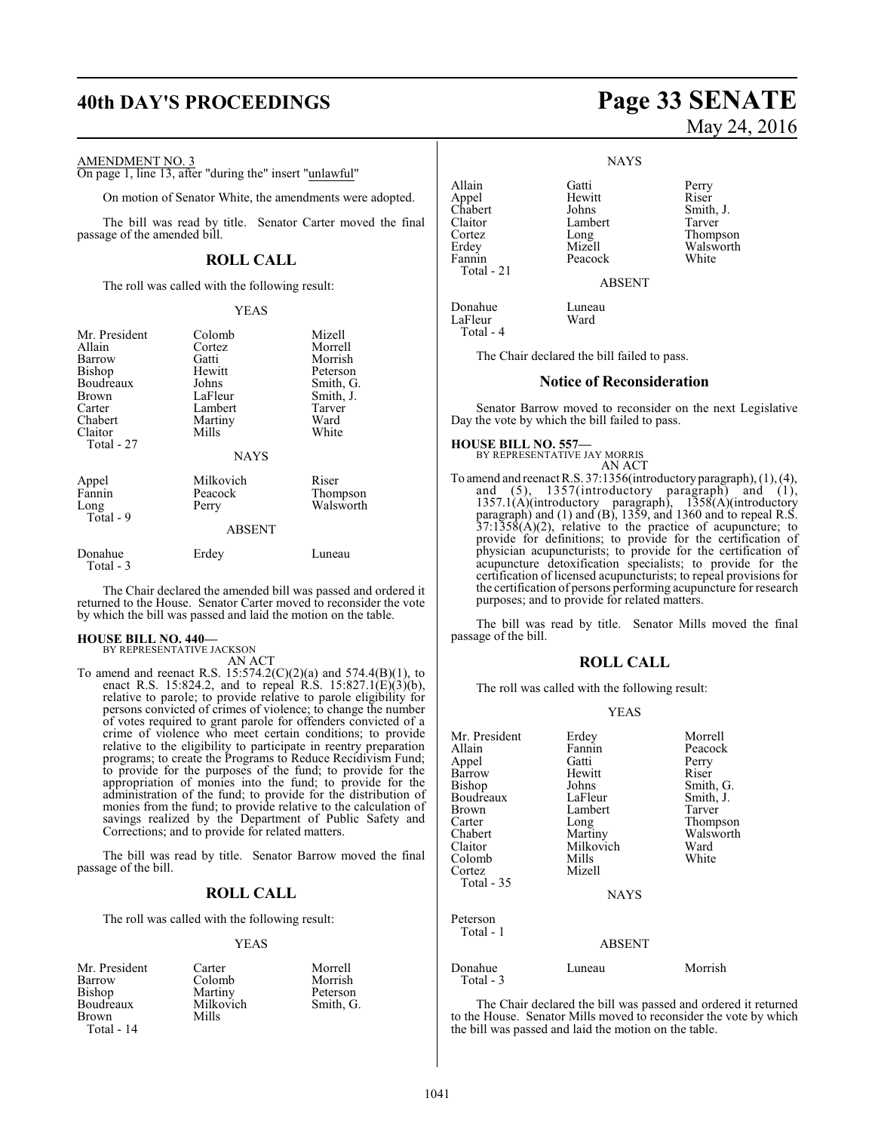# **40th DAY'S PROCEEDINGS Page 33 SENATE**

#### AMENDMENT NO. 3

On page 1, line 13, after "during the" insert "unlawful"

On motion of Senator White, the amendments were adopted.

The bill was read by title. Senator Carter moved the final passage of the amended bill.

#### **ROLL CALL**

The roll was called with the following result:

#### YEAS

| Mr. President<br>Allain<br>Barrow<br>Bishop<br>Boudreaux<br>Brown<br>Carter<br>Chabert<br>Claitor<br>Total - 27 | Colomb<br>Cortez<br>Gatti<br>Hewitt<br>Johns<br>LaFleur<br>Lambert<br>Martiny<br>Mills<br><b>NAYS</b> | Mizell<br>Morrell<br>Morrish<br>Peterson<br>Smith, G.<br>Smith, J.<br>Tarver<br>Ward<br>White |
|-----------------------------------------------------------------------------------------------------------------|-------------------------------------------------------------------------------------------------------|-----------------------------------------------------------------------------------------------|
| Appel<br>Fannin<br>Long<br>Total - 9                                                                            | Milkovich<br>Peacock<br>Perry<br><b>ABSENT</b>                                                        | Riser<br>Thompson<br>Walsworth                                                                |
| Donahue<br>Total - 3                                                                                            | Erdey                                                                                                 | Luneau                                                                                        |

The Chair declared the amended bill was passed and ordered it returned to the House. Senator Carter moved to reconsider the vote by which the bill was passed and laid the motion on the table.

#### **HOUSE BILL NO. 440—**

BY REPRESENTATIVE JACKSON

### AN ACT

To amend and reenact R.S.  $15:574.2(C)(2)(a)$  and  $574.4(B)(1)$ , to enact R.S. 15:824.2, and to repeal R.S. 15:827.1(E)(3)(b), relative to parole; to provide relative to parole eligibility for persons convicted of crimes of violence; to change the number of votes required to grant parole for offenders convicted of a crime of violence who meet certain conditions; to provide relative to the eligibility to participate in reentry preparation programs; to create the Programs to Reduce Recidivism Fund; to provide for the purposes of the fund; to provide for the appropriation of monies into the fund; to provide for the administration of the fund; to provide for the distribution of monies from the fund; to provide relative to the calculation of savings realized by the Department of Public Safety and Corrections; and to provide for related matters.

The bill was read by title. Senator Barrow moved the final passage of the bill.

#### **ROLL CALL**

The roll was called with the following result:

#### YEAS

| Mr. President | Carter    | Morrell |
|---------------|-----------|---------|
| Barrow        | Colomb    | Morrish |
| Bishop        | Martiny   | Peterso |
| Boudreaux     | Milkovich | Smith.  |
| Brown         | Mills     |         |
| Total - $14$  |           |         |

Smith, G.

certification of licensed acupuncturists; to repeal provisions for the certification of persons performing acupuncture for research purposes; and to provide for related matters.

**HOUSE BILL NO. 557—**

Appel Hewit<br>Chabert Johns

Donahue Luneau<br>LaFleur Ward

Fannin Total - 21

LaFleur Total - 4

The bill was read by title. Senator Mills moved the final passage of the bill.

#### **ROLL CALL**

The roll was called with the following result:

#### YEAS

| Mr. President | Erdey         | Morrell   |
|---------------|---------------|-----------|
| Allain        | Fannin        | Peacock   |
| Appel         | Gatti         | Perry     |
| Barrow        | Hewitt        | Riser     |
| Bishop        | Johns         | Smith, G. |
| Boudreaux     | LaFleur       | Smith, J. |
| Brown         | Lambert       | Tarver    |
| Carter        | Long          | Thompson  |
| Chabert       | Martiny       | Walsworth |
| Claitor       | Milkovich     | Ward      |
| Colomb        | Mills         | White     |
| Cortez        | Mizell        |           |
| Total - 35    |               |           |
|               | <b>NAYS</b>   |           |
| Peterson      |               |           |
| Total - 1     |               |           |
|               | <b>ABSENT</b> |           |
| Donahue       | Luneau        | Morrish   |
| Total - 3     |               |           |

The Chair declared the bill was passed and ordered it returned to the House. Senator Mills moved to reconsider the vote by which the bill was passed and laid the motion on the table.

# May 24, 2016

**NAYS** 

Allain Gatti Perry Claitor Lambert<br>Cortez Long

ABSENT

**Notice of Reconsideration** Senator Barrow moved to reconsider on the next Legislative

AN ACT To amend and reenact R.S. 37:1356(introductory paragraph), (1), (4), and (5), 1357(introductory paragraph) and (1), 1357.1(A)(introductory paragraph), 1358(A)(introductory paragraph) and (1) and (B), 1359, and 1360 and to repeal R.S.  $37:1358(A)(2)$ , relative to the practice of acupuncture; to provide for definitions; to provide for the certification of physician acupuncturists; to provide for the certification of acupuncture detoxification specialists; to provide for the

The Chair declared the bill failed to pass.

Day the vote by which the bill failed to pass.

BY REPRESENTATIVE JAY MORRIS

Chabert Johns Smith, J.<br>Claitor Lambert Tarver Long Thompson<br>Mizell Walsworth Erdey Mizell Walsworth<br>
Fannin Peacock White

1041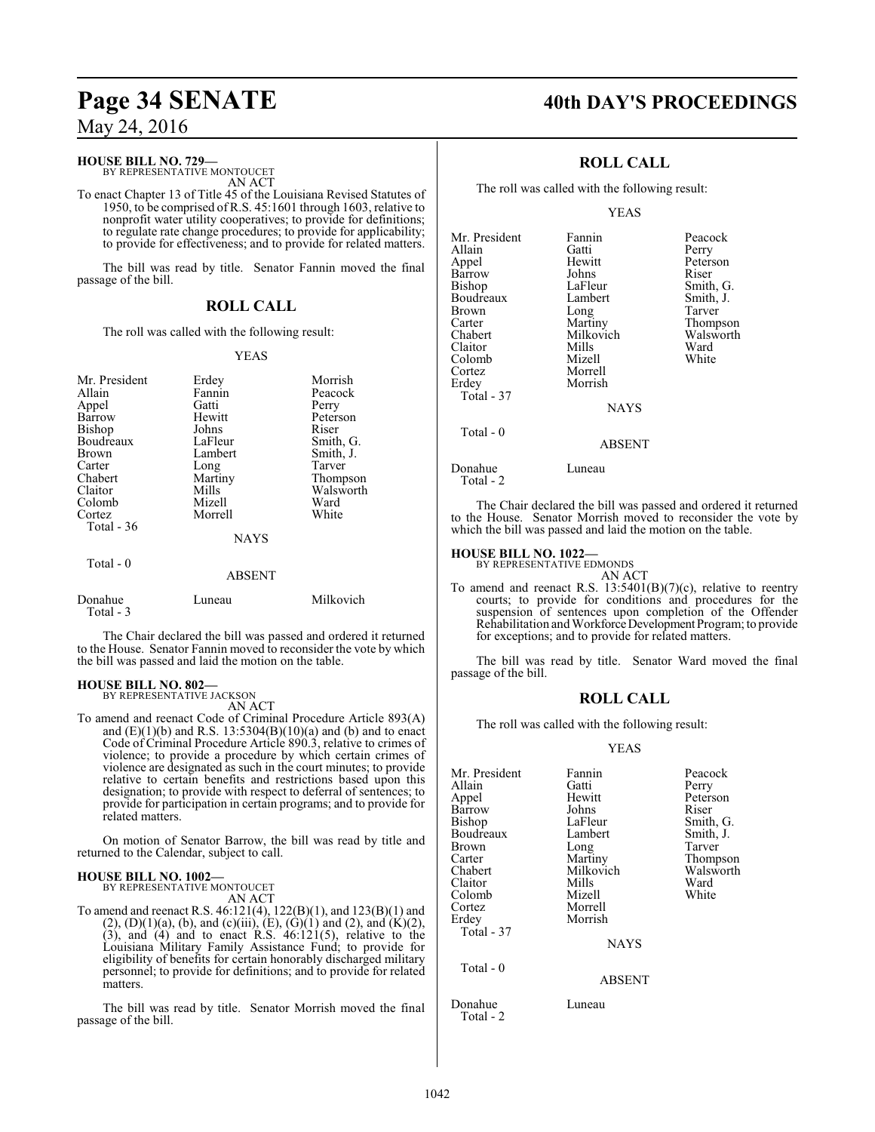#### **HOUSE BILL NO. 729—**

BY REPRESENTATIVE MONTOUCET AN ACT

To enact Chapter 13 of Title 45 of the Louisiana Revised Statutes of 1950, to be comprised of R.S. 45:1601 through 1603, relative to nonprofit water utility cooperatives; to provide for definitions; to regulate rate change procedures; to provide for applicability; to provide for effectiveness; and to provide for related matters.

The bill was read by title. Senator Fannin moved the final passage of the bill.

#### **ROLL CALL**

The roll was called with the following result:

#### YEAS

| Mr. President<br>Allain<br>Appel<br>Barrow<br>Bishop<br>Boudreaux<br>Brown<br>Carter<br>Chabert<br>Claitor<br>Colomb<br>Cortez<br>Total - 36 | Erdey<br>Fannin<br>Gatti<br>Hewitt<br>Johns<br>LaFleur<br>Lambert<br>Long<br>Martiny<br>Mills<br>Mizell<br>Morrell<br><b>NAYS</b> | Morrish<br>Peacock<br>Perry<br>Peterson<br>Riser<br>Smith, G.<br>Smith, J.<br>Tarver<br>Thompson<br>Walsworth<br>Ward<br>White |
|----------------------------------------------------------------------------------------------------------------------------------------------|-----------------------------------------------------------------------------------------------------------------------------------|--------------------------------------------------------------------------------------------------------------------------------|
| Total $-0$                                                                                                                                   | <b>ABSENT</b>                                                                                                                     |                                                                                                                                |
| Donahue<br>Total - 3                                                                                                                         | Luneau                                                                                                                            | Milkovich                                                                                                                      |

The Chair declared the bill was passed and ordered it returned to the House. Senator Fannin moved to reconsider the vote by which the bill was passed and laid the motion on the table.

#### **HOUSE BILL NO. 802—**

BY REPRESENTATIVE JACKSON AN ACT

To amend and reenact Code of Criminal Procedure Article 893(A) and  $(E)(1)(b)$  and R.S. 13:5304 $(B)(10)(a)$  and  $(b)$  and to enact Code of Criminal Procedure Article 890.3, relative to crimes of violence; to provide a procedure by which certain crimes of violence are designated as such in the court minutes; to provide relative to certain benefits and restrictions based upon this designation; to provide with respect to deferral of sentences; to provide for participation in certain programs; and to provide for related matters.

On motion of Senator Barrow, the bill was read by title and returned to the Calendar, subject to call.

# **HOUSE BILL NO. 1002—** BY REPRESENTATIVE MONTOUCET

AN ACT

To amend and reenact R.S. 46:121(4), 122(B)(1), and 123(B)(1) and  $(2)$ ,  $(D)(1)(a)$ ,  $(b)$ , and  $(c)(iii)$ ,  $(E)$ ,  $(G)(1)$  and  $(2)$ , and  $(K)(2)$ ,  $(3)$ , and  $(4)$  and to enact R.S.  $46:121(5)$ , relative to the Louisiana Military Family Assistance Fund; to provide for eligibility of benefits for certain honorably discharged military personnel; to provide for definitions; and to provide for related matters.

The bill was read by title. Senator Morrish moved the final passage of the bill.

# **Page 34 SENATE 40th DAY'S PROCEEDINGS**

### **ROLL CALL**

The roll was called with the following result:

#### YEAS

| Mr. President | Fannin        | Peacock   |
|---------------|---------------|-----------|
| Allain        | Gatti         | Perry     |
| Appel         | Hewitt        | Peterson  |
| Barrow        | Johns         | Riser     |
| Bishop        | LaFleur       | Smith, G. |
| Boudreaux     | Lambert       | Smith, J. |
| Brown         | Long          | Tarver    |
| Carter        | Martiny       | Thompson  |
| Chabert       | Milkovich     | Walsworth |
| Claitor       | Mills         | Ward      |
| Colomb        | Mizell        | White     |
| Cortez        | Morrell       |           |
| Erdey         | Morrish       |           |
| Total - 37    |               |           |
|               | <b>NAYS</b>   |           |
| Total $-0$    |               |           |
|               | <b>ABSENT</b> |           |
| Donahue       | amean         |           |

Total - 2

The Chair declared the bill was passed and ordered it returned to the House. Senator Morrish moved to reconsider the vote by which the bill was passed and laid the motion on the table.

#### **HOUSE BILL NO. 1022—**

BY REPRESENTATIVE EDMONDS

AN ACT To amend and reenact R.S. 13:5401(B)(7)(c), relative to reentry courts; to provide for conditions and procedures for the suspension of sentences upon completion of the Offender Rehabilitation and Workforce Development Program; to provide for exceptions; and to provide for related matters.

The bill was read by title. Senator Ward moved the final passage of the bill.

#### **ROLL CALL**

The roll was called with the following result:

#### YEAS

| Mr. President<br>Allain<br>Appel<br>Barrow<br>Bishop<br>Boudreaux<br>Brown<br>Carter<br>Chabert | Fannin<br>Gatti<br>Hewitt<br>Johns<br>LaFleur<br>Lambert<br>Long<br>Martiny<br>Milkovich | Peacock<br>Perry<br>Peterson<br>Riser<br>Smith, G.<br>Smith, J.<br>Tarver<br>Thompson<br>Walsworth |
|-------------------------------------------------------------------------------------------------|------------------------------------------------------------------------------------------|----------------------------------------------------------------------------------------------------|
| Claitor<br>Colomb                                                                               | Mills<br>Mizell                                                                          | Ward<br>White                                                                                      |
| Cortez                                                                                          | Morrell                                                                                  |                                                                                                    |
| Erdey                                                                                           | Morrish                                                                                  |                                                                                                    |
| Total - 37                                                                                      | <b>NAYS</b>                                                                              |                                                                                                    |
| Total - 0                                                                                       | <b>ABSENT</b>                                                                            |                                                                                                    |
| Donahue                                                                                         | Luneau                                                                                   |                                                                                                    |

Total - 2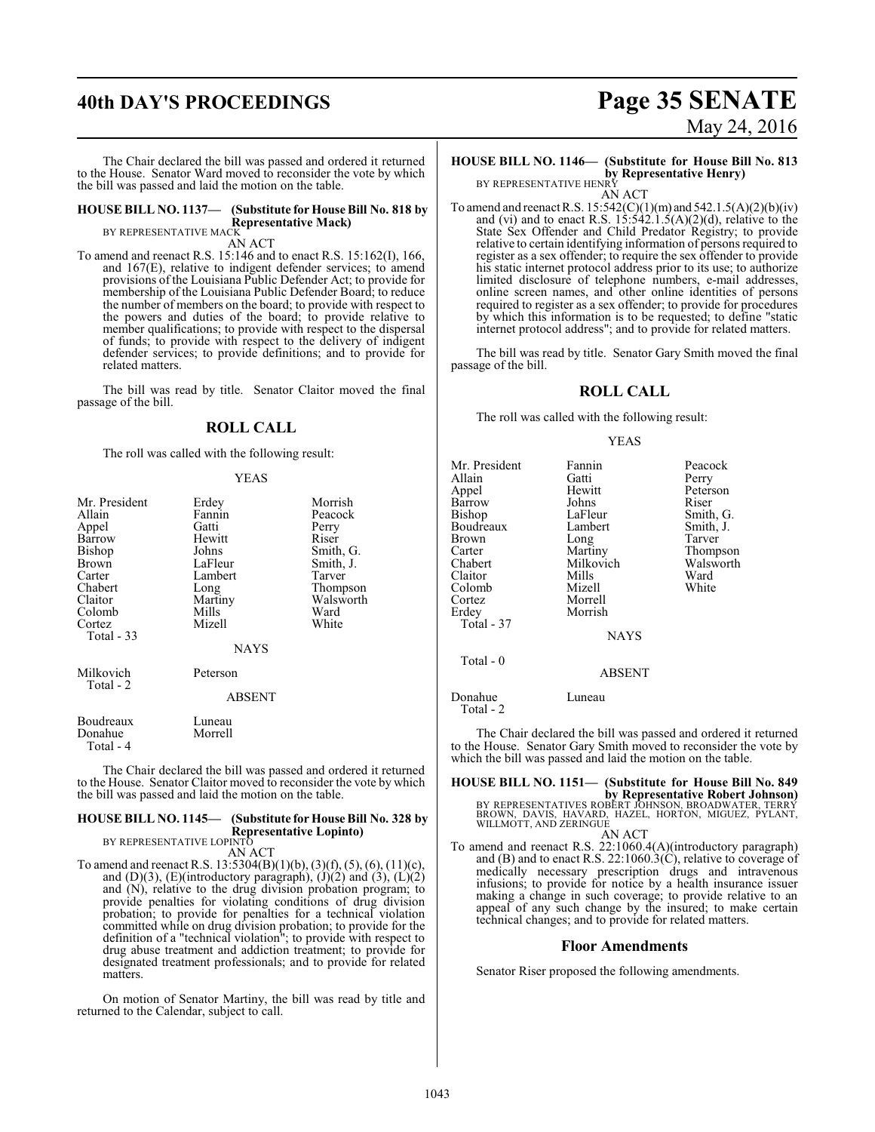# **40th DAY'S PROCEEDINGS Page 35 SENATE**

The Chair declared the bill was passed and ordered it returned to the House. Senator Ward moved to reconsider the vote by which the bill was passed and laid the motion on the table.

#### **HOUSE BILL NO. 1137— (Substitute for House Bill No. 818 by Representative Mack)** BY REPRESENTATIVE MACK

AN ACT

To amend and reenact R.S. 15:146 and to enact R.S. 15:162(I), 166, and 167(E), relative to indigent defender services; to amend provisions of the Louisiana Public Defender Act; to provide for membership of the Louisiana Public Defender Board; to reduce the number of members on the board; to provide with respect to the powers and duties of the board; to provide relative to member qualifications; to provide with respect to the dispersal of funds; to provide with respect to the delivery of indigent defender services; to provide definitions; and to provide for related matters.

The bill was read by title. Senator Claitor moved the final passage of the bill.

#### **ROLL CALL**

The roll was called with the following result:

#### YEAS

| Mr. President<br>Allain<br>Appel<br>Barrow<br>Bishop<br><b>Brown</b><br>Carter<br>Chabert<br>Claitor<br>Colomb<br>Cortez<br>Total - 33 | Erdey<br>Fannin<br>Gatti<br>Hewitt<br>Johns<br>LaFleur<br>Lambert<br>Long<br>Martiny<br>Mills<br>Mizell<br>NAYS | Morrish<br>Peacock<br>Perry<br>Riser<br>Smith, G.<br>Smith, J.<br>Tarver<br>Thompson<br>Walsworth<br>Ward<br>White |
|----------------------------------------------------------------------------------------------------------------------------------------|-----------------------------------------------------------------------------------------------------------------|--------------------------------------------------------------------------------------------------------------------|
| Milkovich<br>Total - 2                                                                                                                 | Peterson<br><b>ABSENT</b>                                                                                       |                                                                                                                    |
| Boudreaux<br>Donahue<br>Total - 4                                                                                                      | Luneau<br>Morrell                                                                                               |                                                                                                                    |

The Chair declared the bill was passed and ordered it returned to the House. Senator Claitor moved to reconsider the vote by which the bill was passed and laid the motion on the table.

## **HOUSE BILL NO. 1145— (Substitute for House Bill No. 328 by Representative Lopinto)** BY REPRESENTATIVE LOPINTO

AN ACT

To amend and reenact R.S. 13:5304(B)(1)(b), (3)(f), (5), (6), (11)(c), and  $(D)(3)$ ,  $(E)(introducing paragramh)$ ,  $(J)(2)$  and  $(3)$ ,  $(L)(2)$ and (N), relative to the drug division probation program; to provide penalties for violating conditions of drug division probation; to provide for penalties for a technical violation committed while on drug division probation; to provide for the definition of a "technical violation"; to provide with respect to drug abuse treatment and addiction treatment; to provide for designated treatment professionals; and to provide for related matters.

On motion of Senator Martiny, the bill was read by title and returned to the Calendar, subject to call.

# May 24, 2016

## **HOUSE BILL NO. 1146— (Substitute for House Bill No. 813 by Representative Henry)**<br>BY REPRESENTATIVE HENRY

AN ACT

To amend and reenact R.S.  $15:542(C)(1)(m)$  and  $542.1.5(A)(2)(b)(iv)$ and (vi) and to enact R.S.  $15:542.1.5(A)(2)(d)$ , relative to the State Sex Offender and Child Predator Registry; to provide relative to certain identifying information of persons required to register as a sex offender; to require the sex offender to provide his static internet protocol address prior to its use; to authorize limited disclosure of telephone numbers, e-mail addresses, online screen names, and other online identities of persons required to register as a sex offender; to provide for procedures by which this information is to be requested; to define "static internet protocol address"; and to provide for related matters.

The bill was read by title. Senator Gary Smith moved the final passage of the bill.

#### **ROLL CALL**

The roll was called with the following result:

#### YEAS

| Mr. President        | Fannin        | Peacock   |
|----------------------|---------------|-----------|
| Allain               | Gatti         | Perry     |
| Appel                | Hewitt        | Peterson  |
| Barrow               | Johns         | Riser     |
| Bishop               | LaFleur       | Smith, G. |
| Boudreaux            | Lambert       | Smith, J. |
| Brown                | Long          | Tarver    |
| Carter               | Martiny       | Thompson  |
| Chabert              | Milkovich     | Walsworth |
| Claitor              | Mills         | Ward      |
| Colomb               | Mizell        | White     |
| Cortez               | Morrell       |           |
| Erdey                | Morrish       |           |
| Total - 37           |               |           |
|                      | <b>NAYS</b>   |           |
| Total - 0            |               |           |
|                      | <b>ABSENT</b> |           |
| Donahue<br>Total - 2 | Luneau        |           |

The Chair declared the bill was passed and ordered it returned to the House. Senator Gary Smith moved to reconsider the vote by which the bill was passed and laid the motion on the table.

# **HOUSE BILL NO. 1151— (Substitute for House Bill No. 849 by Representative Robert Johnson)<br>BROWN, DAVIS, HAVARDERT JOHNSON, BROADWATER, TERRY<br>WILLMOTT, AND ZERINGUE<br>WILLMOTT, AND ZERINGUE**

AN ACT To amend and reenact R.S. 22:1060.4(A)(introductory paragraph) and (B) and to enact R.S. 22:1060.3(C), relative to coverage of medically necessary prescription drugs and intravenous infusions; to provide for notice by a health insurance issuer making a change in such coverage; to provide relative to an appeal of any such change by the insured; to make certain technical changes; and to provide for related matters.

#### **Floor Amendments**

Senator Riser proposed the following amendments.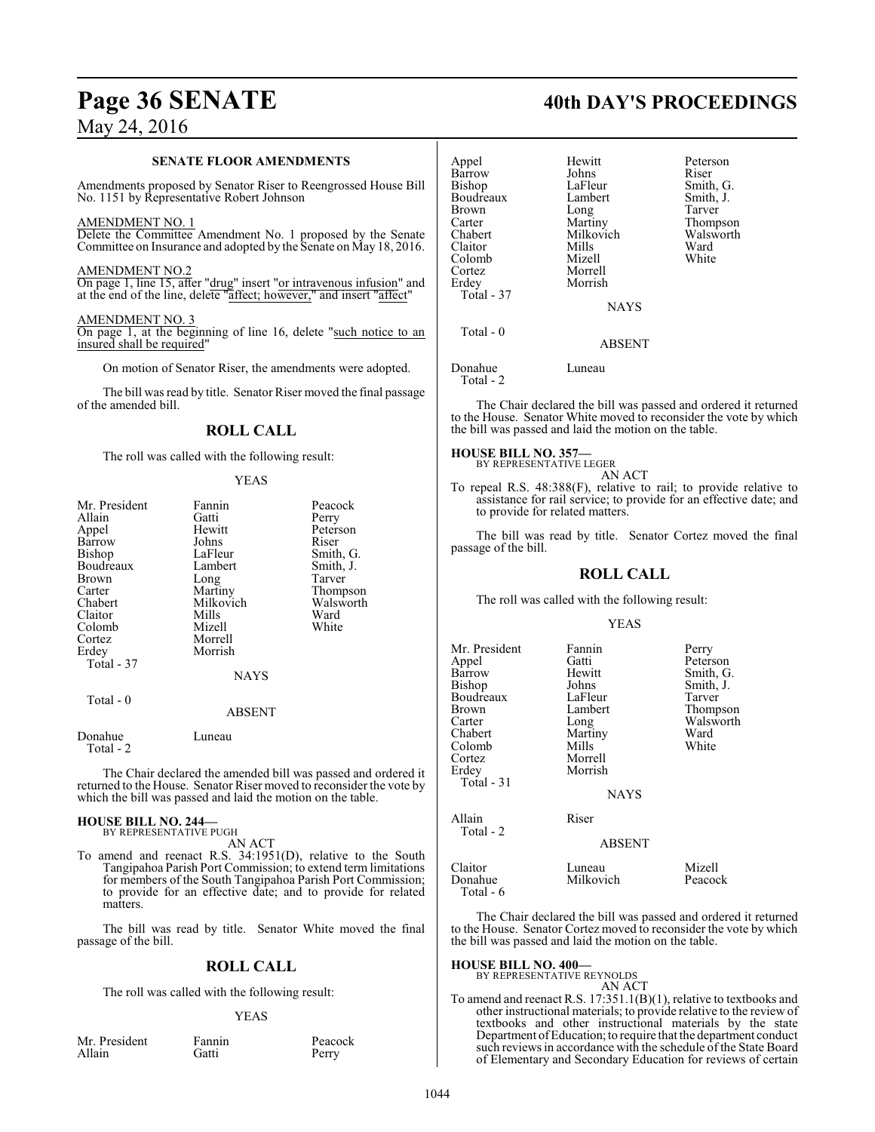#### **SENATE FLOOR AMENDMENTS**

Amendments proposed by Senator Riser to Reengrossed House Bill No. 1151 by Representative Robert Johnson

#### AMENDMENT NO. 1

Delete the Committee Amendment No. 1 proposed by the Senate Committee on Insurance and adopted by the Senate on May 18, 2016.

#### AMENDMENT NO.2

On page 1, line 15, after "drug" insert "or intravenous infusion" and at the end of the line, delete "affect; however," and insert "affect"

#### AMENDMENT NO. 3

On page 1, at the beginning of line 16, delete "such notice to an insured shall be required"

On motion of Senator Riser, the amendments were adopted.

The bill was read by title. Senator Riser moved the final passage of the amended bill.

#### **ROLL CALL**

The roll was called with the following result:

| ٠ |  |
|---|--|
|---|--|

| Mr. President<br>Allain | Fannin<br>Gatti | Peacock<br>Perry |
|-------------------------|-----------------|------------------|
| Appel                   | Hewitt          | Peterson         |
| Barrow                  | Johns           | Riser            |
| <b>Bishop</b>           | LaFleur         | Smith, G.        |
| Boudreaux               | Lambert         | Smith, J.        |
| Brown                   | Long            | Tarver           |
| Carter                  | Martiny         | Thompson         |
| Chabert                 | Milkovich       | Walsworth        |
| Claitor                 | Mills           | Ward             |
| Colomb                  | Mizell          | White            |
| Cortez                  | Morrell         |                  |
| Erdey                   | Morrish         |                  |
| Total - 37              |                 |                  |
|                         | <b>NAYS</b>     |                  |
| Total - 0               |                 |                  |
|                         | <b>ABSENT</b>   |                  |
| Donahue<br>Total - 2    | Luneau          |                  |

The Chair declared the amended bill was passed and ordered it returned to the House. Senator Riser moved to reconsider the vote by which the bill was passed and laid the motion on the table.

# **HOUSE BILL NO. 244—** BY REPRESENTATIVE PUGH

AN ACT

To amend and reenact R.S. 34:1951(D), relative to the South Tangipahoa Parish Port Commission; to extend term limitations for members of the South Tangipahoa Parish Port Commission; to provide for an effective date; and to provide for related matters

The bill was read by title. Senator White moved the final passage of the bill.

## **ROLL CALL**

The roll was called with the following result:

#### YEAS

| Mr. President |  |
|---------------|--|
| Allain        |  |

Fannin Peacock<br>Gatti Perry

Perry

# **Page 36 SENATE 40th DAY'S PROCEEDINGS**

Smith, G.

Tarver Thompson Walsworth<br>Ward

| Appel<br>Barrow<br>Bishop<br>Boudreaux<br><b>Brown</b><br>Carter<br>Chabert<br>Claitor<br>Colomb<br>Cortez | Hewitt<br>Johns<br>LaFleur<br>Lambert<br>Long<br>Martiny<br>Milkovich<br>Mills<br>Mizell<br>Morrell | Peterson<br>Riser<br>Smith, G<br>Smith, J.<br>Tarver<br>Thompso<br>Walswor<br>Ward<br>White |
|------------------------------------------------------------------------------------------------------------|-----------------------------------------------------------------------------------------------------|---------------------------------------------------------------------------------------------|
| Erdey<br>Total - 37                                                                                        | Morrish<br><b>NAYS</b>                                                                              |                                                                                             |
| Total $-0$                                                                                                 | <b>ABSENT</b>                                                                                       |                                                                                             |
| Donahue                                                                                                    | Luneau                                                                                              |                                                                                             |

Total - 2

The Chair declared the bill was passed and ordered it returned to the House. Senator White moved to reconsider the vote by which the bill was passed and laid the motion on the table.

**HOUSE BILL NO. 357—** BY REPRESENTATIVE LEGER

AN ACT

To repeal R.S. 48:388(F), relative to rail; to provide relative to assistance for rail service; to provide for an effective date; and to provide for related matters.

The bill was read by title. Senator Cortez moved the final passage of the bill.

#### **ROLL CALL**

The roll was called with the following result:

#### YEAS

| Mr. President<br>Appel<br>Barrow<br>Bishop<br>Boudreaux<br>Brown<br>Carter<br>Chabert<br>Colomb<br>Cortez<br>Erdey<br>Total - 31 | Fannin<br>Gatti<br>Hewitt<br>Johns<br>LaFleur<br>Lambert<br>Long<br>Martiny<br>Mills<br>Morrell<br>Morrish<br><b>NAYS</b> | Perry<br>Peterson<br>Smith, G.<br>Smith, J.<br>Tarver<br>Thompson<br>Walsworth<br>Ward<br>White |
|----------------------------------------------------------------------------------------------------------------------------------|---------------------------------------------------------------------------------------------------------------------------|-------------------------------------------------------------------------------------------------|
| Allain<br>Total - 2                                                                                                              | Riser<br><b>ABSENT</b>                                                                                                    |                                                                                                 |
| Claitor<br>Donahue<br>Total - 6                                                                                                  | Luneau<br>Milkovich                                                                                                       | Mizell<br>Peacock                                                                               |

The Chair declared the bill was passed and ordered it returned to the House. Senator Cortez moved to reconsider the vote by which the bill was passed and laid the motion on the table.

#### **HOUSE BILL NO. 400—**

BY REPRESENTATIVE REYNOLDS AN ACT

To amend and reenact R.S. 17:351.1(B)(1), relative to textbooks and other instructional materials; to provide relative to the review of textbooks and other instructional materials by the state Department ofEducation;to require that the department conduct such reviews in accordance with the schedule of the State Board of Elementary and Secondary Education for reviews of certain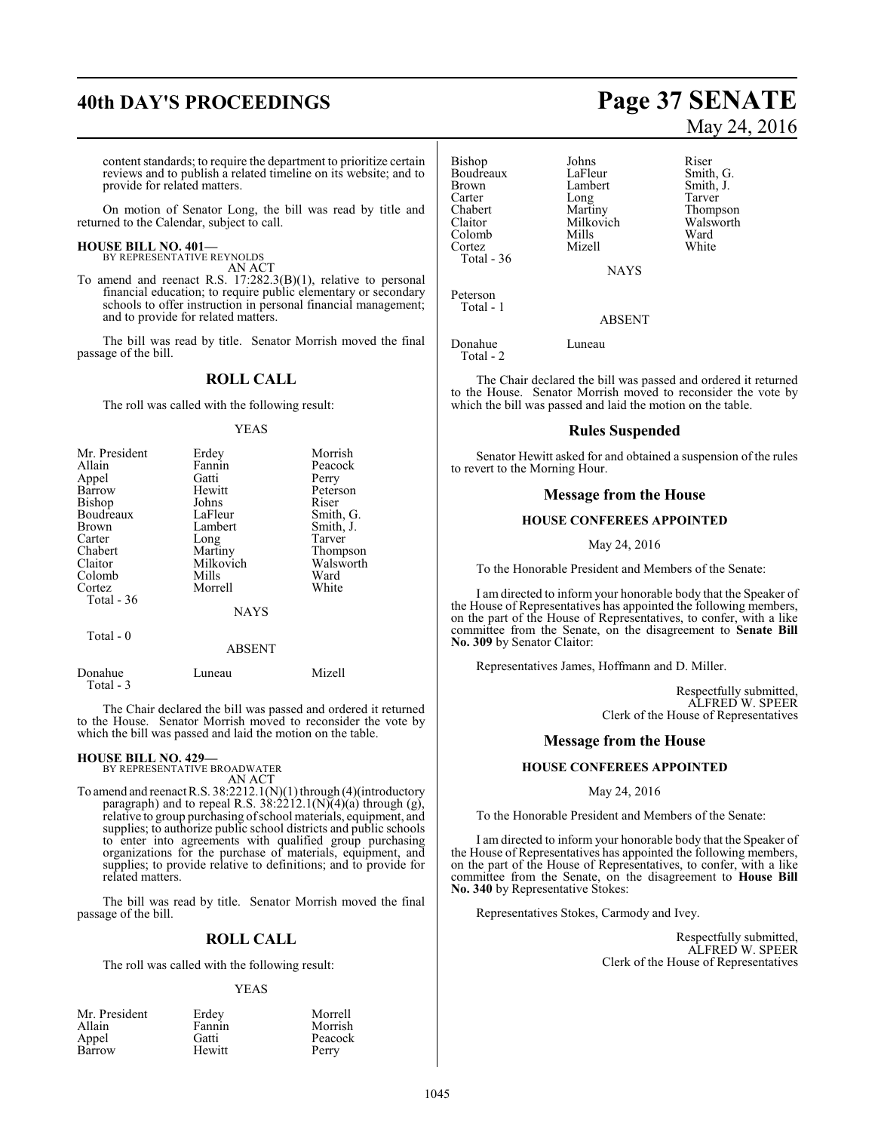# **40th DAY'S PROCEEDINGS Page 37 SENATE**

content standards; to require the department to prioritize certain reviews and to publish a related timeline on its website; and to provide for related matters.

On motion of Senator Long, the bill was read by title and returned to the Calendar, subject to call.

#### **HOUSE BILL NO. 401—** BY REPRESENTATIVE REYNOLDS

AN ACT

To amend and reenact R.S. 17:282.3(B)(1), relative to personal financial education; to require public elementary or secondary schools to offer instruction in personal financial management; and to provide for related matters.

The bill was read by title. Senator Morrish moved the final passage of the bill.

#### **ROLL CALL**

The roll was called with the following result:

#### YEAS

| Mr. President | Erdey     | Morrish   |
|---------------|-----------|-----------|
| Allain        | Fannin    | Peacock   |
| Appel         | Gatti     | Perry     |
| <b>Barrow</b> | Hewitt    | Peterson  |
| <b>Bishop</b> | Johns     | Riser     |
| Boudreaux     | LaFleur   | Smith, G. |
| <b>Brown</b>  | Lambert   | Smith, J. |
| Carter        | Long      | Tarver    |
| Chabert       | Martiny   | Thompson  |
| Claitor       | Milkovich | Walsworth |
| Colomb        | Mills     | Ward      |
| Cortez        | Morrell   | White     |
| Total - 36    |           |           |
|               | NAYS      |           |
|               |           |           |

Total - 0

ABSENT

| Donahue   | Luneau | Mizell |
|-----------|--------|--------|
| Total - 3 |        |        |

The Chair declared the bill was passed and ordered it returned to the House. Senator Morrish moved to reconsider the vote by which the bill was passed and laid the motion on the table.

#### **HOUSE BILL NO. 429—**

BY REPRESENTATIVE BROADWATER AN ACT

To amend and reenact R.S.  $38:2212.1(N)(1)$  through (4)(introductory paragraph) and to repeal R.S.  $38:2212.1(N)(4)(a)$  through (g), relative to group purchasing ofschool materials, equipment, and supplies; to authorize public school districts and public schools to enter into agreements with qualified group purchasing organizations for the purchase of materials, equipment, and supplies; to provide relative to definitions; and to provide for related matters.

The bill was read by title. Senator Morrish moved the final passage of the bill.

#### **ROLL CALL**

The roll was called with the following result:

#### YEAS

| Mr. President | Erdey  | Morrell |
|---------------|--------|---------|
| Allain        | Fannin | Morrish |
| Appel         | Gatti  | Peacock |
| Barrow        | Hewitt | Perry   |

# May 24, 2016

Bishop Johns Riser<br>Boudreaux LaFleur Smith, G. Boudreaux LaFleur Smith, G.<br>Brown Lambert Smith, J. Brown Lambert<br>
Carter Long Carter Long Tarver<br>
Chabert Martiny Thomp Chabert Martiny Thompson<br>Claitor Milkovich Walsworth Colomb Mills Ward Cortez Mizell White Total - 36

Milkovich Walsworth<br>
Mills Ward

NAYS

ABSENT

Donahue Luneau Total - 2

Peterson Total - 1

The Chair declared the bill was passed and ordered it returned to the House. Senator Morrish moved to reconsider the vote by which the bill was passed and laid the motion on the table.

#### **Rules Suspended**

Senator Hewitt asked for and obtained a suspension of the rules to revert to the Morning Hour.

#### **Message from the House**

#### **HOUSE CONFEREES APPOINTED**

May 24, 2016

To the Honorable President and Members of the Senate:

I am directed to inform your honorable body that the Speaker of the House of Representatives has appointed the following members, on the part of the House of Representatives, to confer, with a like committee from the Senate, on the disagreement to **Senate Bill No. 309** by Senator Claitor:

Representatives James, Hoffmann and D. Miller.

Respectfully submitted, ALFRED W. SPEER Clerk of the House of Representatives

#### **Message from the House**

#### **HOUSE CONFEREES APPOINTED**

#### May 24, 2016

To the Honorable President and Members of the Senate:

I am directed to inform your honorable body that the Speaker of the House of Representatives has appointed the following members, on the part of the House of Representatives, to confer, with a like committee from the Senate, on the disagreement to **House Bill No. 340** by Representative Stokes:

Representatives Stokes, Carmody and Ivey.

Respectfully submitted, ALFRED W. SPEER Clerk of the House of Representatives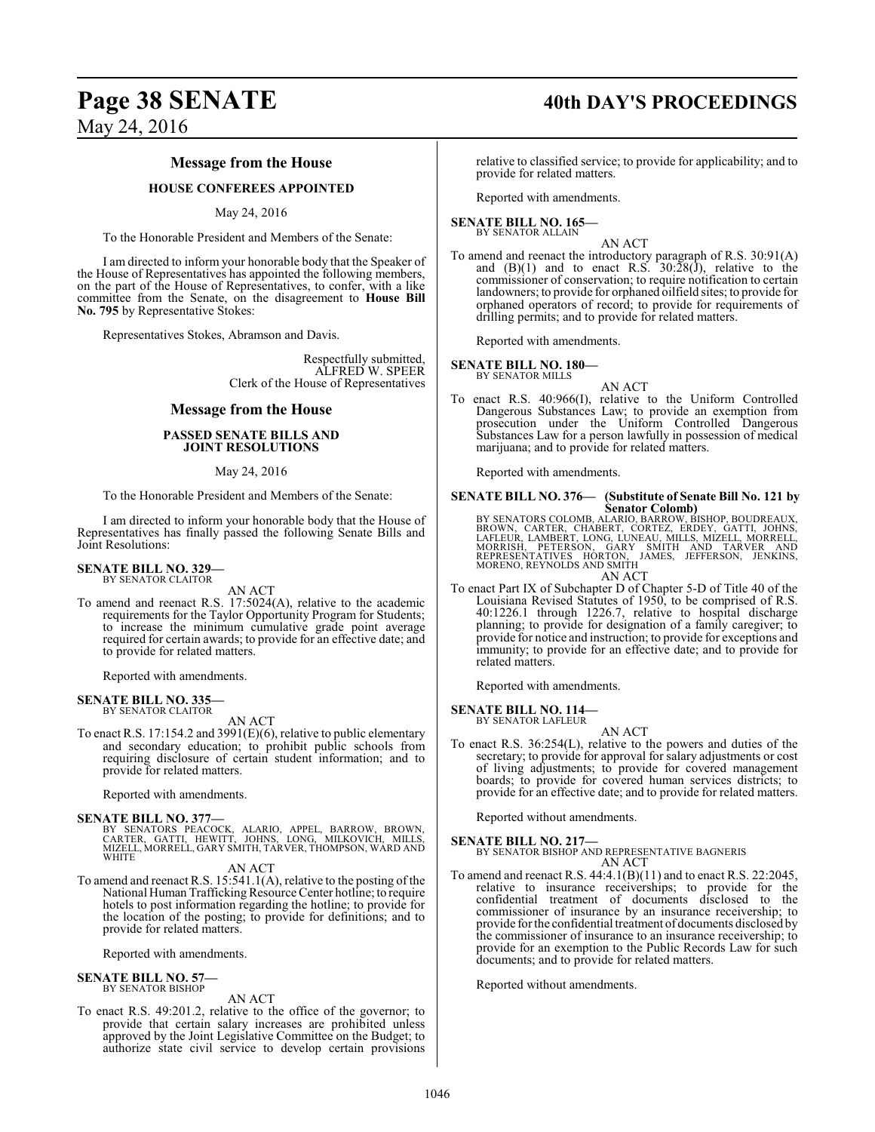# **Page 38 SENATE 40th DAY'S PROCEEDINGS**

### **Message from the House**

#### **HOUSE CONFEREES APPOINTED**

#### May 24, 2016

To the Honorable President and Members of the Senate:

I am directed to inform your honorable body that the Speaker of the House of Representatives has appointed the following members, on the part of the House of Representatives, to confer, with a like committee from the Senate, on the disagreement to **House Bill No. 795** by Representative Stokes:

Representatives Stokes, Abramson and Davis.

Respectfully submitted, ALFRED W. SPEER Clerk of the House of Representatives

#### **Message from the House**

#### **PASSED SENATE BILLS AND JOINT RESOLUTIONS**

#### May 24, 2016

To the Honorable President and Members of the Senate:

I am directed to inform your honorable body that the House of Representatives has finally passed the following Senate Bills and Joint Resolutions:

#### **SENATE BILL NO. 329—** BY SENATOR CLAITOR

AN ACT

To amend and reenact R.S. 17:5024(A), relative to the academic requirements for the Taylor Opportunity Program for Students; to increase the minimum cumulative grade point average required for certain awards; to provide for an effective date; and to provide for related matters.

Reported with amendments.

#### **SENATE BILL NO. 335—** BY SENATOR CLAITOR

AN ACT

To enact R.S. 17:154.2 and 3991(E)(6), relative to public elementary and secondary education; to prohibit public schools from requiring disclosure of certain student information; and to provide for related matters.

Reported with amendments.

#### **SENATE BILL NO. 377—**

BY SENATORS PEACOCK, ALARIO, APPEL, BARROW, BROWN,<br>CARTER, GATTI, HEWITT, JOHNS, LONG, MILKOVICH, MILLS,<br>MIZELL,MORRELL,GARYSMITH,TARVER,THOMPSON,WARDAND **WHITE** 

#### AN ACT

To amend and reenact R.S. 15:541.1(A), relative to the posting of the National Human Trafficking Resource Center hotline; to require hotels to post information regarding the hotline; to provide for the location of the posting; to provide for definitions; and to provide for related matters.

Reported with amendments.

**SENATE BILL NO. 57—** BY SENATOR BISHOP

#### AN ACT

To enact R.S. 49:201.2, relative to the office of the governor; to provide that certain salary increases are prohibited unless approved by the Joint Legislative Committee on the Budget; to authorize state civil service to develop certain provisions

relative to classified service; to provide for applicability; and to provide for related matters.

Reported with amendments.

#### **SENATE BILL NO. 165—** BY SENATOR ALLAIN

AN ACT

To amend and reenact the introductory paragraph of R.S. 30:91(A) and  $(B)(1)$  and to enact R.S.  $30:\overline{28(1)}$ , relative to the commissioner of conservation; to require notification to certain landowners; to provide for orphaned oilfield sites; to provide for orphaned operators of record; to provide for requirements of drilling permits; and to provide for related matters.

Reported with amendments.

#### **SENATE BILL NO. 180—**

BY SENATOR MILLS

AN ACT To enact R.S. 40:966(I), relative to the Uniform Controlled Dangerous Substances Law; to provide an exemption from prosecution under the Uniform Controlled Dangerous Substances Law for a person lawfully in possession of medical marijuana; and to provide for related matters.

Reported with amendments.

#### **SENATE BILL NO. 376— (Substitute of Senate Bill No. 121 by Senator Colomb)**

BY SENATORS COLOMB, ALARIO, BARROW, BISHOP, BOUDREAUX,<br>BROWN, CARTER, CHABERT, CORTEZ, ERDEY, GATTI, JOHNS,<br>LAFLEUR, LAMBERT, LONG, LUNEAU, MILLS, MIZELL, MORRELL,<br>MORRISH, PETERSON, GARY SMITH AND TARVER AND<br>REPRESENTATIV MORENO, REYNOLDS AND SMITH AN ACT

To enact Part IX of Subchapter D of Chapter 5-D of Title 40 of the Louisiana Revised Statutes of 1950, to be comprised of R.S. 40:1226.1 through 1226.7, relative to hospital discharge planning; to provide for designation of a family caregiver; to provide for notice and instruction; to provide for exceptions and immunity; to provide for an effective date; and to provide for related matters.

Reported with amendments.

**SENATE BILL NO. 114—** BY SENATOR LAFLEUR

AN ACT

To enact R.S. 36:254(L), relative to the powers and duties of the secretary; to provide for approval for salary adjustments or cost of living adjustments; to provide for covered management boards; to provide for covered human services districts; to provide for an effective date; and to provide for related matters.

Reported without amendments.

#### **SENATE BILL NO. 217—**

BY SENATOR BISHOP AND REPRESENTATIVE BAGNERIS AN ACT

To amend and reenact R.S. 44:4.1(B)(11) and to enact R.S. 22:2045, relative to insurance receiverships; to provide for the confidential treatment of documents disclosed to the commissioner of insurance by an insurance receivership; to provide for the confidential treatment of documents disclosed by the commissioner of insurance to an insurance receivership; to provide for an exemption to the Public Records Law for such documents; and to provide for related matters.

Reported without amendments.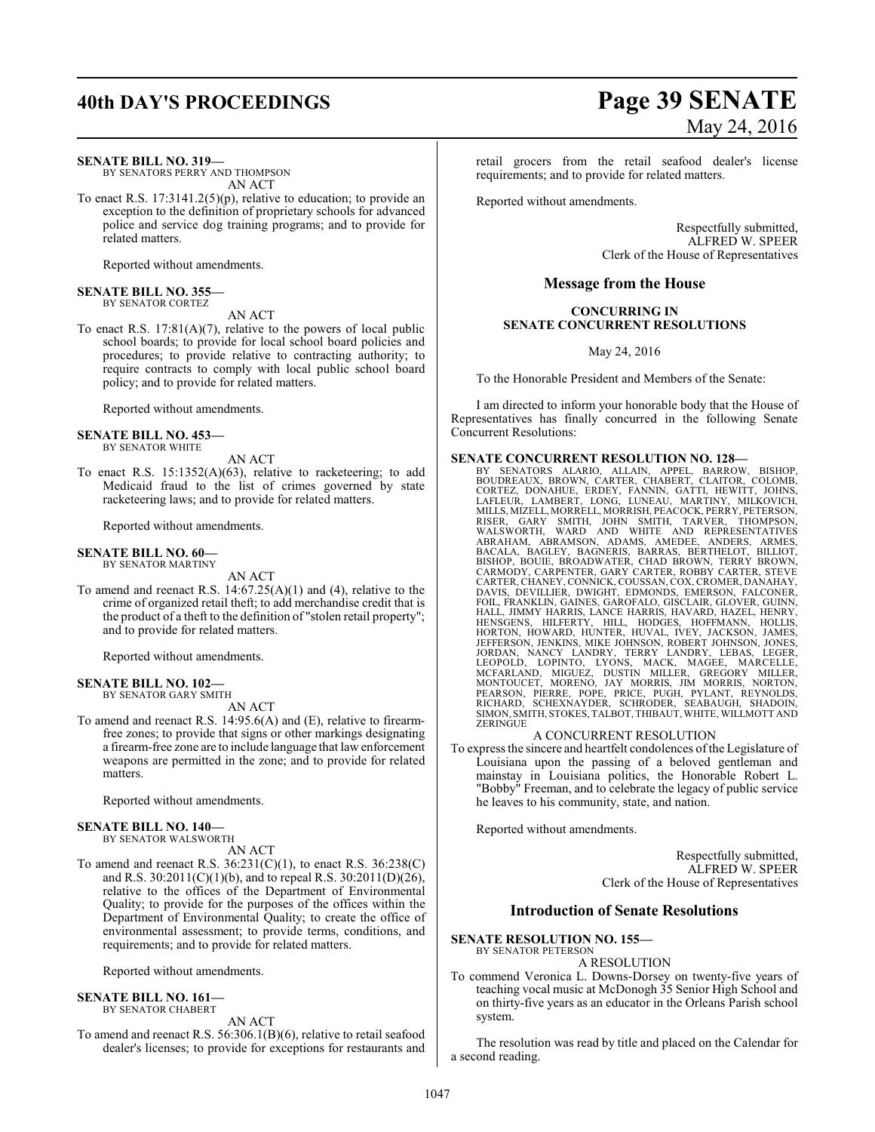#### **SENATE BILL NO. 319—**

BY SENATORS PERRY AND THOMPSON AN ACT

To enact R.S. 17:3141.2(5)(p), relative to education; to provide an exception to the definition of proprietary schools for advanced police and service dog training programs; and to provide for related matters.

Reported without amendments.

#### **SENATE BILL NO. 355—** BY SENATOR CORTEZ

AN ACT

To enact R.S. 17:81(A)(7), relative to the powers of local public school boards; to provide for local school board policies and procedures; to provide relative to contracting authority; to require contracts to comply with local public school board policy; and to provide for related matters.

Reported without amendments.

#### **SENATE BILL NO. 453—**

BY SENATOR WHITE

AN ACT

To enact R.S. 15:1352(A)(63), relative to racketeering; to add Medicaid fraud to the list of crimes governed by state racketeering laws; and to provide for related matters.

Reported without amendments.

#### **SENATE BILL NO. 60—**

BY SENATOR MARTINY AN ACT

To amend and reenact R.S. 14:67.25(A)(1) and (4), relative to the crime of organized retail theft; to add merchandise credit that is the product of a theft to the definition of "stolen retail property"; and to provide for related matters.

Reported without amendments.

#### **SENATE BILL NO. 102—**

BY SENATOR GARY SMITH AN ACT

To amend and reenact R.S. 14:95.6(A) and (E), relative to firearmfree zones; to provide that signs or other markings designating a firearm-free zone are to include language that law enforcement weapons are permitted in the zone; and to provide for related matters.

Reported without amendments.

#### **SENATE BILL NO. 140—**

BY SENATOR WALSWORTH

AN ACT To amend and reenact R.S. 36:231(C)(1), to enact R.S. 36:238(C) and R.S. 30:2011(C)(1)(b), and to repeal R.S. 30:2011(D)(26), relative to the offices of the Department of Environmental Quality; to provide for the purposes of the offices within the Department of Environmental Quality; to create the office of environmental assessment; to provide terms, conditions, and requirements; and to provide for related matters.

Reported without amendments.

#### **SENATE BILL NO. 161—**

BY SENATOR CHABERT AN ACT

To amend and reenact R.S. 56:306.1(B)(6), relative to retail seafood dealer's licenses; to provide for exceptions for restaurants and

# **40th DAY'S PROCEEDINGS Page 39 SENATE** May 24, 2016

retail grocers from the retail seafood dealer's license requirements; and to provide for related matters.

Reported without amendments.

Respectfully submitted, ALFRED W. SPEER Clerk of the House of Representatives

#### **Message from the House**

#### **CONCURRING IN SENATE CONCURRENT RESOLUTIONS**

May 24, 2016

To the Honorable President and Members of the Senate:

I am directed to inform your honorable body that the House of Representatives has finally concurred in the following Senate Concurrent Resolutions:

**SENATE CONCURRENT RESOLUTION NO. 128—**<br>BY SENATORS ALARIO, ALLAIN, APPEL, BARROW, BISHOP, BOUDREAUX, BROWN, CARTER, CHARDER, CLAITOR, COLOMB, CORTEZ, DONAHUE, ERDEY, FANNIN, GATTI, HEWITT, JOHNS, LAFLEUR, LAMBERT, LONG, L FOIL, FRANKLIN, GAINES, GAROFALO, GISCLAIR, GLOVER, GUINN,<br>HALL, JIMMY HARRIS, LANCE HARRIS, HAVARD, HAZEL, HENRY,<br>HENSGENS, HILFERTY, HILL, HODGES, HOFFMANN, HOLLIS,<br>HORTON, HOWARD, HUNTER, HUVAL, IVEY, JACKSON, JAMES,<br>JE LEOPOLD, LOPINTO, LYONS, MACK, MAGEE, MARCELLE,<br>MCFARLAND, MIGUEZ, DUSTIN MILLER, GREGORY MILLER,<br>MONTOUCET, MORENO, JAY MORRIS, JIM MORRIS, NORTON, PEARSON, PIERRE, POPE, PRICE, PUGH, PYLANT, REYNOLDS,<br>RICHARD, SCHEXNAYDER, SCHRODER, SEABAUGH, SHADOIN,<br>SIMON,SMITH,STOKES,TALBOT,THIBAUT,WHITE,WILLMOTTAND **ZERINGUE** 

#### A CONCURRENT RESOLUTION

To express the sincere and heartfelt condolences of the Legislature of Louisiana upon the passing of a beloved gentleman and mainstay in Louisiana politics, the Honorable Robert L. "Bobby" Freeman, and to celebrate the legacy of public service he leaves to his community, state, and nation.

Reported without amendments.

Respectfully submitted, ALFRED W. SPEER Clerk of the House of Representatives

### **Introduction of Senate Resolutions**

#### **SENATE RESOLUTION NO. 155—** BY SENATOR PETERSON

A RESOLUTION

To commend Veronica L. Downs-Dorsey on twenty-five years of teaching vocal music at McDonogh 35 Senior High School and on thirty-five years as an educator in the Orleans Parish school system.

The resolution was read by title and placed on the Calendar for a second reading.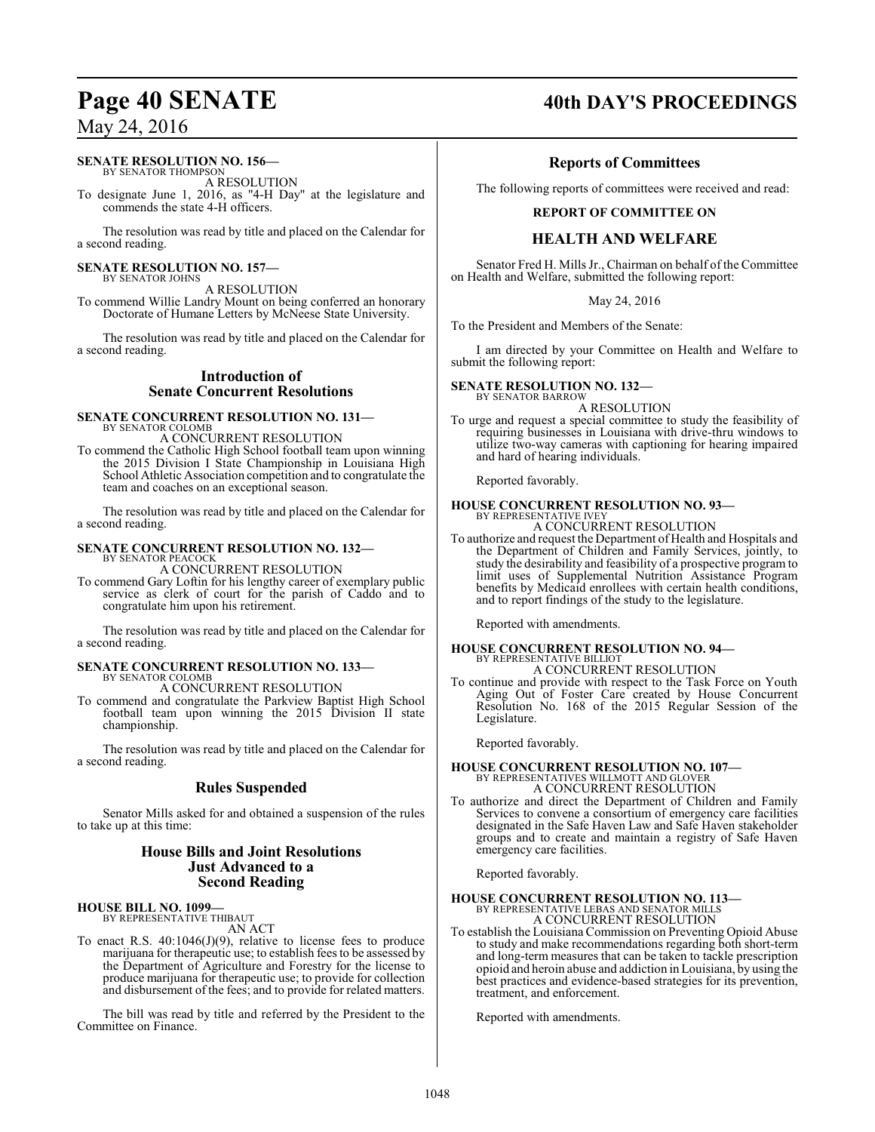#### **SENATE RESOLUTION NO. 156—**

BY SENATOR THOMPSON A RESOLUTION

To designate June 1, 2016, as "4-H Day" at the legislature and commends the state 4-H officers.

The resolution was read by title and placed on the Calendar for a second reading.

#### **SENATE RESOLUTION NO. 157—** BY SENATOR JOHNS

A RESOLUTION

To commend Willie Landry Mount on being conferred an honorary Doctorate of Humane Letters by McNeese State University.

The resolution was read by title and placed on the Calendar for a second reading.

## **Introduction of Senate Concurrent Resolutions**

## **SENATE CONCURRENT RESOLUTION NO. 131—**

BY SENATOR COLOMB A CONCURRENT RESOLUTION

To commend the Catholic High School football team upon winning the 2015 Division I State Championship in Louisiana High School Athletic Association competition and to congratulate the team and coaches on an exceptional season.

The resolution was read by title and placed on the Calendar for a second reading.

# **SENATE CONCURRENT RESOLUTION NO. 132—** BY SENATOR PEACOCK

A CONCURRENT RESOLUTION

To commend Gary Loftin for his lengthy career of exemplary public service as clerk of court for the parish of Caddo and to congratulate him upon his retirement.

The resolution was read by title and placed on the Calendar for a second reading.

#### **SENATE CONCURRENT RESOLUTION NO. 133—** BY SENATOR COLOMB A CONCURRENT RESOLUTION

To commend and congratulate the Parkview Baptist High School football team upon winning the 2015 Division II state championship.

The resolution was read by title and placed on the Calendar for a second reading.

## **Rules Suspended**

Senator Mills asked for and obtained a suspension of the rules to take up at this time:

#### **House Bills and Joint Resolutions Just Advanced to a Second Reading**

#### **HOUSE BILL NO. 1099—** BY REPRESENTATIVE THIBAUT

AN ACT

To enact R.S. 40:1046(J)(9), relative to license fees to produce marijuana for therapeutic use; to establish fees to be assessed by the Department of Agriculture and Forestry for the license to produce marijuana for therapeutic use; to provide for collection and disbursement of the fees; and to provide for related matters.

The bill was read by title and referred by the President to the Committee on Finance.

# **Page 40 SENATE** 40th DAY'S PROCEEDINGS

## **Reports of Committees**

The following reports of committees were received and read:

#### **REPORT OF COMMITTEE ON**

### **HEALTH AND WELFARE**

Senator Fred H. Mills Jr., Chairman on behalf of the Committee on Health and Welfare, submitted the following report:

#### May 24, 2016

To the President and Members of the Senate:

I am directed by your Committee on Health and Welfare to submit the following report:

#### **SENATE RESOLUTION NO. 132—** BY SENATOR BARROW

A RESOLUTION

To urge and request a special committee to study the feasibility of requiring businesses in Louisiana with drive-thru windows to utilize two-way cameras with captioning for hearing impaired and hard of hearing individuals.

Reported favorably.

#### **HOUSE CONCURRENT RESOLUTION NO. 93—** BY REPRESENTATIVE IVEY A CONCURRENT RESOLUTION

# To authorize and request the Department of Health and Hospitals and the Department of Children and Family Services, jointly, to

study the desirability and feasibility of a prospective program to limit uses of Supplemental Nutrition Assistance Program benefits by Medicaid enrollees with certain health conditions, and to report findings of the study to the legislature.

Reported with amendments.

#### **HOUSE CONCURRENT RESOLUTION NO. 94—** BY REPRESENTATIVE BILLIOT A CONCURRENT RESOLUTION

To continue and provide with respect to the Task Force on Youth Aging Out of Foster Care created by House Concurrent Resolution No. 168 of the 2015 Regular Session of the Legislature.

Reported favorably.

# **HOUSE CONCURRENT RESOLUTION NO. 107—** BY REPRESENTATIVES WILLMOTT AND GLOVER A CONCURRENT RESOLUTION

To authorize and direct the Department of Children and Family Services to convene a consortium of emergency care facilities designated in the Safe Haven Law and Safe Haven stakeholder groups and to create and maintain a registry of Safe Haven emergency care facilities.

Reported favorably.

#### **HOUSE CONCURRENT RESOLUTION NO. 113—** BY REPRESENTATIVE LEBAS AND SENATOR MILLS

A CONCURRENT RESOLUTION

To establish the Louisiana Commission on Preventing Opioid Abuse to study and make recommendations regarding both short-term and long-term measures that can be taken to tackle prescription opioid and heroin abuse and addiction in Louisiana, by using the best practices and evidence-based strategies for its prevention, treatment, and enforcement.

Reported with amendments.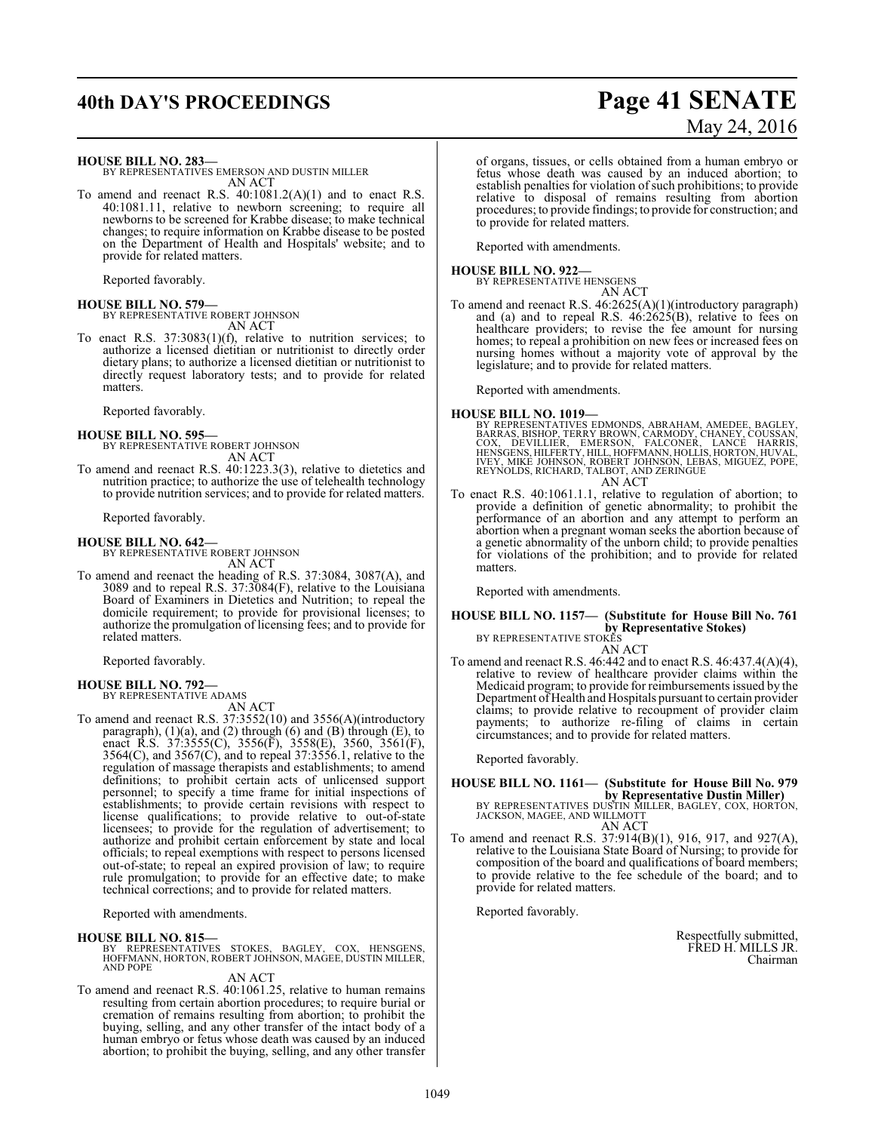# **40th DAY'S PROCEEDINGS Page 41 SENATE**

# May 24, 2016

#### **HOUSE BILL NO. 283—**

BY REPRESENTATIVES EMERSON AND DUSTIN MILLER AN ACT

To amend and reenact R.S. 40:1081.2(A)(1) and to enact R.S. 40:1081.11, relative to newborn screening; to require all newborns to be screened for Krabbe disease; to make technical changes; to require information on Krabbe disease to be posted on the Department of Health and Hospitals' website; and to provide for related matters.

Reported favorably.

**HOUSE BILL NO. 579—** BY REPRESENTATIVE ROBERT JOHNSON AN ACT

To enact R.S. 37:3083(1)(f), relative to nutrition services; to authorize a licensed dietitian or nutritionist to directly order dietary plans; to authorize a licensed dietitian or nutritionist to directly request laboratory tests; and to provide for related matters.

Reported favorably.

**HOUSE BILL NO. 595—** BY REPRESENTATIVE ROBERT JOHNSON AN ACT

To amend and reenact R.S. 40:1223.3(3), relative to dietetics and nutrition practice; to authorize the use of telehealth technology to provide nutrition services; and to provide for related matters.

Reported favorably.

**HOUSE BILL NO. 642—** BY REPRESENTATIVE ROBERT JOHNSON AN ACT

To amend and reenact the heading of R.S. 37:3084, 3087(A), and 3089 and to repeal R.S. 37:3084(F), relative to the Louisiana Board of Examiners in Dietetics and Nutrition; to repeal the domicile requirement; to provide for provisional licenses; to authorize the promulgation of licensing fees; and to provide for related matters.

Reported favorably.

# **HOUSE BILL NO. 792—** BY REPRESENTATIVE ADAMS

AN ACT

To amend and reenact R.S. 37:3552(10) and 3556(A)(introductory paragraph), (1)(a), and (2) through (6) and (B) through (E), to enact R.S. 37:3555(C), 3556(F), 3558(E), 3560, 3561(F), 3564(C), and 3567(C), and to repeal 37:3556.1, relative to the regulation of massage therapists and establishments; to amend definitions; to prohibit certain acts of unlicensed support personnel; to specify a time frame for initial inspections of establishments; to provide certain revisions with respect to license qualifications; to provide relative to out-of-state licensees; to provide for the regulation of advertisement; to authorize and prohibit certain enforcement by state and local officials; to repeal exemptions with respect to persons licensed out-of-state; to repeal an expired provision of law; to require rule promulgation; to provide for an effective date; to make technical corrections; and to provide for related matters.

Reported with amendments.

#### **HOUSE BILL NO. 815—**

BY REPRESENTATIVES STOKES, BAGLEY, COX, HENSGENS, HOFFMANN, HORTON, ROBERT JOHNSON, MAGEE, DUSTIN MILLER, AND POPE

AN ACT

To amend and reenact R.S. 40:1061.25, relative to human remains resulting from certain abortion procedures; to require burial or cremation of remains resulting from abortion; to prohibit the buying, selling, and any other transfer of the intact body of a human embryo or fetus whose death was caused by an induced abortion; to prohibit the buying, selling, and any other transfer

of organs, tissues, or cells obtained from a human embryo or fetus whose death was caused by an induced abortion; to establish penalties for violation of such prohibitions; to provide relative to disposal of remains resulting from abortion procedures; to provide findings; to provide for construction; and to provide for related matters.

Reported with amendments.

#### **HOUSE BILL NO. 922—**

BY REPRESENTATIVE HENSGENS AN ACT

To amend and reenact R.S. 46:2625(A)(1)(introductory paragraph) and (a) and to repeal R.S. 46:2625(B), relative to fees on healthcare providers; to revise the fee amount for nursing homes; to repeal a prohibition on new fees or increased fees on nursing homes without a majority vote of approval by the legislature; and to provide for related matters.

Reported with amendments.

- **HOUSE BILL NO. 1019—**<br>BY REPRESENTATIVES EDMONDS, ABRAHAM, AMEDEE, BAGLEY, BARRAS, BISHOP, TERRY BROWN, CARMODY, CHANEY, COUSSAN,<br>COX, DEVILLIER, EMERSON, FALCONER, LANCE HARRIS,<br>HENSGENS, HILFERTY, HILL, HOFFMANN, HOLLIS
- To enact R.S. 40:1061.1.1, relative to regulation of abortion; to provide a definition of genetic abnormality; to prohibit the performance of an abortion and any attempt to perform an abortion when a pregnant woman seeks the abortion because of a genetic abnormality of the unborn child; to provide penalties for violations of the prohibition; and to provide for related matters.

Reported with amendments.

## **HOUSE BILL NO. 1157— (Substitute for House Bill No. 761 by Representative Stokes)** BY REPRESENTATIVE STOKES

AN ACT

To amend and reenact R.S. 46:442 and to enact R.S. 46:437.4(A)(4), relative to review of healthcare provider claims within the Medicaid program; to provide for reimbursements issued by the Department of Health and Hospitals pursuant to certain provider claims; to provide relative to recoupment of provider claim payments; to authorize re-filing of claims in certain circumstances; and to provide for related matters.

Reported favorably.

## **HOUSE BILL NO. 1161— (Substitute for House Bill No. 979 by Representative Dustin Miller)**<br>BY REPRESENTATIVES DUSTIN MILLER, BAGLEY, COX, HORTON,<br>JACKSON, MAGEE, AND WILLMOTT

AN ACT

To amend and reenact R.S. 37:914(B)(1), 916, 917, and 927(A), relative to the Louisiana State Board of Nursing; to provide for composition of the board and qualifications of board members; to provide relative to the fee schedule of the board; and to provide for related matters.

Reported favorably.

Respectfully submitted, FRED H. MILLS JR. Chairman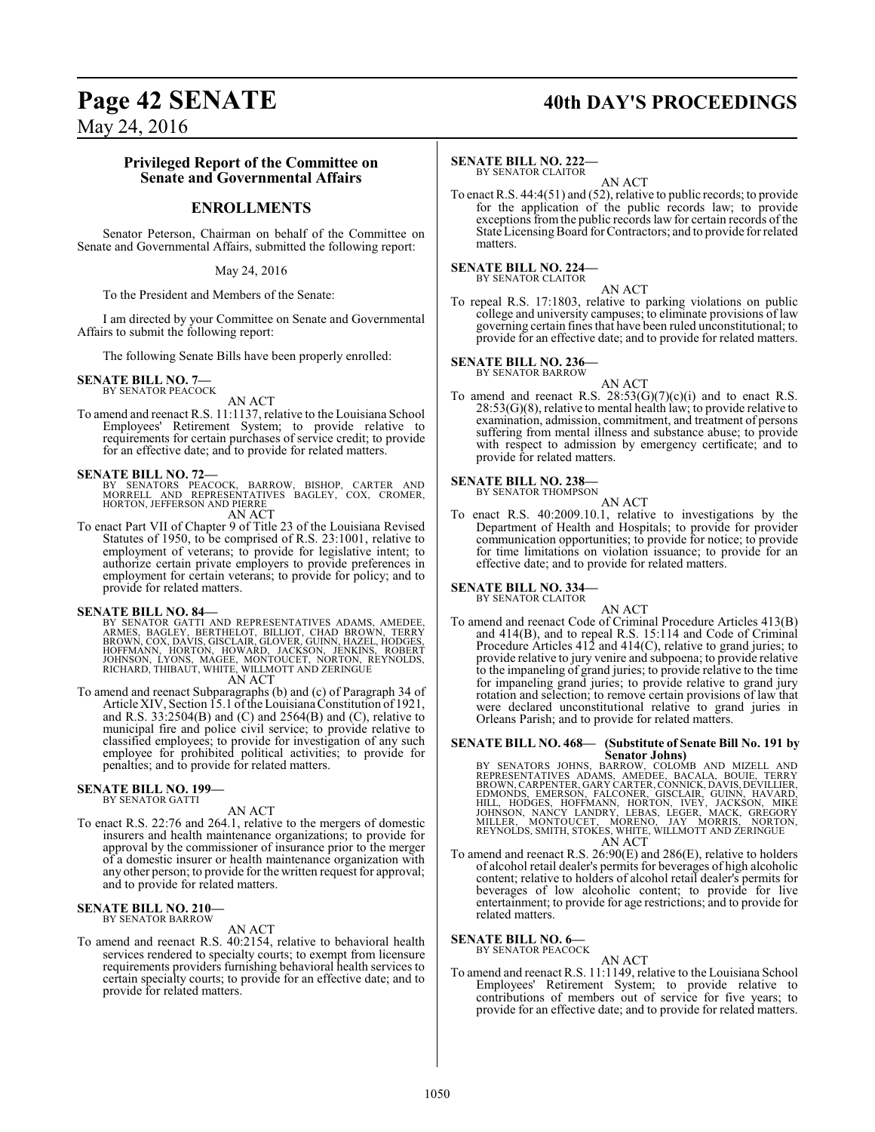# Page 42 SENATE 40th DAY'S PROCEEDINGS

May 24, 2016

#### **Privileged Report of the Committee on Senate and Governmental Affairs**

### **ENROLLMENTS**

Senator Peterson, Chairman on behalf of the Committee on Senate and Governmental Affairs, submitted the following report:

May 24, 2016

To the President and Members of the Senate:

I am directed by your Committee on Senate and Governmental Affairs to submit the following report:

The following Senate Bills have been properly enrolled:

#### **SENATE BILL NO. 7—** BY SENATOR PEACOCK

AN ACT

To amend and reenact R.S. 11:1137, relative to the Louisiana School Employees' Retirement System; to provide relative to requirements for certain purchases of service credit; to provide for an effective date; and to provide for related matters.

#### **SENATE BILL NO. 72—**

BY SENATORS PEACOCK, BARROW, BISHOP, CARTER AND<br>MORRELL AND REPRESENTATIVES BAGLEY, COX, CROMER,<br>HORTON,JEFFERSONANDPIERRE

AN ACT

To enact Part VII of Chapter 9 of Title 23 of the Louisiana Revised Statutes of 1950, to be comprised of R.S. 23:1001, relative to employment of veterans; to provide for legislative intent; to authorize certain private employers to provide preferences in employment for certain veterans; to provide for policy; and to provide for related matters.

**SENATE BILL NO. 84—**<br>BY SENATOR GATTI AND REPRESENTATIVES ADAMS, AMEDEE,<br>ARMES, BAGLEY, BERTHELOT, BILLIOT, CHAD BROWN, TERRY<br>BROWN, COX, DAVIS, GISCLAIR, GLOVER, GUINN, HAZEL, HODGES,<br>HOFFMANN, HORTON, HOWARD, JACKSON, J

To amend and reenact Subparagraphs (b) and (c) of Paragraph 34 of Article XIV, Section 15.1 ofthe LouisianaConstitution of 1921, and R.S. 33:2504(B) and (C) and 2564(B) and (C), relative to municipal fire and police civil service; to provide relative to classified employees; to provide for investigation of any such employee for prohibited political activities; to provide for penalties; and to provide for related matters.

#### **SENATE BILL NO. 199—** BY SENATOR GATTI

- AN ACT
- To enact R.S. 22:76 and 264.1, relative to the mergers of domestic insurers and health maintenance organizations; to provide for approval by the commissioner of insurance prior to the merger of a domestic insurer or health maintenance organization with any other person; to provide for the written request for approval; and to provide for related matters.

#### **SENATE BILL NO. 210—** BY SENATOR BARROW

#### AN ACT

To amend and reenact R.S. 40:2154, relative to behavioral health services rendered to specialty courts; to exempt from licensure requirements providers furnishing behavioral health services to certain specialty courts; to provide for an effective date; and to provide for related matters.

#### **SENATE BILL NO. 222—**

BY SENATOR CLAITOR

AN ACT To enact R.S. 44:4(51) and (52), relative to public records; to provide for the application of the public records law; to provide exceptions fromthe public records law for certain records of the State Licensing Board for Contractors; and to provide for related matters.

#### **SENATE BILL NO. 224—** BY SENATOR CLAITOR

AN ACT

To repeal R.S. 17:1803, relative to parking violations on public college and university campuses; to eliminate provisions of law governing certain fines that have been ruled unconstitutional; to provide for an effective date; and to provide for related matters.

#### **SENATE BILL NO. 236—** BY SENATOR BARROW

- AN ACT
- To amend and reenact R.S.  $28:53(G)(7)(c)(i)$  and to enact R.S. 28:53(G)(8), relative to mental health law; to provide relative to examination, admission, commitment, and treatment of persons suffering from mental illness and substance abuse; to provide with respect to admission by emergency certificate; and to provide for related matters.

#### **SENATE BILL NO. 238—** BY SENATOR THOMPSON

AN ACT

To enact R.S. 40:2009.10.1, relative to investigations by the Department of Health and Hospitals; to provide for provider communication opportunities; to provide for notice; to provide for time limitations on violation issuance; to provide for an effective date; and to provide for related matters.

#### **SENATE BILL NO. 334—**

BY SENATOR CLAITOR

AN ACT To amend and reenact Code of Criminal Procedure Articles 413(B) and 414(B), and to repeal R.S. 15:114 and Code of Criminal Procedure Articles 412 and 414(C), relative to grand juries; to provide relative to jury venire and subpoena; to provide relative to the impaneling of grand juries; to provide relative to the time for impaneling grand juries; to provide relative to grand jury rotation and selection; to remove certain provisions of law that were declared unconstitutional relative to grand juries in Orleans Parish; and to provide for related matters.

# **SENATE BILL NO. 468— (Substitute of Senate Bill No. 191 by**

Senator Johns)<br>BY SENATORS JOHNS, BARROW, COLOMB AND MIZELL AND<br>REPRESENTATIVES ADAMS, AMEDEE, BACALA, BOUIE, TERRY<br>BROWN, CARPENTER, GARY CARTER, CONNICK, DAVIS, DEVILLIER,<br>EDMONDS, EMERSON, FALCONER, GISCLAIR, GUINN, HAV AN ACT

To amend and reenact R.S. 26:90(E) and 286(E), relative to holders of alcohol retail dealer's permits for beverages of high alcoholic content; relative to holders of alcohol retail dealer's permits for beverages of low alcoholic content; to provide for live entertainment; to provide for age restrictions; and to provide for related matters.

#### **SENATE BILL NO. 6—** BY SENATOR PEACOCK

AN ACT

To amend and reenact R.S. 11:1149, relative to the Louisiana School Employees' Retirement System; to provide relative to contributions of members out of service for five years; to provide for an effective date; and to provide for related matters.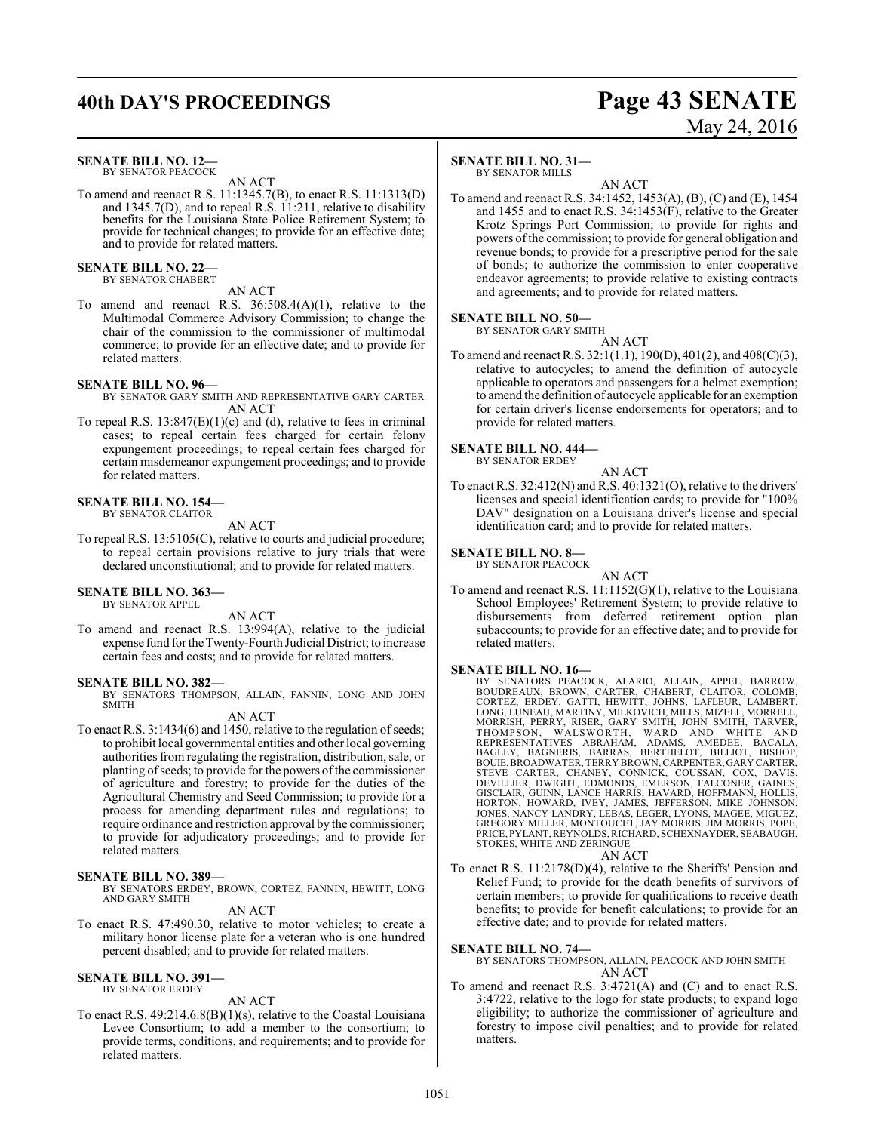# **40th DAY'S PROCEEDINGS Page 43 SENATE**

# May 24, 2016

#### **SENATE BILL NO. 12—**

BY SENATOR PEACOCK AN ACT

To amend and reenact R.S. 11:1345.7(B), to enact R.S. 11:1313(D) and 1345.7(D), and to repeal R.S. 11:211, relative to disability benefits for the Louisiana State Police Retirement System; to provide for technical changes; to provide for an effective date; and to provide for related matters.

**SENATE BILL NO. 22—** BY SENATOR CHABERT

#### AN ACT

To amend and reenact R.S. 36:508.4(A)(1), relative to the Multimodal Commerce Advisory Commission; to change the chair of the commission to the commissioner of multimodal commerce; to provide for an effective date; and to provide for related matters.

#### **SENATE BILL NO. 96—**

- BY SENATOR GARY SMITH AND REPRESENTATIVE GARY CARTER AN ACT
- To repeal R.S. 13:847(E)(1)(c) and (d), relative to fees in criminal cases; to repeal certain fees charged for certain felony expungement proceedings; to repeal certain fees charged for certain misdemeanor expungement proceedings; and to provide for related matters.

#### **SENATE BILL NO. 154—**

BY SENATOR CLAITOR

- AN ACT
- To repeal R.S. 13:5105(C), relative to courts and judicial procedure; to repeal certain provisions relative to jury trials that were declared unconstitutional; and to provide for related matters.

#### **SENATE BILL NO. 363—** BY SENATOR APPEL

AN ACT

To amend and reenact R.S. 13:994(A), relative to the judicial expense fund for theTwenty-Fourth Judicial District; to increase certain fees and costs; and to provide for related matters.

#### **SENATE BILL NO. 382—**

BY SENATORS THOMPSON, ALLAIN, FANNIN, LONG AND JOHN **SMITH** 

#### AN ACT

To enact R.S. 3:1434(6) and 1450, relative to the regulation of seeds; to prohibit local governmental entities and other local governing authorities from regulating the registration, distribution, sale, or planting of seeds; to provide for the powers of the commissioner of agriculture and forestry; to provide for the duties of the Agricultural Chemistry and Seed Commission; to provide for a process for amending department rules and regulations; to require ordinance and restriction approval by the commissioner; to provide for adjudicatory proceedings; and to provide for related matters.

#### **SENATE BILL NO. 389—**

BY SENATORS ERDEY, BROWN, CORTEZ, FANNIN, HEWITT, LONG AND GARY SMITH

#### AN ACT

To enact R.S. 47:490.30, relative to motor vehicles; to create a military honor license plate for a veteran who is one hundred percent disabled; and to provide for related matters.

#### **SENATE BILL NO. 391—**

## BY SENATOR ERDEY

#### AN ACT

To enact R.S. 49:214.6.8(B)(1)(s), relative to the Coastal Louisiana Levee Consortium; to add a member to the consortium; to provide terms, conditions, and requirements; and to provide for related matters.

#### **SENATE BILL NO. 31—**

BY SENATOR MILLS

AN ACT To amend and reenact R.S. 34:1452, 1453(A), (B), (C) and (E), 1454 and 1455 and to enact R.S. 34:1453(F), relative to the Greater Krotz Springs Port Commission; to provide for rights and powers ofthe commission; to provide for general obligation and revenue bonds; to provide for a prescriptive period for the sale of bonds; to authorize the commission to enter cooperative endeavor agreements; to provide relative to existing contracts and agreements; and to provide for related matters.

#### **SENATE BILL NO. 50—**

BY SENATOR GARY SMITH AN ACT

To amend and reenact R.S. 32:1(1.1), 190(D), 401(2), and 408(C)(3), relative to autocycles; to amend the definition of autocycle applicable to operators and passengers for a helmet exemption; to amend the definition of autocycle applicable for an exemption for certain driver's license endorsements for operators; and to provide for related matters.

#### **SENATE BILL NO. 444—**

BY SENATOR ERDEY

AN ACT

To enact R.S. 32:412(N) and R.S. 40:1321(O), relative to the drivers' licenses and special identification cards; to provide for "100% DAV" designation on a Louisiana driver's license and special identification card; and to provide for related matters.

#### **SENATE BILL NO. 8—** BY SENATOR PEACOCK

AN ACT

To amend and reenact R.S. 11:1152(G)(1), relative to the Louisiana School Employees' Retirement System; to provide relative to disbursements from deferred retirement option plan subaccounts; to provide for an effective date; and to provide for related matters.

#### **SENATE BILL NO. 16—**

BY SENATORS PEACOCK, ALARIO, ALLAIN, APPEL, BARROW,<br>BOUDREAUX, BROWN, CARTER, CHABERT, CLAITOR, COLOMB,<br>CORTEZ, ERDEY, GATTI, HEWITT, JOHNS, LAFLEUR, LAMBERT,<br>LONG,LUNEAU, MARTINY, MILKOVICH, MILLS, MIZELL, MORRELL,<br>MORRIS DEVILLIER, DWIGHT, EDMONDS, EMERSON, FALCONER, GAINES,<br>GISCLAIR, GUINN, LANCE HARRIS, HAVARD, HOFFMANN, HOLLIS,<br>HORTON, HOWARD, IVEY, JAMES, JEFFERSON, MIKE JOHNSON, JONES, NANCY LANDRY, LEBAS, LEGER, LYONS, MAGEE, MIGUEZ, GREGORY MILLER, MONTOUCET, JAY MORRIS, JIM MORRIS, POPE, PRICE, PYLANT, REYNOLDS,RICHARD, SCHEXNAYDER, SEABAUGH, STOKES, WHITE AND ZERINGUE

#### AN ACT

To enact R.S. 11:2178(D)(4), relative to the Sheriffs' Pension and Relief Fund; to provide for the death benefits of survivors of certain members; to provide for qualifications to receive death benefits; to provide for benefit calculations; to provide for an effective date; and to provide for related matters.

#### **SENATE BILL NO. 74—**

BY SENATORS THOMPSON, ALLAIN, PEACOCK AND JOHN SMITH AN ACT

To amend and reenact R.S. 3:4721(A) and (C) and to enact R.S. 3:4722, relative to the logo for state products; to expand logo eligibility; to authorize the commissioner of agriculture and forestry to impose civil penalties; and to provide for related matters.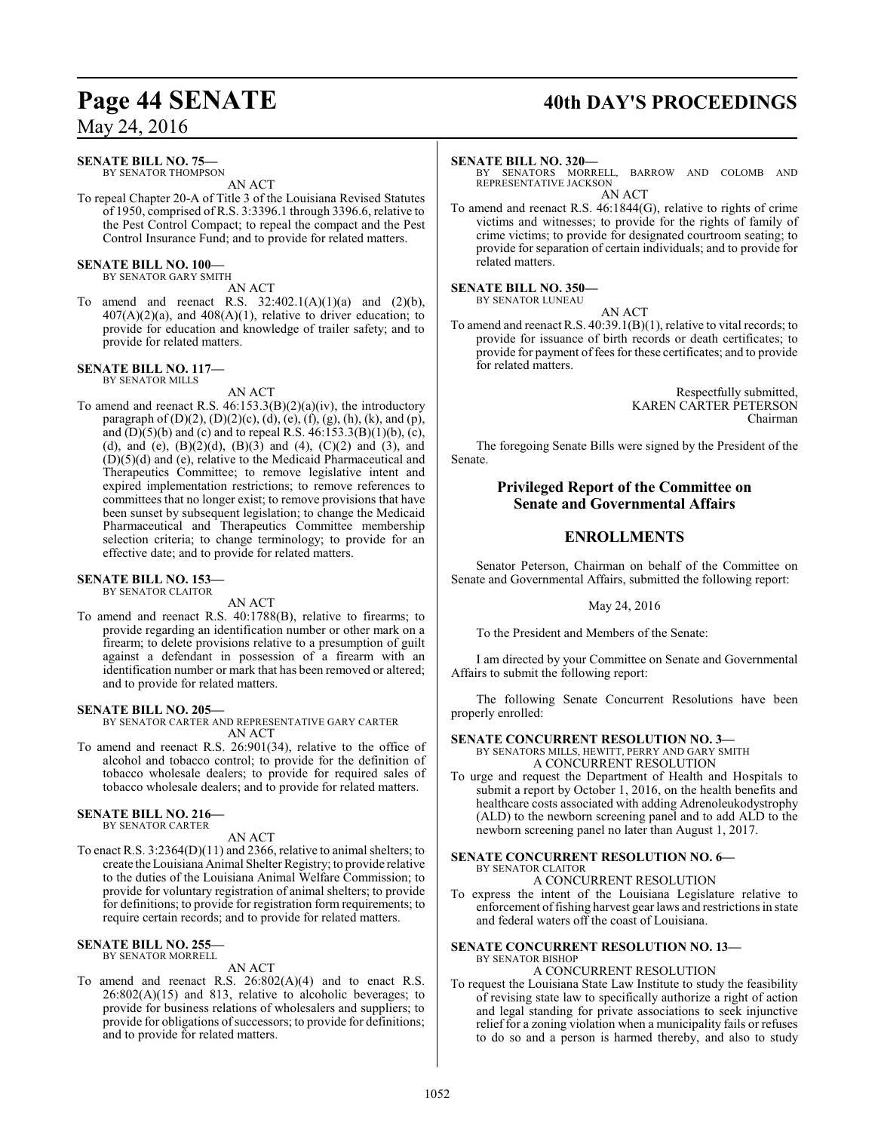#### **SENATE BILL NO. 75—**

BY SENATOR THOMPSON AN ACT

To repeal Chapter 20-A of Title 3 of the Louisiana Revised Statutes of 1950, comprised of R.S. 3:3396.1 through 3396.6, relative to the Pest Control Compact; to repeal the compact and the Pest Control Insurance Fund; and to provide for related matters.

#### **SENATE BILL NO. 100—** BY SENATOR GARY SMITH

AN ACT

To amend and reenact R.S.  $32:402.1(A)(1)(a)$  and  $(2)(b)$ ,  $407(A)(2)(a)$ , and  $408(A)(1)$ , relative to driver education; to provide for education and knowledge of trailer safety; and to provide for related matters.

#### **SENATE BILL NO. 117—** BY SENATOR MILLS

AN ACT

To amend and reenact R.S. 46:153.3(B)(2)(a)(iv), the introductory paragraph of (D)(2), (D)(2)(c), (d), (e), (f), (g), (h), (k), and (p), and  $(D)(5)(b)$  and (c) and to repeal R.S.  $46:153.3(B)(1)(b)$ , (c), (d), and (e),  $(B)(2)(d)$ ,  $(B)(3)$  and  $(4)$ ,  $(C)(2)$  and  $(3)$ , and (D)(5)(d) and (e), relative to the Medicaid Pharmaceutical and Therapeutics Committee; to remove legislative intent and expired implementation restrictions; to remove references to committees that no longer exist; to remove provisions that have been sunset by subsequent legislation; to change the Medicaid Pharmaceutical and Therapeutics Committee membership selection criteria; to change terminology; to provide for an effective date; and to provide for related matters.

#### **SENATE BILL NO. 153—** BY SENATOR CLAITOR

AN ACT

To amend and reenact R.S. 40:1788(B), relative to firearms; to provide regarding an identification number or other mark on a firearm; to delete provisions relative to a presumption of guilt against a defendant in possession of a firearm with an identification number or mark that has been removed or altered; and to provide for related matters.

#### **SENATE BILL NO. 205—**

BY SENATOR CARTER AND REPRESENTATIVE GARY CARTER AN ACT

To amend and reenact R.S. 26:901(34), relative to the office of alcohol and tobacco control; to provide for the definition of tobacco wholesale dealers; to provide for required sales of tobacco wholesale dealers; and to provide for related matters.

#### **SENATE BILL NO. 216—**

BY SENATOR CARTER

AN ACT

To enact R.S. 3:2364(D)(11) and 2366, relative to animal shelters; to create the Louisiana Animal Shelter Registry; to provide relative to the duties of the Louisiana Animal Welfare Commission; to provide for voluntary registration of animal shelters; to provide for definitions; to provide for registration form requirements; to require certain records; and to provide for related matters.

#### **SENATE BILL NO. 255—** BY SENATOR MORRELL

### AN ACT

To amend and reenact R.S. 26:802(A)(4) and to enact R.S.  $26:802(A)(15)$  and 813, relative to alcoholic beverages; to provide for business relations of wholesalers and suppliers; to provide for obligations of successors; to provide for definitions; and to provide for related matters.

# Page 44 SENATE 40th DAY'S PROCEEDINGS

#### **SENATE BILL NO. 320—**

BY SENATORS MORRELL, BARROW AND COLOMB AND REPRESENTATIVE JACKSON AN ACT

To amend and reenact R.S. 46:1844(G), relative to rights of crime victims and witnesses; to provide for the rights of family of crime victims; to provide for designated courtroom seating; to provide for separation of certain individuals; and to provide for related matters.

**SENATE BILL NO. 350—** BY SENATOR LUNEAU

AN ACT

To amend and reenact R.S. 40:39.1(B)(1), relative to vital records; to provide for issuance of birth records or death certificates; to provide for payment of fees for these certificates; and to provide for related matters.

> Respectfully submitted, KAREN CARTER PETERSON Chairman

The foregoing Senate Bills were signed by the President of the Senate.

#### **Privileged Report of the Committee on Senate and Governmental Affairs**

### **ENROLLMENTS**

Senator Peterson, Chairman on behalf of the Committee on Senate and Governmental Affairs, submitted the following report:

May 24, 2016

To the President and Members of the Senate:

I am directed by your Committee on Senate and Governmental Affairs to submit the following report:

The following Senate Concurrent Resolutions have been properly enrolled:

#### **SENATE CONCURRENT RESOLUTION NO. 3—**

BY SENATORS MILLS, HEWITT, PERRY AND GARY SMITH A CONCURRENT RESOLUTION

To urge and request the Department of Health and Hospitals to submit a report by October 1, 2016, on the health benefits and healthcare costs associated with adding Adrenoleukodystrophy (ALD) to the newborn screening panel and to add ALD to the newborn screening panel no later than August 1, 2017.

#### **SENATE CONCURRENT RESOLUTION NO. 6—** BY SENATOR CLAITOR A CONCURRENT RESOLUTION

To express the intent of the Louisiana Legislature relative to enforcement offishing harvest gear laws and restrictions in state and federal waters off the coast of Louisiana.

#### **SENATE CONCURRENT RESOLUTION NO. 13—** BY SENATOR BISHOP

#### A CONCURRENT RESOLUTION

To request the Louisiana State Law Institute to study the feasibility of revising state law to specifically authorize a right of action and legal standing for private associations to seek injunctive relief for a zoning violation when a municipality fails or refuses to do so and a person is harmed thereby, and also to study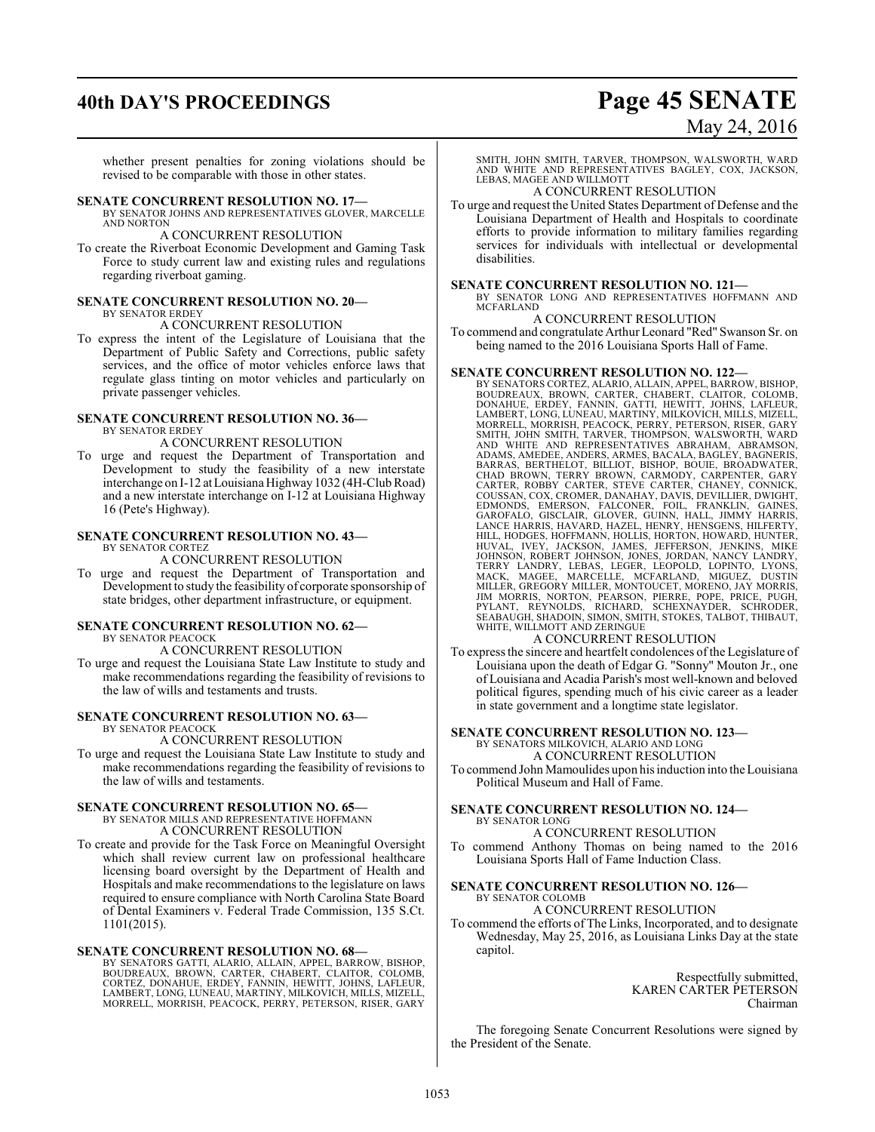# **40th DAY'S PROCEEDINGS Page 45 SENATE** May 24, 2016

whether present penalties for zoning violations should be revised to be comparable with those in other states.

#### **SENATE CONCURRENT RESOLUTION NO. 17—**

BY SENATOR JOHNS AND REPRESENTATIVES GLOVER, MARCELLE AND NORTON

#### A CONCURRENT RESOLUTION

To create the Riverboat Economic Development and Gaming Task Force to study current law and existing rules and regulations regarding riverboat gaming.

#### **SENATE CONCURRENT RESOLUTION NO. 20—** BY SENATOR ERDEY

### A CONCURRENT RESOLUTION

To express the intent of the Legislature of Louisiana that the Department of Public Safety and Corrections, public safety services, and the office of motor vehicles enforce laws that regulate glass tinting on motor vehicles and particularly on private passenger vehicles.

#### **SENATE CONCURRENT RESOLUTION NO. 36—** BY SENATOR ERDEY

A CONCURRENT RESOLUTION

To urge and request the Department of Transportation and Development to study the feasibility of a new interstate interchange on I-12 at Louisiana Highway 1032 (4H-Club Road) and a new interstate interchange on I-12 at Louisiana Highway 16 (Pete's Highway).

#### **SENATE CONCURRENT RESOLUTION NO. 43—** BY SENATOR CORTEZ

A CONCURRENT RESOLUTION

To urge and request the Department of Transportation and Development to study the feasibility of corporate sponsorship of state bridges, other department infrastructure, or equipment.

#### **SENATE CONCURRENT RESOLUTION NO. 62—**

BY SENATOR PEACOCK

#### A CONCURRENT RESOLUTION

To urge and request the Louisiana State Law Institute to study and make recommendations regarding the feasibility of revisions to the law of wills and testaments and trusts.

#### **SENATE CONCURRENT RESOLUTION NO. 63—** BY SENATOR PEACOCK

A CONCURRENT RESOLUTION

To urge and request the Louisiana State Law Institute to study and make recommendations regarding the feasibility of revisions to the law of wills and testaments.

#### **SENATE CONCURRENT RESOLUTION NO. 65—**

BY SENATOR MILLS AND REPRESENTATIVE HOFFMANN A CONCURRENT RESOLUTION

To create and provide for the Task Force on Meaningful Oversight which shall review current law on professional healthcare licensing board oversight by the Department of Health and Hospitals and make recommendations to the legislature on laws required to ensure compliance with North Carolina State Board of Dental Examiners v. Federal Trade Commission, 135 S.Ct. 1101(2015).

#### **SENATE CONCURRENT RESOLUTION NO. 68—**

BY SENATORS GATTI, ALARIO, ALLAIN, APPEL, BARROW, BISHOP,<br>BOUDREAUX, BROWN, CARTER, CHABERT, CLAITOR, COLOMB,<br>CORTEZ, DONAHUE, ERDEY, FANNIN, HEWITT, JOHNS, LAFLEUR,<br>LAMBERT, LONG, LUNEAU, MARTINY, MILKOVICH, MILLS, MIZELL MORRELL, MORRISH, PEACOCK, PERRY, PETERSON, RISER, GARY SMITH, JOHN SMITH, TARVER, THOMPSON, WALSWORTH, WARD AND WHITE AND REPRESENTATIVES BAGLEY, COX, JACKSON, LEBAS, MAGEE AND WILLMOTT

#### A CONCURRENT RESOLUTION

To urge and request the United States Department of Defense and the Louisiana Department of Health and Hospitals to coordinate efforts to provide information to military families regarding services for individuals with intellectual or developmental disabilities.

#### **SENATE CONCURRENT RESOLUTION NO. 121—**

BY SENATOR LONG AND REPRESENTATIVES HOFFMANN AND MCFARLAND

#### A CONCURRENT RESOLUTION

To commend and congratulate Arthur Leonard "Red" Swanson Sr. on being named to the 2016 Louisiana Sports Hall of Fame.

#### **SENATE CONCURRENT RESOLUTION NO. 122—**

BY SENATORS CORTEZ, ALARIO, ALLAIN, APPEL, BARROW, BISHOP,<br>BOUDREAUX, BROWN, CARTER, CHABERT, CLAITOR, COLOMB,<br>DONAHUE, ERDEY, FANNIN, GATTI, HEWITT, JOHNS, LAFLEUR,<br>LAMBERT, LONG, LUNEAU, MARTINY, MI MORRELL, MORRISH, PEACOCK, PERRY, PETERSON, RISER, GARY SMITH, JOHN SMITH, TARVER, THOMPSON, WALSWORTH, WARD SMITH, JOHN SMITH, TARVER, THOMPSON, WALSWORTH, WARD<br>AND WHITE AND REPRESENTATIVES ABRAHAM, ABRAMSON,<br>ADAMS, AMEDEE, ANDERS, ARMES, BACALA, BAGLEY, BAGNERIS,<br>BARRAS, BERTHELOT, BILLIOT, BISHOP, BOUIE, BROADWATER,<br>CHAD BROW HUVAL, IVEY, JACKSON, JAMES, JEFFERSON, JENKINS, MIKE<br>JOHNSON, ROBERT JOHNSON, JONES, JORDAN, NANCY LANDRY,<br>TERRY LANDREY, LEBAS, LEGER, LEOPOLD, LOPINTO, LYONS,<br>MACK, MAGEE, MARCELLE, MCFARLAND, MIGUEZ, DUSTIN<br>MILLER, GRE

#### A CONCURRENT RESOLUTION

To express the sincere and heartfelt condolences of the Legislature of Louisiana upon the death of Edgar G. "Sonny" Mouton Jr., one of Louisiana and Acadia Parish's most well-known and beloved political figures, spending much of his civic career as a leader in state government and a longtime state legislator.

#### **SENATE CONCURRENT RESOLUTION NO. 123—**

BY SENATORS MILKOVICH, ALARIO AND LONG A CONCURRENT RESOLUTION

To commend John Mamoulides upon his induction into the Louisiana Political Museum and Hall of Fame.

#### **SENATE CONCURRENT RESOLUTION NO. 124—** BY SENATOR LONG

A CONCURRENT RESOLUTION

To commend Anthony Thomas on being named to the 2016 Louisiana Sports Hall of Fame Induction Class.

#### **SENATE CONCURRENT RESOLUTION NO. 126—** BY SENATOR COLOMB

A CONCURRENT RESOLUTION

To commend the efforts of The Links, Incorporated, and to designate Wednesday, May 25, 2016, as Louisiana Links Day at the state capitol.

> Respectfully submitted, KAREN CARTER PETERSON Chairman

The foregoing Senate Concurrent Resolutions were signed by the President of the Senate.